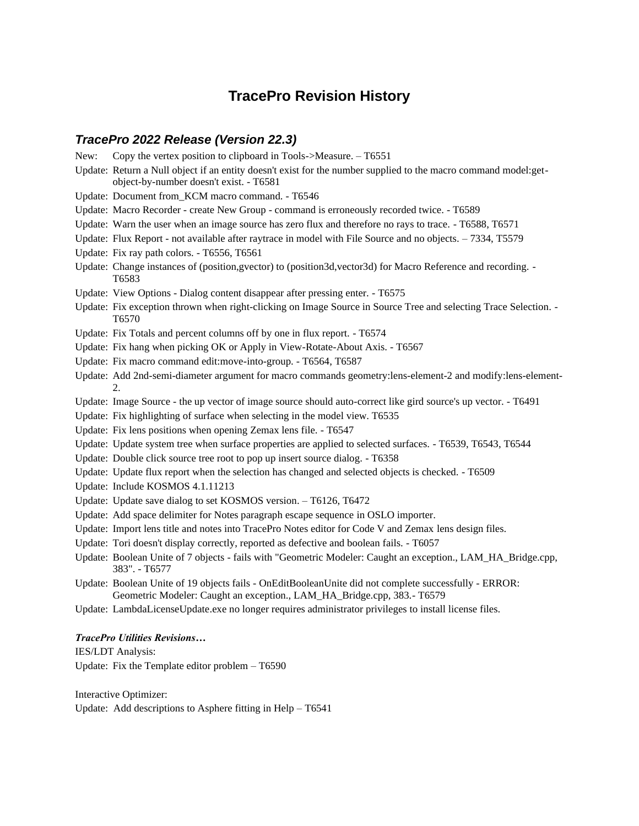# **TracePro Revision History**

# *TracePro 2022 Release (Version 22.3)*

|      | <b>HaceLIO ZUZZ Release (Version ZZ.3)</b>                                                                                                                                      |
|------|---------------------------------------------------------------------------------------------------------------------------------------------------------------------------------|
| New: | Copy the vertex position to clipboard in Tools->Measure. - T6551                                                                                                                |
|      | Update: Return a Null object if an entity doesn't exist for the number supplied to the macro command model:get-<br>object-by-number doesn't exist. - T6581                      |
|      | Update: Document from_KCM macro command. - T6546                                                                                                                                |
|      | Update: Macro Recorder - create New Group - command is erroneously recorded twice. - T6589                                                                                      |
|      | Update: Warn the user when an image source has zero flux and therefore no rays to trace. - T6588, T6571                                                                         |
|      | Update: Flux Report - not available after raytrace in model with File Source and no objects. - 7334, T5579                                                                      |
|      | Update: Fix ray path colors. - T6556, T6561                                                                                                                                     |
|      | Update: Change instances of (position, gvector) to (position3d, vector3d) for Macro Reference and recording. -<br>T6583                                                         |
|      | Update: View Options - Dialog content disappear after pressing enter. - T6575                                                                                                   |
|      | Update: Fix exception thrown when right-clicking on Image Source in Source Tree and selecting Trace Selection.<br>T6570                                                         |
|      | Update: Fix Totals and percent columns off by one in flux report. - T6574                                                                                                       |
|      | Update: Fix hang when picking OK or Apply in View-Rotate-About Axis. - T6567                                                                                                    |
|      | Update: Fix macro command edit:move-into-group. - T6564, T6587                                                                                                                  |
|      | Update: Add 2nd-semi-diameter argument for macro commands geometry: lens-element-2 and modify: lens-element-<br>$2^{\circ}$                                                     |
|      | Update: Image Source - the up vector of image source should auto-correct like gird source's up vector. - T6491                                                                  |
|      | Update: Fix highlighting of surface when selecting in the model view. T6535                                                                                                     |
|      | Update: Fix lens positions when opening Zemax lens file. - T6547                                                                                                                |
|      | Update: Update system tree when surface properties are applied to selected surfaces. - T6539, T6543, T6544                                                                      |
|      | Update: Double click source tree root to pop up insert source dialog. - T6358                                                                                                   |
|      | Update: Update flux report when the selection has changed and selected objects is checked. - T6509                                                                              |
|      | Update: Include KOSMOS 4.1.11213                                                                                                                                                |
|      | Update: Update save dialog to set KOSMOS version. - T6126, T6472                                                                                                                |
|      | Update: Add space delimiter for Notes paragraph escape sequence in OSLO importer.                                                                                               |
|      | Update: Import lens title and notes into TracePro Notes editor for Code V and Zemax lens design files.                                                                          |
|      | Update: Tori doesn't display correctly, reported as defective and boolean fails. - T6057                                                                                        |
|      | Update: Boolean Unite of 7 objects - fails with "Geometric Modeler: Caught an exception., LAM_HA_Bridge.cpp,<br>383". - T6577                                                   |
|      | Update: Boolean Unite of 19 objects fails - OnEditBooleanUnite did not complete successfully - ERROR:<br>Geometric Modeler: Caught an exception., LAM_HA_Bridge.cpp, 383.-T6579 |
|      | Update: LambdaLicenseUpdate.exe no longer requires administrator privileges to install license files.                                                                           |
|      |                                                                                                                                                                                 |

# *TracePro Utilities Revisions…*

IES/LDT Analysis:

Update: Fix the Template editor problem – T6590

Interactive Optimizer: Update: Add descriptions to Asphere fitting in Help – T6541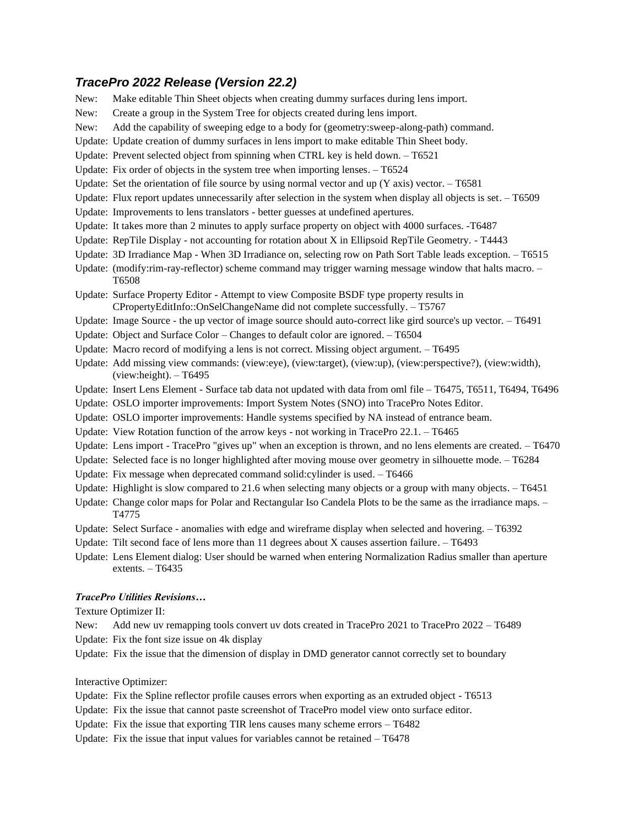# *TracePro 2022 Release (Version 22.2)*

| New: | Make editable Thin Sheet objects when creating dummy surfaces during lens import.                                                                                      |
|------|------------------------------------------------------------------------------------------------------------------------------------------------------------------------|
| New: | Create a group in the System Tree for objects created during lens import.                                                                                              |
| New: | Add the capability of sweeping edge to a body for (geometry:sweep-along-path) command.                                                                                 |
|      | Update: Update creation of dummy surfaces in lens import to make editable Thin Sheet body.                                                                             |
|      |                                                                                                                                                                        |
|      | Update: Prevent selected object from spinning when CTRL key is held down. - T6521                                                                                      |
|      | Update: Fix order of objects in the system tree when importing lenses. - T6524                                                                                         |
|      | Update: Set the orientation of file source by using normal vector and up $(Y \text{ axis})$ vector. $- 76581$                                                          |
|      | Update: Flux report updates unnecessarily after selection in the system when display all objects is set. - T6509                                                       |
|      | Update: Improvements to lens translators - better guesses at undefined apertures.                                                                                      |
|      | Update: It takes more than 2 minutes to apply surface property on object with 4000 surfaces. -T6487                                                                    |
|      | Update: RepTile Display - not accounting for rotation about X in Ellipsoid RepTile Geometry. - T4443                                                                   |
|      | Update: 3D Irradiance Map - When 3D Irradiance on, selecting row on Path Sort Table leads exception. - T6515                                                           |
|      | Update: (modify:rim-ray-reflector) scheme command may trigger warning message window that halts macro. -<br>T6508                                                      |
|      | Update: Surface Property Editor - Attempt to view Composite BSDF type property results in<br>CPropertyEditInfo::OnSelChangeName did not complete successfully. - T5767 |
|      | Update: Image Source - the up vector of image source should auto-correct like gird source's up vector. - T6491                                                         |
|      | Update: Object and Surface Color - Changes to default color are ignored. - T6504                                                                                       |
|      | Update: Macro record of modifying a lens is not correct. Missing object argument. - T6495                                                                              |
|      | Update: Add missing view commands: (view:eye), (view:target), (view:up), (view:perspective?), (view:width),<br>$(view:height)$ . - T6495                               |
|      | Update: Insert Lens Element - Surface tab data not updated with data from oml file - T6475, T6511, T6494, T6496                                                        |
|      | Update: OSLO importer improvements: Import System Notes (SNO) into TracePro Notes Editor.                                                                              |
|      | Update: OSLO importer improvements: Handle systems specified by NA instead of entrance beam.                                                                           |
|      | Update: View Rotation function of the arrow keys - not working in TracePro 22.1. - T6465                                                                               |
|      | Update: Lens import - TracePro "gives up" when an exception is thrown, and no lens elements are created. - T6470                                                       |
|      | Update: Selected face is no longer highlighted after moving mouse over geometry in silhouette mode. - T6284                                                            |
|      | Update: Fix message when deprecated command solid:cylinder is used. - T6466                                                                                            |
|      | Update: Highlight is slow compared to 21.6 when selecting many objects or a group with many objects. - T6451                                                           |
|      | Update: Change color maps for Polar and Rectangular Iso Candela Plots to be the same as the irradiance maps. -<br>T4775                                                |
|      | Update: Select Surface - anomalies with edge and wireframe display when selected and hovering. - T6392                                                                 |
|      | Update: Tilt second face of lens more than 11 degrees about X causes assertion failure. - T6493                                                                        |
|      | Update: Lens Element dialog: User should be warned when entering Normalization Radius smaller than aperture<br>extents. $-$ T6435                                      |
|      |                                                                                                                                                                        |

### *TracePro Utilities Revisions…*

Texture Optimizer II:

- New: Add new uv remapping tools convert uv dots created in TracePro 2021 to TracePro 2022 T6489
- Update: Fix the font size issue on 4k display
- Update: Fix the issue that the dimension of display in DMD generator cannot correctly set to boundary

Interactive Optimizer:

- Update: Fix the Spline reflector profile causes errors when exporting as an extruded object T6513
- Update: Fix the issue that cannot paste screenshot of TracePro model view onto surface editor.
- Update: Fix the issue that exporting TIR lens causes many scheme errors T6482
- Update: Fix the issue that input values for variables cannot be retained T6478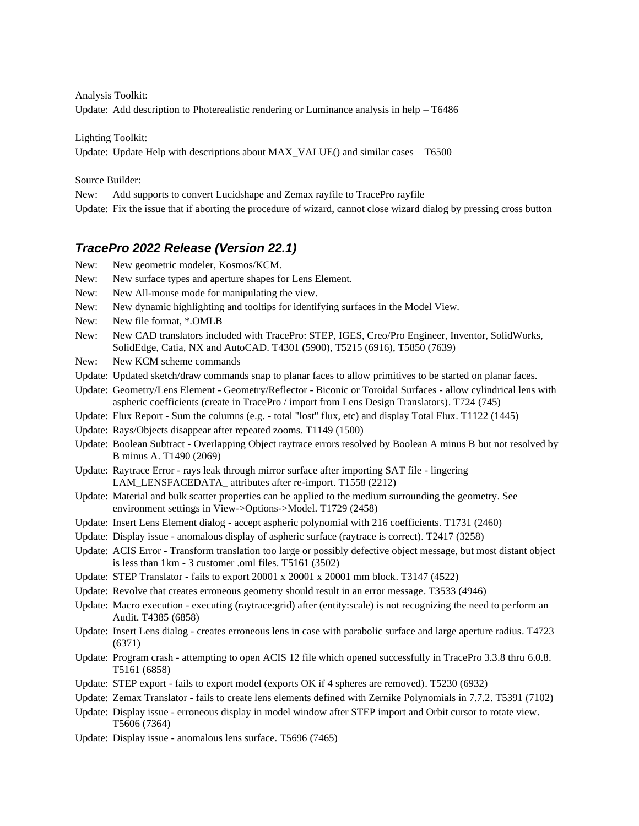Analysis Toolkit: Update: Add description to Photerealistic rendering or Luminance analysis in help  $-$  T6486

Lighting Toolkit: Update: Update Help with descriptions about MAX\_VALUE() and similar cases – T6500

Source Builder:

New: Add supports to convert Lucidshape and Zemax rayfile to TracePro rayfile

Update: Fix the issue that if aborting the procedure of wizard, cannot close wizard dialog by pressing cross button

# *TracePro 2022 Release (Version 22.1)*

- New: New geometric modeler, Kosmos/KCM.
- New: New surface types and aperture shapes for Lens Element.
- New: New All-mouse mode for manipulating the view.
- New: New dynamic highlighting and tooltips for identifying surfaces in the Model View.
- New: New file format, \*.OMLB
- New: New CAD translators included with TracePro: STEP, IGES, Creo/Pro Engineer, Inventor, SolidWorks, SolidEdge, Catia, NX and AutoCAD. T4301 (5900), T5215 (6916), T5850 (7639)
- New: New KCM scheme commands
- Update: Updated sketch/draw commands snap to planar faces to allow primitives to be started on planar faces.
- Update: Geometry/Lens Element Geometry/Reflector Biconic or Toroidal Surfaces allow cylindrical lens with aspheric coefficients (create in TracePro / import from Lens Design Translators). T724 (745)
- Update: Flux Report Sum the columns (e.g. total "lost" flux, etc) and display Total Flux. T1122 (1445)
- Update: Rays/Objects disappear after repeated zooms. T1149 (1500)
- Update: Boolean Subtract Overlapping Object raytrace errors resolved by Boolean A minus B but not resolved by B minus A. T1490 (2069)
- Update: Raytrace Error rays leak through mirror surface after importing SAT file lingering LAM\_LENSFACEDATA\_ attributes after re-import. T1558 (2212)
- Update: Material and bulk scatter properties can be applied to the medium surrounding the geometry. See environment settings in View->Options->Model. T1729 (2458)
- Update: Insert Lens Element dialog accept aspheric polynomial with 216 coefficients. T1731 (2460)
- Update: Display issue anomalous display of aspheric surface (raytrace is correct). T2417 (3258)
- Update: ACIS Error Transform translation too large or possibly defective object message, but most distant object is less than 1km - 3 customer .oml files. T5161 (3502)
- Update: STEP Translator fails to export 20001 x 20001 x 20001 mm block. T3147 (4522)
- Update: Revolve that creates erroneous geometry should result in an error message. T3533 (4946)
- Update: Macro execution executing (raytrace:grid) after (entity:scale) is not recognizing the need to perform an Audit. T4385 (6858)
- Update: Insert Lens dialog creates erroneous lens in case with parabolic surface and large aperture radius. T4723 (6371)
- Update: Program crash attempting to open ACIS 12 file which opened successfully in TracePro 3.3.8 thru 6.0.8. T5161 (6858)
- Update: STEP export fails to export model (exports OK if 4 spheres are removed). T5230 (6932)
- Update: Zemax Translator fails to create lens elements defined with Zernike Polynomials in 7.7.2. T5391 (7102)
- Update: Display issue erroneous display in model window after STEP import and Orbit cursor to rotate view. T5606 (7364)
- Update: Display issue anomalous lens surface. T5696 (7465)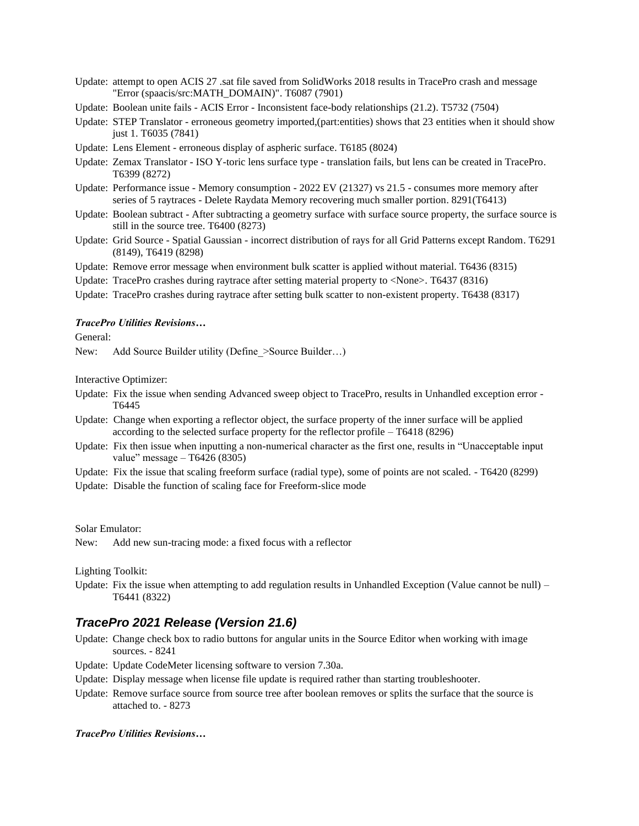- Update: attempt to open ACIS 27 .sat file saved from SolidWorks 2018 results in TracePro crash and message "Error (spaacis/src:MATH\_DOMAIN)". T6087 (7901)
- Update: Boolean unite fails ACIS Error Inconsistent face-body relationships (21.2). T5732 (7504)
- Update: STEP Translator erroneous geometry imported,(part:entities) shows that 23 entities when it should show just 1. T6035 (7841)
- Update: Lens Element erroneous display of aspheric surface. T6185 (8024)
- Update: Zemax Translator ISO Y-toric lens surface type translation fails, but lens can be created in TracePro. T6399 (8272)
- Update: Performance issue Memory consumption 2022 EV (21327) vs 21.5 consumes more memory after series of 5 raytraces - Delete Raydata Memory recovering much smaller portion. 8291(T6413)
- Update: Boolean subtract After subtracting a geometry surface with surface source property, the surface source is still in the source tree. T6400 (8273)
- Update: Grid Source Spatial Gaussian incorrect distribution of rays for all Grid Patterns except Random. T6291 (8149), T6419 (8298)
- Update: Remove error message when environment bulk scatter is applied without material. T6436 (8315)
- Update: TracePro crashes during raytrace after setting material property to <None>. T6437 (8316)
- Update: TracePro crashes during raytrace after setting bulk scatter to non-existent property. T6438 (8317)

#### *TracePro Utilities Revisions…*

General:

New: Add Source Builder utility (Define > Source Builder...)

Interactive Optimizer:

- Update: Fix the issue when sending Advanced sweep object to TracePro, results in Unhandled exception error T6445
- Update: Change when exporting a reflector object, the surface property of the inner surface will be applied according to the selected surface property for the reflector profile – T6418 (8296)
- Update: Fix then issue when inputting a non-numerical character as the first one, results in "Unacceptable input value" message – T6426 (8305)
- Update: Fix the issue that scaling freeform surface (radial type), some of points are not scaled. T6420 (8299)
- Update: Disable the function of scaling face for Freeform-slice mode

Solar Emulator:

New: Add new sun-tracing mode: a fixed focus with a reflector

#### Lighting Toolkit:

Update: Fix the issue when attempting to add regulation results in Unhandled Exception (Value cannot be null) – T6441 (8322)

### *TracePro 2021 Release (Version 21.6)*

- Update: Change check box to radio buttons for angular units in the Source Editor when working with image sources. - 8241
- Update: Update CodeMeter licensing software to version 7.30a.
- Update: Display message when license file update is required rather than starting troubleshooter.
- Update: Remove surface source from source tree after boolean removes or splits the surface that the source is attached to. - 8273

#### *TracePro Utilities Revisions…*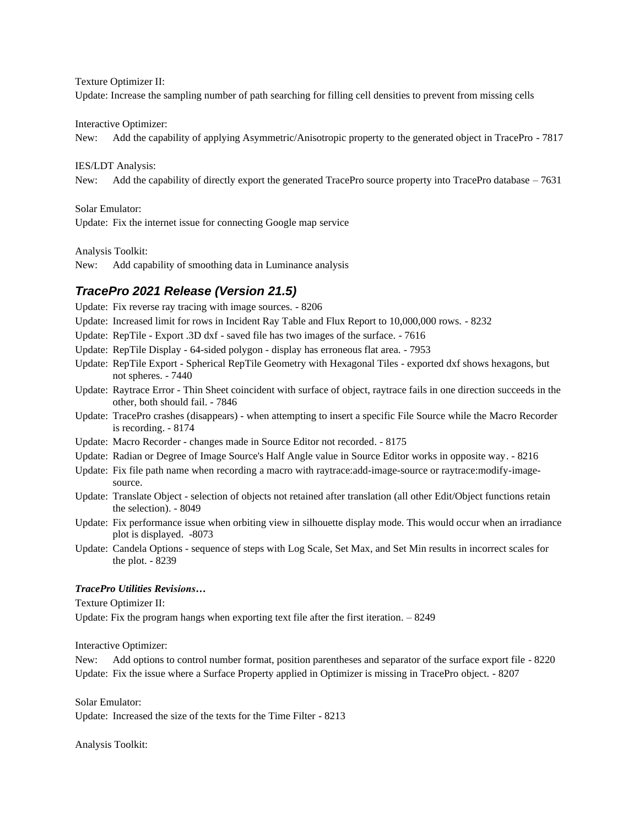Texture Optimizer II:

Update: Increase the sampling number of path searching for filling cell densities to prevent from missing cells

Interactive Optimizer:

New: Add the capability of applying Asymmetric/Anisotropic property to the generated object in TracePro - 7817

IES/LDT Analysis:

New: Add the capability of directly export the generated TracePro source property into TracePro database – 7631

Solar Emulator:

Update: Fix the internet issue for connecting Google map service

Analysis Toolkit:

New: Add capability of smoothing data in Luminance analysis

# *TracePro 2021 Release (Version 21.5)*

Update: Fix reverse ray tracing with image sources. - 8206

Update: Increased limit for rows in Incident Ray Table and Flux Report to 10,000,000 rows. - 8232

Update: RepTile - Export .3D dxf - saved file has two images of the surface. - 7616

- Update: RepTile Display 64-sided polygon display has erroneous flat area. 7953
- Update: RepTile Export Spherical RepTile Geometry with Hexagonal Tiles exported dxf shows hexagons, but not spheres. - 7440
- Update: Raytrace Error Thin Sheet coincident with surface of object, raytrace fails in one direction succeeds in the other, both should fail. - 7846
- Update: TracePro crashes (disappears) when attempting to insert a specific File Source while the Macro Recorder is recording. - 8174
- Update: Macro Recorder changes made in Source Editor not recorded. 8175
- Update: Radian or Degree of Image Source's Half Angle value in Source Editor works in opposite way. 8216
- Update: Fix file path name when recording a macro with raytrace:add-image-source or raytrace:modify-imagesource.
- Update: Translate Object selection of objects not retained after translation (all other Edit/Object functions retain the selection). - 8049
- Update: Fix performance issue when orbiting view in silhouette display mode. This would occur when an irradiance plot is displayed. -8073
- Update: Candela Options sequence of steps with Log Scale, Set Max, and Set Min results in incorrect scales for the plot. - 8239

#### *TracePro Utilities Revisions…*

Texture Optimizer II:

Update: Fix the program hangs when exporting text file after the first iteration. – 8249

Interactive Optimizer:

New: Add options to control number format, position parentheses and separator of the surface export file - 8220 Update: Fix the issue where a Surface Property applied in Optimizer is missing in TracePro object. - 8207

Solar Emulator:

Update: Increased the size of the texts for the Time Filter - 8213

Analysis Toolkit: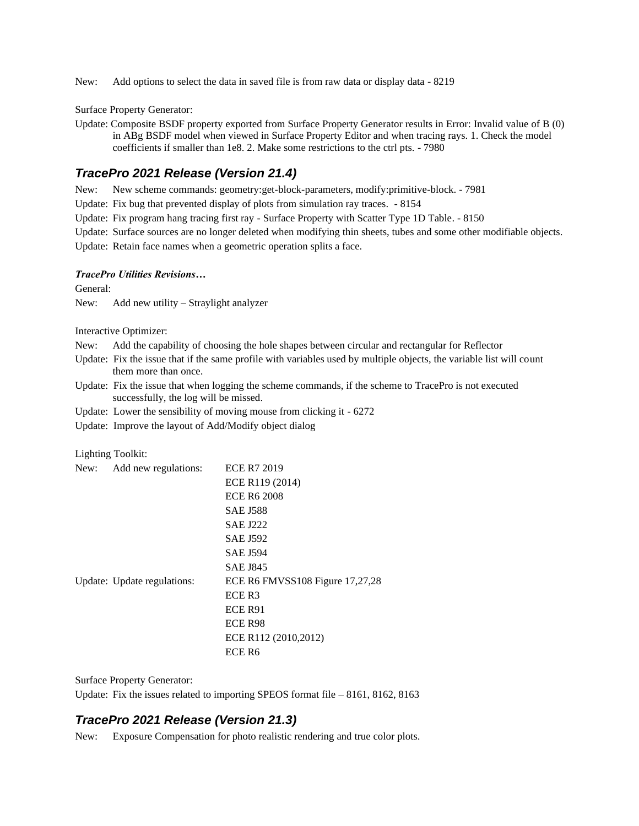New: Add options to select the data in saved file is from raw data or display data - 8219

Surface Property Generator:

Update: Composite BSDF property exported from Surface Property Generator results in Error: Invalid value of B (0) in ABg BSDF model when viewed in Surface Property Editor and when tracing rays. 1. Check the model coefficients if smaller than 1e8. 2. Make some restrictions to the ctrl pts. - 7980

# *TracePro 2021 Release (Version 21.4)*

New: New scheme commands: geometry:get-block-parameters, modify:primitive-block. - 7981

Update: Fix bug that prevented display of plots from simulation ray traces. - 8154

Update: Fix program hang tracing first ray - Surface Property with Scatter Type 1D Table. - 8150

Update: Surface sources are no longer deleted when modifying thin sheets, tubes and some other modifiable objects.

Update: Retain face names when a geometric operation splits a face.

#### *TracePro Utilities Revisions…*

General:

New: Add new utility – Straylight analyzer

Interactive Optimizer:

New: Add the capability of choosing the hole shapes between circular and rectangular for Reflector

Update: Fix the issue that if the same profile with variables used by multiple objects, the variable list will count them more than once.

Update: Fix the issue that when logging the scheme commands, if the scheme to TracePro is not executed successfully, the log will be missed.

Update: Lower the sensibility of moving mouse from clicking it - 6272

Update: Improve the layout of Add/Modify object dialog

#### Lighting Toolkit:

| New: | Add new regulations:        | <b>ECE R7 2019</b>              |
|------|-----------------------------|---------------------------------|
|      |                             | ECE R119 (2014)                 |
|      |                             | <b>ECE R6 2008</b>              |
|      |                             | <b>SAE J588</b>                 |
|      |                             | <b>SAE J222</b>                 |
|      |                             | <b>SAE J592</b>                 |
|      |                             | <b>SAE J594</b>                 |
|      |                             | <b>SAE J845</b>                 |
|      | Update: Update regulations: | ECE R6 FMVSS108 Figure 17,27,28 |
|      |                             | ECE R3                          |
|      |                             | ECE R91                         |
|      |                             | ECE R98                         |
|      |                             | ECE R112 (2010,2012)            |
|      |                             | ECE R <sub>6</sub>              |

Surface Property Generator:

Update: Fix the issues related to importing SPEOS format file – 8161, 8162, 8163

# *TracePro 2021 Release (Version 21.3)*

New: Exposure Compensation for photo realistic rendering and true color plots.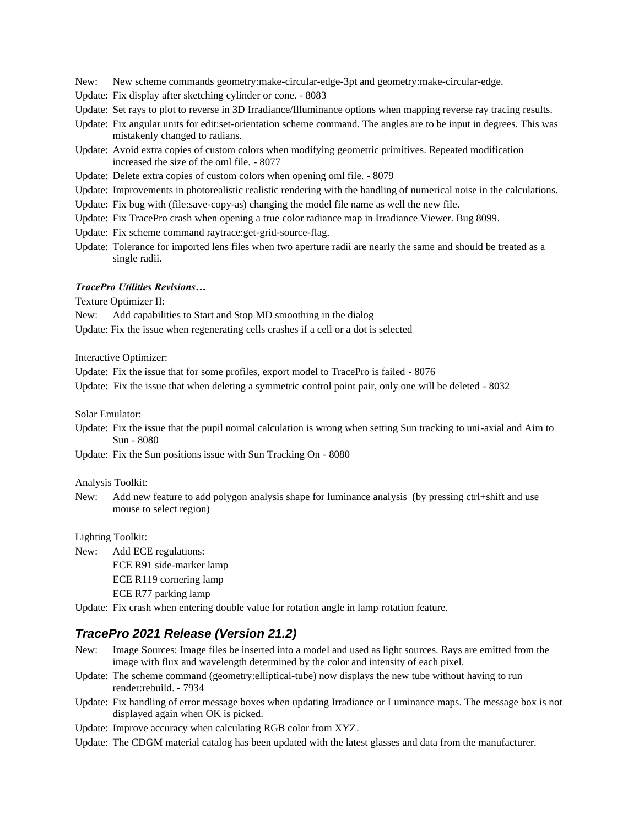New: New scheme commands geometry:make-circular-edge-3pt and geometry:make-circular-edge.

Update: Fix display after sketching cylinder or cone. - 8083

Update: Set rays to plot to reverse in 3D Irradiance/Illuminance options when mapping reverse ray tracing results.

- Update: Fix angular units for edit:set-orientation scheme command. The angles are to be input in degrees. This was mistakenly changed to radians.
- Update: Avoid extra copies of custom colors when modifying geometric primitives. Repeated modification increased the size of the oml file. - 8077
- Update: Delete extra copies of custom colors when opening oml file. 8079

Update: Improvements in photorealistic realistic rendering with the handling of numerical noise in the calculations.

- Update: Fix bug with (file:save-copy-as) changing the model file name as well the new file.
- Update: Fix TracePro crash when opening a true color radiance map in Irradiance Viewer. Bug 8099.
- Update: Fix scheme command raytrace:get-grid-source-flag.
- Update: Tolerance for imported lens files when two aperture radii are nearly the same and should be treated as a single radii.

#### *TracePro Utilities Revisions…*

Texture Optimizer II:

New: Add capabilities to Start and Stop MD smoothing in the dialog

Update: Fix the issue when regenerating cells crashes if a cell or a dot is selected

Interactive Optimizer:

Update: Fix the issue that for some profiles, export model to TracePro is failed - 8076

Update: Fix the issue that when deleting a symmetric control point pair, only one will be deleted - 8032

Solar Emulator:

Update: Fix the issue that the pupil normal calculation is wrong when setting Sun tracking to uni-axial and Aim to Sun - 8080

Update: Fix the Sun positions issue with Sun Tracking On - 8080

Analysis Toolkit:

New: Add new feature to add polygon analysis shape for luminance analysis (by pressing ctrl+shift and use mouse to select region)

Lighting Toolkit:

New: Add ECE regulations: ECE R91 side-marker lamp ECE R119 cornering lamp ECE R77 parking lamp

Update: Fix crash when entering double value for rotation angle in lamp rotation feature.

### *TracePro 2021 Release (Version 21.2)*

- New: Image Sources: Image files be inserted into a model and used as light sources. Rays are emitted from the image with flux and wavelength determined by the color and intensity of each pixel.
- Update: The scheme command (geometry:elliptical-tube) now displays the new tube without having to run render:rebuild. - 7934
- Update: Fix handling of error message boxes when updating Irradiance or Luminance maps. The message box is not displayed again when OK is picked.
- Update: Improve accuracy when calculating RGB color from XYZ.
- Update: The CDGM material catalog has been updated with the latest glasses and data from the manufacturer.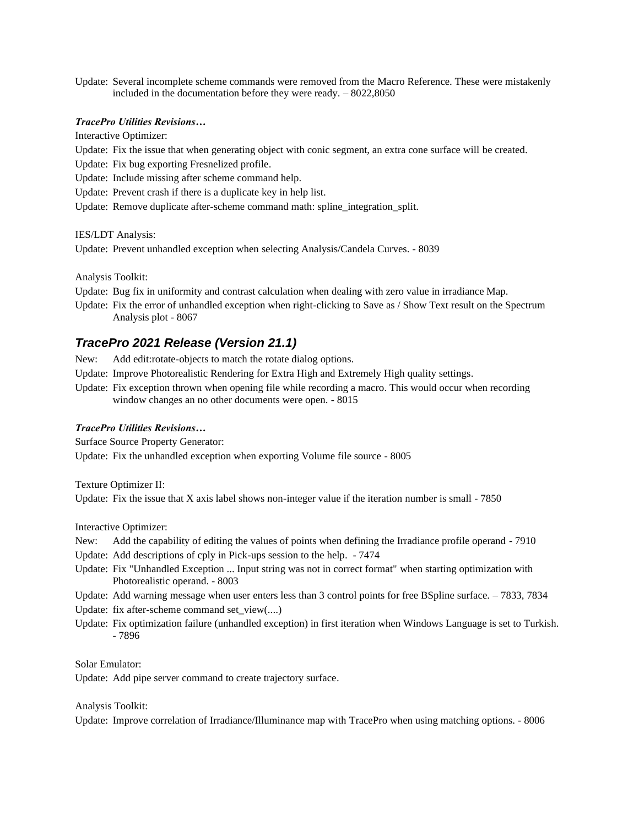Update: Several incomplete scheme commands were removed from the Macro Reference. These were mistakenly included in the documentation before they were ready. – 8022,8050

#### *TracePro Utilities Revisions…*

Interactive Optimizer:

Update: Fix the issue that when generating object with conic segment, an extra cone surface will be created.

Update: Fix bug exporting Fresnelized profile.

Update: Include missing after scheme command help.

Update: Prevent crash if there is a duplicate key in help list.

Update: Remove duplicate after-scheme command math: spline\_integration\_split.

IES/LDT Analysis:

Update: Prevent unhandled exception when selecting Analysis/Candela Curves. - 8039

Analysis Toolkit:

- Update: Bug fix in uniformity and contrast calculation when dealing with zero value in irradiance Map.
- Update: Fix the error of unhandled exception when right-clicking to Save as / Show Text result on the Spectrum Analysis plot - 8067

# *TracePro 2021 Release (Version 21.1)*

New: Add edit:rotate-objects to match the rotate dialog options.

- Update: Improve Photorealistic Rendering for Extra High and Extremely High quality settings.
- Update: Fix exception thrown when opening file while recording a macro. This would occur when recording window changes an no other documents were open. - 8015

#### *TracePro Utilities Revisions…*

Surface Source Property Generator:

Update: Fix the unhandled exception when exporting Volume file source - 8005

Texture Optimizer II: Update: Fix the issue that X axis label shows non-integer value if the iteration number is small - 7850

Interactive Optimizer:

- New: Add the capability of editing the values of points when defining the Irradiance profile operand 7910
- Update: Add descriptions of cply in Pick-ups session to the help. 7474
- Update: Fix "Unhandled Exception ... Input string was not in correct format" when starting optimization with Photorealistic operand. - 8003
- Update: Add warning message when user enters less than 3 control points for free BSpline surface. 7833, 7834

Update: fix after-scheme command set\_view(....)

Update: Fix optimization failure (unhandled exception) in first iteration when Windows Language is set to Turkish. - 7896

Solar Emulator:

Update: Add pipe server command to create trajectory surface.

Analysis Toolkit:

Update: Improve correlation of Irradiance/Illuminance map with TracePro when using matching options. - 8006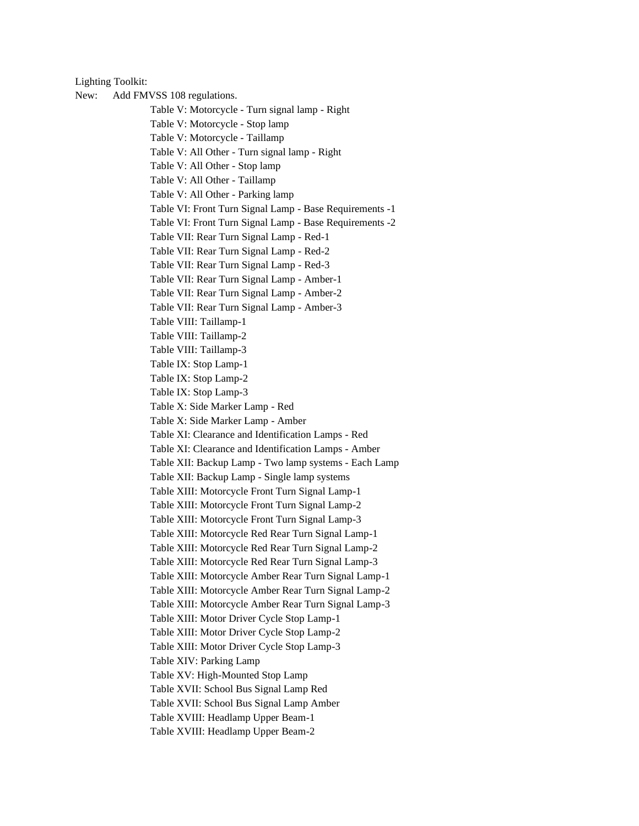Lighting Toolkit:

New: Add FMVSS 108 regulations. Table V: Motorcycle - Turn signal lamp - Right Table V: Motorcycle - Stop lamp Table V: Motorcycle - Taillamp Table V: All Other - Turn signal lamp - Right Table V: All Other - Stop lamp Table V: All Other - Taillamp Table V: All Other - Parking lamp Table VI: Front Turn Signal Lamp - Base Requirements -1 Table VI: Front Turn Signal Lamp - Base Requirements -2 Table VII: Rear Turn Signal Lamp - Red-1 Table VII: Rear Turn Signal Lamp - Red-2 Table VII: Rear Turn Signal Lamp - Red-3 Table VII: Rear Turn Signal Lamp - Amber-1 Table VII: Rear Turn Signal Lamp - Amber-2 Table VII: Rear Turn Signal Lamp - Amber-3 Table VIII: Taillamp-1 Table VIII: Taillamp-2 Table VIII: Taillamp-3 Table IX: Stop Lamp-1 Table IX: Stop Lamp-2 Table IX: Stop Lamp-3 Table X: Side Marker Lamp - Red Table X: Side Marker Lamp - Amber Table XI: Clearance and Identification Lamps - Red Table XI: Clearance and Identification Lamps - Amber Table XII: Backup Lamp - Two lamp systems - Each Lamp Table XII: Backup Lamp - Single lamp systems Table XIII: Motorcycle Front Turn Signal Lamp-1 Table XIII: Motorcycle Front Turn Signal Lamp-2 Table XIII: Motorcycle Front Turn Signal Lamp-3 Table XIII: Motorcycle Red Rear Turn Signal Lamp-1 Table XIII: Motorcycle Red Rear Turn Signal Lamp-2 Table XIII: Motorcycle Red Rear Turn Signal Lamp-3 Table XIII: Motorcycle Amber Rear Turn Signal Lamp-1 Table XIII: Motorcycle Amber Rear Turn Signal Lamp-2 Table XIII: Motorcycle Amber Rear Turn Signal Lamp-3 Table XIII: Motor Driver Cycle Stop Lamp-1 Table XIII: Motor Driver Cycle Stop Lamp-2 Table XIII: Motor Driver Cycle Stop Lamp-3 Table XIV: Parking Lamp Table XV: High-Mounted Stop Lamp Table XVII: School Bus Signal Lamp Red Table XVII: School Bus Signal Lamp Amber Table XVIII: Headlamp Upper Beam-1 Table XVIII: Headlamp Upper Beam-2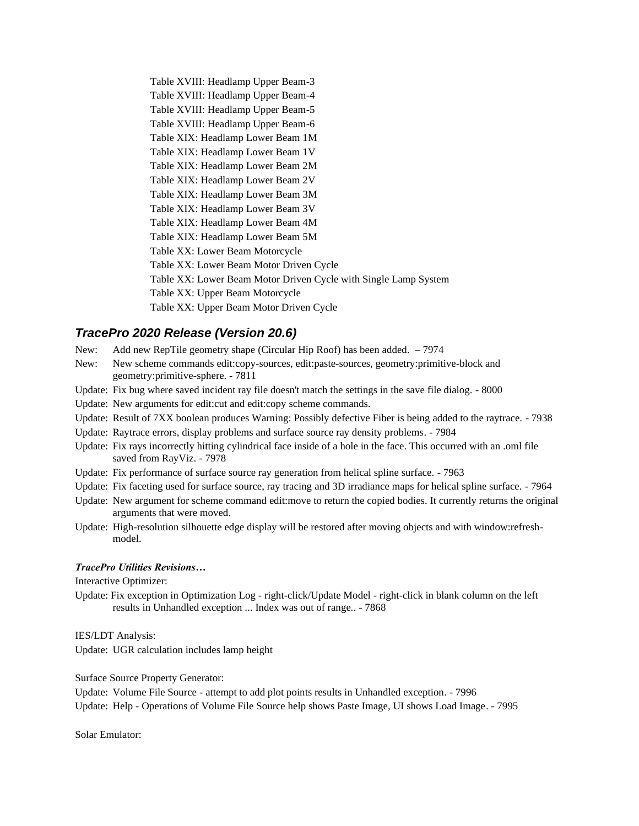Table XVIII: Headlamp Upper Beam-3 Table XVIII: Headlamp Upper Beam-4 Table XVIII: Headlamp Upper Beam-5 Table XVIII: Headlamp Upper Beam-6 Table XIX: Headlamp Lower Beam 1M Table XIX: Headlamp Lower Beam 1V Table XIX: Headlamp Lower Beam 2M Table XIX: Headlamp Lower Beam 2V Table XIX: Headlamp Lower Beam 3M Table XIX: Headlamp Lower Beam 3V Table XIX: Headlamp Lower Beam 4M Table XIX: Headlamp Lower Beam 5M Table XX: Lower Beam Motorcycle Table XX: Lower Beam Motor Driven Cycle Table XX: Lower Beam Motor Driven Cycle with Single Lamp System Table XX: Upper Beam Motorcycle Table XX: Upper Beam Motor Driven Cycle

# *TracePro 2020 Release (Version 20.6)*

- New: Add new RepTile geometry shape (Circular Hip Roof) has been added. 7974
- New: New scheme commands edit:copy-sources, edit:paste-sources, geometry:primitive-block and geometry:primitive-sphere. - 7811
- Update: Fix bug where saved incident ray file doesn't match the settings in the save file dialog. 8000
- Update: New arguments for edit:cut and edit:copy scheme commands.
- Update: Result of 7XX boolean produces Warning: Possibly defective Fiber is being added to the raytrace. 7938
- Update: Raytrace errors, display problems and surface source ray density problems. 7984
- Update: Fix rays incorrectly hitting cylindrical face inside of a hole in the face. This occurred with an .oml file saved from RayViz. - 7978
- Update: Fix performance of surface source ray generation from helical spline surface. 7963
- Update: Fix faceting used for surface source, ray tracing and 3D irradiance maps for helical spline surface. 7964
- Update: New argument for scheme command edit:move to return the copied bodies. It currently returns the original arguments that were moved.
- Update: High-resolution silhouette edge display will be restored after moving objects and with window:refreshmodel.

#### *TracePro Utilities Revisions…*

Interactive Optimizer:

Update: Fix exception in Optimization Log - right-click/Update Model - right-click in blank column on the left results in Unhandled exception ... Index was out of range.. - 7868

IES/LDT Analysis:

Update: UGR calculation includes lamp height

Surface Source Property Generator:

Update: Volume File Source - attempt to add plot points results in Unhandled exception. - 7996 Update: Help - Operations of Volume File Source help shows Paste Image, UI shows Load Image. - 7995

Solar Emulator: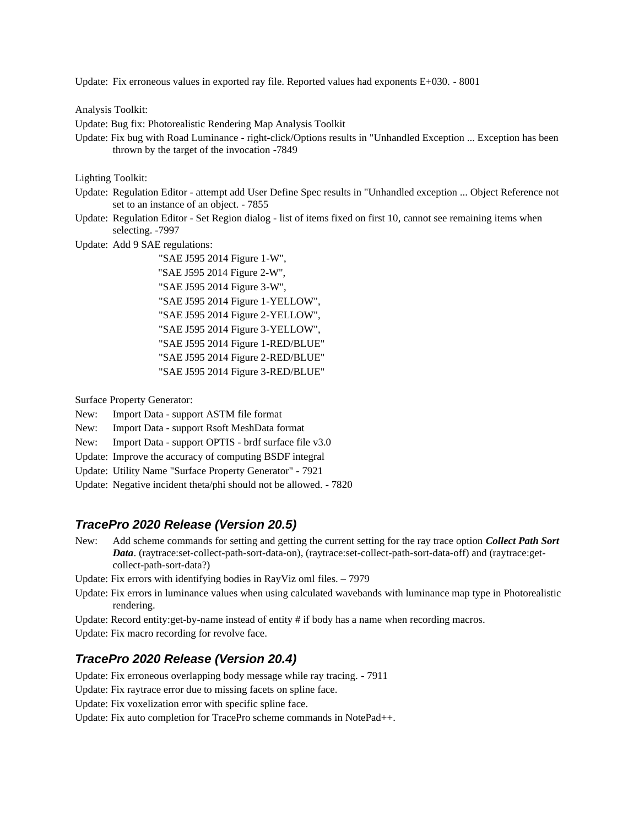Update: Fix erroneous values in exported ray file. Reported values had exponents E+030. - 8001

Analysis Toolkit:

Update: Bug fix: Photorealistic Rendering Map Analysis Toolkit

Update: Fix bug with Road Luminance - right-click/Options results in "Unhandled Exception ... Exception has been thrown by the target of the invocation -7849

Lighting Toolkit:

- Update: Regulation Editor attempt add User Define Spec results in "Unhandled exception ... Object Reference not set to an instance of an object. - 7855
- Update: Regulation Editor Set Region dialog list of items fixed on first 10, cannot see remaining items when selecting. -7997

Update: Add 9 SAE regulations:

 "SAE J595 2014 Figure 1-W", "SAE J595 2014 Figure 2-W", "SAE J595 2014 Figure 3-W", "SAE J595 2014 Figure 1-YELLOW", "SAE J595 2014 Figure 2-YELLOW", "SAE J595 2014 Figure 3-YELLOW", "SAE J595 2014 Figure 1-RED/BLUE" "SAE J595 2014 Figure 2-RED/BLUE" "SAE J595 2014 Figure 3-RED/BLUE"

Surface Property Generator:

- New: Import Data support ASTM file format
- New: Import Data support Rsoft MeshData format
- New: Import Data support OPTIS brdf surface file v3.0
- Update: Improve the accuracy of computing BSDF integral
- Update: Utility Name "Surface Property Generator" 7921
- Update: Negative incident theta/phi should not be allowed. 7820

#### *TracePro 2020 Release (Version 20.5)*

New: Add scheme commands for setting and getting the current setting for the ray trace option *Collect Path Sort Data*. (raytrace:set-collect-path-sort-data-on), (raytrace:set-collect-path-sort-data-off) and (raytrace:getcollect-path-sort-data?)

Update: Fix errors with identifying bodies in RayViz oml files. – 7979

- Update: Fix errors in luminance values when using calculated wavebands with luminance map type in Photorealistic rendering.
- Update: Record entity:get-by-name instead of entity # if body has a name when recording macros.

Update: Fix macro recording for revolve face.

### *TracePro 2020 Release (Version 20.4)*

Update: Fix erroneous overlapping body message while ray tracing. - 7911

Update: Fix raytrace error due to missing facets on spline face.

Update: Fix voxelization error with specific spline face.

Update: Fix auto completion for TracePro scheme commands in NotePad++.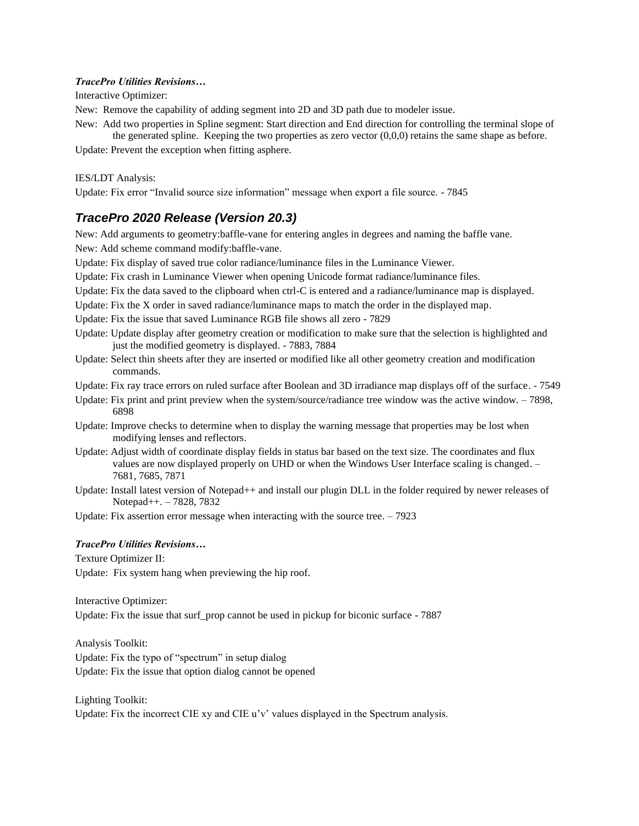#### *TracePro Utilities Revisions…*

Interactive Optimizer:

New: Remove the capability of adding segment into 2D and 3D path due to modeler issue.

New: Add two properties in Spline segment: Start direction and End direction for controlling the terminal slope of the generated spline. Keeping the two properties as zero vector  $(0,0,0)$  retains the same shape as before.

Update: Prevent the exception when fitting asphere.

#### IES/LDT Analysis:

Update: Fix error "Invalid source size information" message when export a file source. - 7845

# *TracePro 2020 Release (Version 20.3)*

New: Add arguments to geometry:baffle-vane for entering angles in degrees and naming the baffle vane. New: Add scheme command modify:baffle-vane.

Update: Fix display of saved true color radiance/luminance files in the Luminance Viewer.

Update: Fix crash in Luminance Viewer when opening Unicode format radiance/luminance files.

- Update: Fix the data saved to the clipboard when ctrl-C is entered and a radiance/luminance map is displayed.
- Update: Fix the X order in saved radiance/luminance maps to match the order in the displayed map.

Update: Fix the issue that saved Luminance RGB file shows all zero - 7829

- Update: Update display after geometry creation or modification to make sure that the selection is highlighted and just the modified geometry is displayed. - 7883, 7884
- Update: Select thin sheets after they are inserted or modified like all other geometry creation and modification commands.
- Update: Fix ray trace errors on ruled surface after Boolean and 3D irradiance map displays off of the surface. 7549
- Update: Fix print and print preview when the system/source/radiance tree window was the active window. 7898, 6898
- Update: Improve checks to determine when to display the warning message that properties may be lost when modifying lenses and reflectors.
- Update: Adjust width of coordinate display fields in status bar based on the text size. The coordinates and flux values are now displayed properly on UHD or when the Windows User Interface scaling is changed. – 7681, 7685, 7871
- Update: Install latest version of Notepad++ and install our plugin DLL in the folder required by newer releases of Notepad++. – 7828, 7832

Update: Fix assertion error message when interacting with the source tree. – 7923

#### *TracePro Utilities Revisions…*

Texture Optimizer II:

Update: Fix system hang when previewing the hip roof.

Interactive Optimizer:

Update: Fix the issue that surf prop cannot be used in pickup for biconic surface - 7887

Analysis Toolkit: Update: Fix the typo of "spectrum" in setup dialog Update: Fix the issue that option dialog cannot be opened

Lighting Toolkit: Update: Fix the incorrect CIE xy and CIE u'v' values displayed in the Spectrum analysis.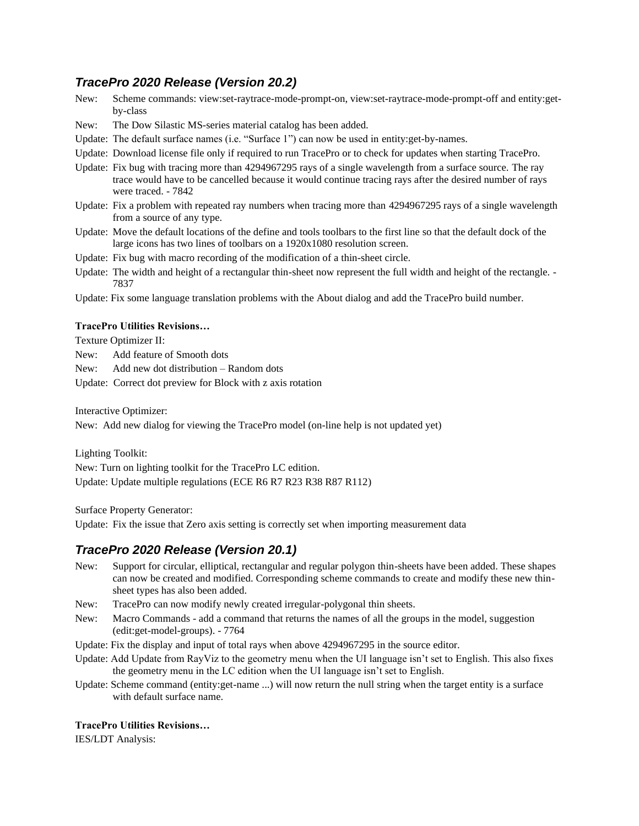# *TracePro 2020 Release (Version 20.2)*

- New: Scheme commands: view:set-raytrace-mode-prompt-on, view:set-raytrace-mode-prompt-off and entity:getby-class
- New: The Dow Silastic MS-series material catalog has been added.
- Update: The default surface names (i.e. "Surface 1") can now be used in entity:get-by-names.
- Update: Download license file only if required to run TracePro or to check for updates when starting TracePro.
- Update: Fix bug with tracing more than 4294967295 rays of a single wavelength from a surface source. The ray trace would have to be cancelled because it would continue tracing rays after the desired number of rays were traced. - 7842
- Update: Fix a problem with repeated ray numbers when tracing more than 4294967295 rays of a single wavelength from a source of any type.
- Update: Move the default locations of the define and tools toolbars to the first line so that the default dock of the large icons has two lines of toolbars on a 1920x1080 resolution screen.
- Update: Fix bug with macro recording of the modification of a thin-sheet circle.
- Update: The width and height of a rectangular thin-sheet now represent the full width and height of the rectangle. 7837
- Update: Fix some language translation problems with the About dialog and add the TracePro build number.

#### **TracePro Utilities Revisions…**

Texture Optimizer II:

- New: Add feature of Smooth dots
- New: Add new dot distribution Random dots
- Update: Correct dot preview for Block with z axis rotation

Interactive Optimizer:

New: Add new dialog for viewing the TracePro model (on-line help is not updated yet)

Lighting Toolkit: New: Turn on lighting toolkit for the TracePro LC edition. Update: Update multiple regulations (ECE R6 R7 R23 R38 R87 R112)

Surface Property Generator:

Update: Fix the issue that Zero axis setting is correctly set when importing measurement data

### *TracePro 2020 Release (Version 20.1)*

- New: Support for circular, elliptical, rectangular and regular polygon thin-sheets have been added. These shapes can now be created and modified. Corresponding scheme commands to create and modify these new thinsheet types has also been added.
- New: TracePro can now modify newly created irregular-polygonal thin sheets.
- New: Macro Commands add a command that returns the names of all the groups in the model, suggestion (edit:get-model-groups). - 7764
- Update: Fix the display and input of total rays when above 4294967295 in the source editor.
- Update: Add Update from RayViz to the geometry menu when the UI language isn't set to English. This also fixes the geometry menu in the LC edition when the UI language isn't set to English.
- Update: Scheme command (entity:get-name ...) will now return the null string when the target entity is a surface with default surface name.

#### **TracePro Utilities Revisions…**

IES/LDT Analysis: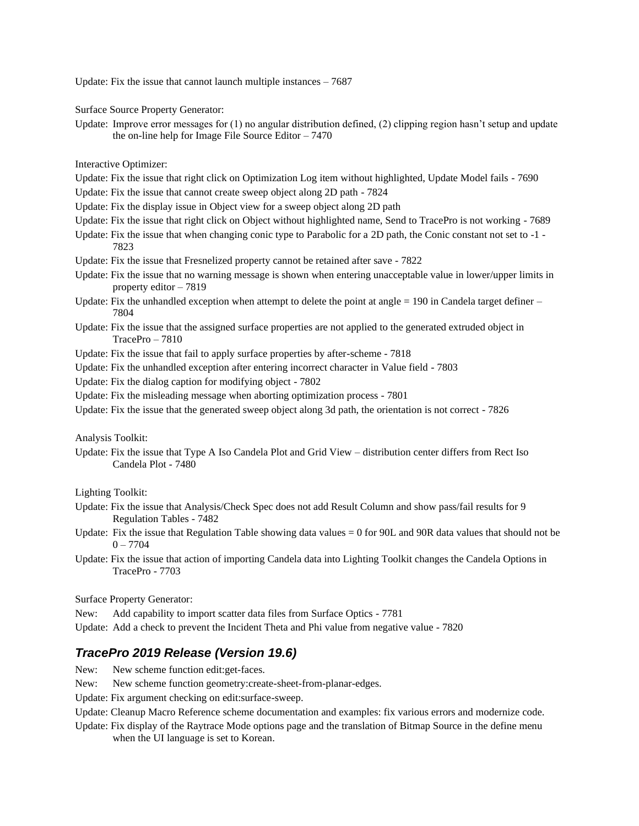Update: Fix the issue that cannot launch multiple instances – 7687

Surface Source Property Generator:

Update: Improve error messages for (1) no angular distribution defined, (2) clipping region hasn't setup and update the on-line help for Image File Source Editor  $-7470$ 

Interactive Optimizer:

- Update: Fix the issue that right click on Optimization Log item without highlighted, Update Model fails 7690
- Update: Fix the issue that cannot create sweep object along 2D path 7824
- Update: Fix the display issue in Object view for a sweep object along 2D path
- Update: Fix the issue that right click on Object without highlighted name, Send to TracePro is not working 7689
- Update: Fix the issue that when changing conic type to Parabolic for a 2D path, the Conic constant not set to -1 7823
- Update: Fix the issue that Fresnelized property cannot be retained after save 7822
- Update: Fix the issue that no warning message is shown when entering unacceptable value in lower/upper limits in property editor – 7819
- Update: Fix the unhandled exception when attempt to delete the point at angle  $= 190$  in Candela target definer  $-$ 7804
- Update: Fix the issue that the assigned surface properties are not applied to the generated extruded object in TracePro – 7810
- Update: Fix the issue that fail to apply surface properties by after-scheme 7818
- Update: Fix the unhandled exception after entering incorrect character in Value field 7803
- Update: Fix the dialog caption for modifying object 7802
- Update: Fix the misleading message when aborting optimization process 7801
- Update: Fix the issue that the generated sweep object along 3d path, the orientation is not correct 7826

Analysis Toolkit:

Update: Fix the issue that Type A Iso Candela Plot and Grid View – distribution center differs from Rect Iso Candela Plot - 7480

Lighting Toolkit:

- Update: Fix the issue that Analysis/Check Spec does not add Result Column and show pass/fail results for 9 Regulation Tables - 7482
- Update: Fix the issue that Regulation Table showing data values = 0 for 90L and 90R data values that should not be  $0 - 7704$
- Update: Fix the issue that action of importing Candela data into Lighting Toolkit changes the Candela Options in TracePro - 7703

Surface Property Generator:

- New: Add capability to import scatter data files from Surface Optics 7781
- Update: Add a check to prevent the Incident Theta and Phi value from negative value 7820

# *TracePro 2019 Release (Version 19.6)*

- New: New scheme function edit: get-faces.
- New: New scheme function geometry:create-sheet-from-planar-edges.
- Update: Fix argument checking on edit:surface-sweep.
- Update: Cleanup Macro Reference scheme documentation and examples: fix various errors and modernize code.
- Update: Fix display of the Raytrace Mode options page and the translation of Bitmap Source in the define menu when the UI language is set to Korean.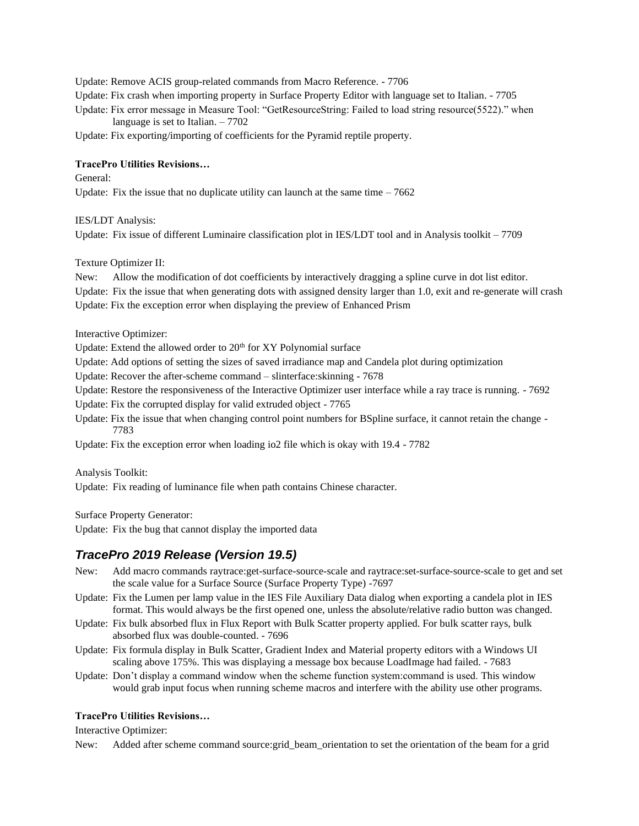Update: Remove ACIS group-related commands from Macro Reference. - 7706 Update: Fix crash when importing property in Surface Property Editor with language set to Italian. - 7705 Update: Fix error message in Measure Tool: "GetResourceString: Failed to load string resource(5522)." when language is set to Italian. – 7702

Update: Fix exporting/importing of coefficients for the Pyramid reptile property.

#### **TracePro Utilities Revisions…**

General:

Update: Fix the issue that no duplicate utility can launch at the same time  $-7662$ 

IES/LDT Analysis:

Update: Fix issue of different Luminaire classification plot in IES/LDT tool and in Analysis toolkit – 7709

Texture Optimizer II:

New: Allow the modification of dot coefficients by interactively dragging a spline curve in dot list editor.

Update: Fix the issue that when generating dots with assigned density larger than 1.0, exit and re-generate will crash Update: Fix the exception error when displaying the preview of Enhanced Prism

Interactive Optimizer:

Update: Extend the allowed order to 20<sup>th</sup> for XY Polynomial surface

Update: Add options of setting the sizes of saved irradiance map and Candela plot during optimization

Update: Recover the after-scheme command – slinterface:skinning - 7678

Update: Restore the responsiveness of the Interactive Optimizer user interface while a ray trace is running. - 7692

Update: Fix the corrupted display for valid extruded object - 7765

Update: Fix the issue that when changing control point numbers for BSpline surface, it cannot retain the change - 7783

Update: Fix the exception error when loading io2 file which is okay with 19.4 - 7782

Analysis Toolkit:

Update: Fix reading of luminance file when path contains Chinese character.

Surface Property Generator:

Update: Fix the bug that cannot display the imported data

# *TracePro 2019 Release (Version 19.5)*

- New: Add macro commands raytrace:get-surface-source-scale and raytrace:set-surface-source-scale to get and set the scale value for a Surface Source (Surface Property Type) -7697
- Update: Fix the Lumen per lamp value in the IES File Auxiliary Data dialog when exporting a candela plot in IES format. This would always be the first opened one, unless the absolute/relative radio button was changed.
- Update: Fix bulk absorbed flux in Flux Report with Bulk Scatter property applied. For bulk scatter rays, bulk absorbed flux was double-counted. - 7696
- Update: Fix formula display in Bulk Scatter, Gradient Index and Material property editors with a Windows UI scaling above 175%. This was displaying a message box because LoadImage had failed. - 7683
- Update: Don't display a command window when the scheme function system:command is used. This window would grab input focus when running scheme macros and interfere with the ability use other programs.

#### **TracePro Utilities Revisions…**

Interactive Optimizer:

New: Added after scheme command source:grid\_beam\_orientation to set the orientation of the beam for a grid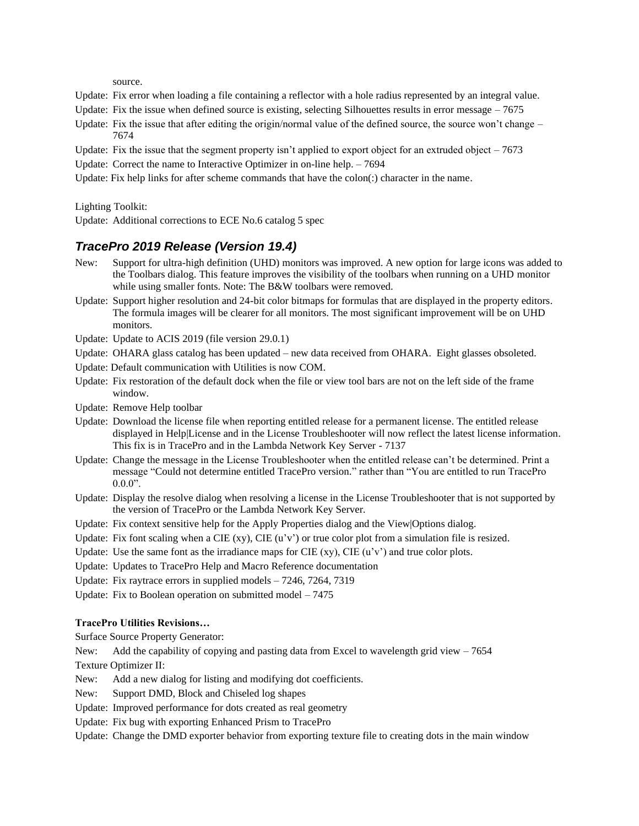source.

- Update: Fix error when loading a file containing a reflector with a hole radius represented by an integral value.
- Update: Fix the issue when defined source is existing, selecting Silhouettes results in error message  $-7675$
- Update: Fix the issue that after editing the origin/normal value of the defined source, the source won't change 7674
- Update: Fix the issue that the segment property isn't applied to export object for an extruded object  $-7673$
- Update: Correct the name to Interactive Optimizer in on-line help. 7694

Update: Fix help links for after scheme commands that have the colon(:) character in the name.

Lighting Toolkit:

Update: Additional corrections to ECE No.6 catalog 5 spec

# *TracePro 2019 Release (Version 19.4)*

- New: Support for ultra-high definition (UHD) monitors was improved. A new option for large icons was added to the Toolbars dialog. This feature improves the visibility of the toolbars when running on a UHD monitor while using smaller fonts. Note: The B&W toolbars were removed.
- Update: Support higher resolution and 24-bit color bitmaps for formulas that are displayed in the property editors. The formula images will be clearer for all monitors. The most significant improvement will be on UHD monitors.
- Update: Update to ACIS 2019 (file version 29.0.1)
- Update: OHARA glass catalog has been updated new data received from OHARA. Eight glasses obsoleted.
- Update: Default communication with Utilities is now COM.
- Update: Fix restoration of the default dock when the file or view tool bars are not on the left side of the frame window.
- Update: Remove Help toolbar
- Update: Download the license file when reporting entitled release for a permanent license. The entitled release displayed in Help|License and in the License Troubleshooter will now reflect the latest license information. This fix is in TracePro and in the Lambda Network Key Server - 7137
- Update: Change the message in the License Troubleshooter when the entitled release can't be determined. Print a message "Could not determine entitled TracePro version." rather than "You are entitled to run TracePro  $0.00$ ".
- Update: Display the resolve dialog when resolving a license in the License Troubleshooter that is not supported by the version of TracePro or the Lambda Network Key Server.
- Update: Fix context sensitive help for the Apply Properties dialog and the View|Options dialog.
- Update: Fix font scaling when a CIE (xy), CIE ( $u'v'$ ) or true color plot from a simulation file is resized.
- Update: Use the same font as the irradiance maps for CIE  $(xy)$ , CIE  $(u'v')$  and true color plots.
- Update: Updates to TracePro Help and Macro Reference documentation
- Update: Fix raytrace errors in supplied models 7246, 7264, 7319
- Update: Fix to Boolean operation on submitted model 7475

#### **TracePro Utilities Revisions…**

Surface Source Property Generator:

New: Add the capability of copying and pasting data from Excel to wavelength grid view  $-7654$ 

Texture Optimizer II:

- New: Add a new dialog for listing and modifying dot coefficients.
- New: Support DMD, Block and Chiseled log shapes
- Update: Improved performance for dots created as real geometry
- Update: Fix bug with exporting Enhanced Prism to TracePro

Update: Change the DMD exporter behavior from exporting texture file to creating dots in the main window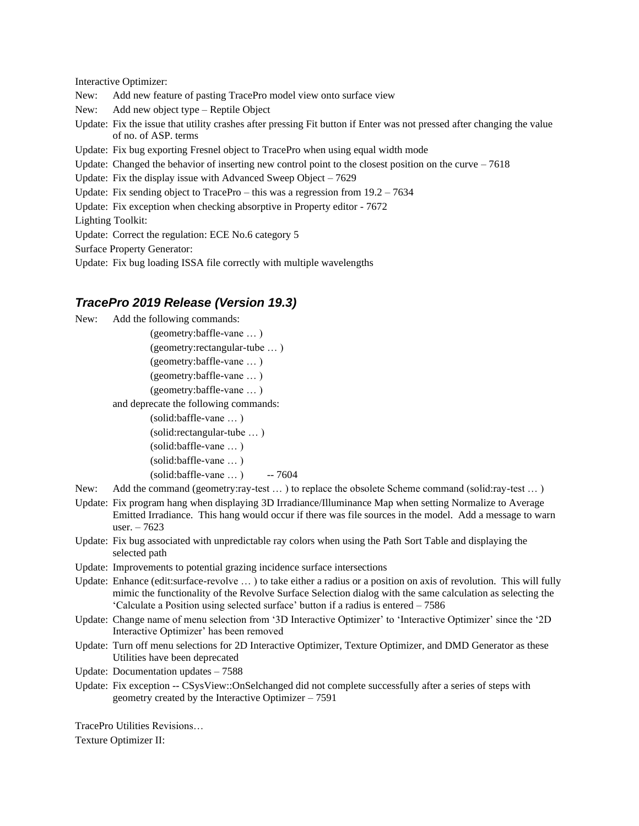Interactive Optimizer:

- New: Add new feature of pasting TracePro model view onto surface view
- New: Add new object type Reptile Object
- Update: Fix the issue that utility crashes after pressing Fit button if Enter was not pressed after changing the value of no. of ASP. terms
- Update: Fix bug exporting Fresnel object to TracePro when using equal width mode
- Update: Changed the behavior of inserting new control point to the closest position on the curve  $-7618$
- Update: Fix the display issue with Advanced Sweep Object 7629
- Update: Fix sending object to TracePro this was a regression from  $19.2 7634$
- Update: Fix exception when checking absorptive in Property editor 7672

Lighting Toolkit:

Update: Correct the regulation: ECE No.6 category 5

Surface Property Generator:

Update: Fix bug loading ISSA file correctly with multiple wavelengths

### *TracePro 2019 Release (Version 19.3)*

New: Add the following commands:

(geometry:baffle-vane … ) (geometry:rectangular-tube … ) (geometry:baffle-vane … ) (geometry:baffle-vane … ) (geometry:baffle-vane … ) and deprecate the following commands: (solid:baffle-vane … ) (solid:rectangular-tube … ) (solid:baffle-vane … ) (solid:baffle-vane … ) (solid:baffle-vane … ) -- 7604

- New: Add the command (geometry:ray-test … ) to replace the obsolete Scheme command (solid:ray-test … )
- Update: Fix program hang when displaying 3D Irradiance/Illuminance Map when setting Normalize to Average Emitted Irradiance. This hang would occur if there was file sources in the model. Add a message to warn user. – 7623
- Update: Fix bug associated with unpredictable ray colors when using the Path Sort Table and displaying the selected path
- Update: Improvements to potential grazing incidence surface intersections
- Update: Enhance (edit:surface-revolve ...) to take either a radius or a position on axis of revolution. This will fully mimic the functionality of the Revolve Surface Selection dialog with the same calculation as selecting the 'Calculate a Position using selected surface' button if a radius is entered – 7586
- Update: Change name of menu selection from '3D Interactive Optimizer' to 'Interactive Optimizer' since the '2D Interactive Optimizer' has been removed
- Update: Turn off menu selections for 2D Interactive Optimizer, Texture Optimizer, and DMD Generator as these Utilities have been deprecated
- Update: Documentation updates 7588
- Update: Fix exception -- CSysView::OnSelchanged did not complete successfully after a series of steps with geometry created by the Interactive Optimizer – 7591

TracePro Utilities Revisions…

Texture Optimizer II: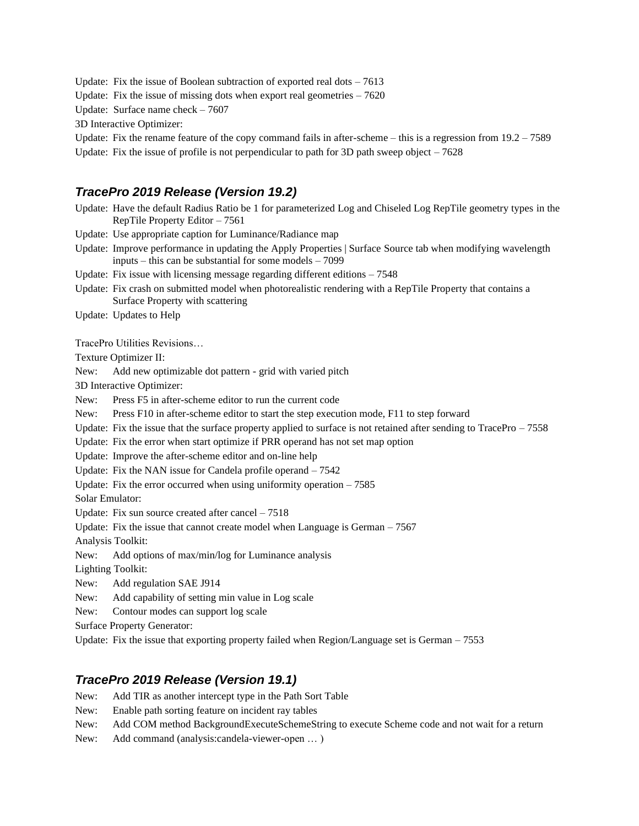Update: Fix the issue of Boolean subtraction of exported real dots  $-7613$ 

Update: Fix the issue of missing dots when export real geometries  $-7620$ 

Update: Surface name check – 7607

3D Interactive Optimizer:

Update: Fix the rename feature of the copy command fails in after-scheme  $-$  this is a regression from  $19.2 - 7589$ 

Update: Fix the issue of profile is not perpendicular to path for 3D path sweep object  $-7628$ 

### *TracePro 2019 Release (Version 19.2)*

Update: Have the default Radius Ratio be 1 for parameterized Log and Chiseled Log RepTile geometry types in the RepTile Property Editor – 7561

Update: Use appropriate caption for Luminance/Radiance map

Update: Improve performance in updating the Apply Properties | Surface Source tab when modifying wavelength inputs – this can be substantial for some models – 7099

Update: Fix issue with licensing message regarding different editions – 7548

Update: Fix crash on submitted model when photorealistic rendering with a RepTile Property that contains a Surface Property with scattering

Update: Updates to Help

TracePro Utilities Revisions…

Texture Optimizer II:

New: Add new optimizable dot pattern - grid with varied pitch

3D Interactive Optimizer:

New: Press F5 in after-scheme editor to run the current code

New: Press F10 in after-scheme editor to start the step execution mode, F11 to step forward

Update: Fix the issue that the surface property applied to surface is not retained after sending to  $TracePro - 7558$ 

Update: Fix the error when start optimize if PRR operand has not set map option

Update: Improve the after-scheme editor and on-line help

Update: Fix the NAN issue for Candela profile operand – 7542

Update: Fix the error occurred when using uniformity operation  $-7585$ 

Solar Emulator:

Update: Fix sun source created after cancel – 7518

Update: Fix the issue that cannot create model when Language is German – 7567

Analysis Toolkit:

New: Add options of max/min/log for Luminance analysis

Lighting Toolkit:

New: Add regulation SAE J914

New: Add capability of setting min value in Log scale

New: Contour modes can support log scale

Surface Property Generator:

Update: Fix the issue that exporting property failed when Region/Language set is German – 7553

#### *TracePro 2019 Release (Version 19.1)*

- New: Add TIR as another intercept type in the Path Sort Table
- New: Enable path sorting feature on incident ray tables
- New: Add COM method BackgroundExecuteSchemeString to execute Scheme code and not wait for a return
- New: Add command (analysis:candela-viewer-open … )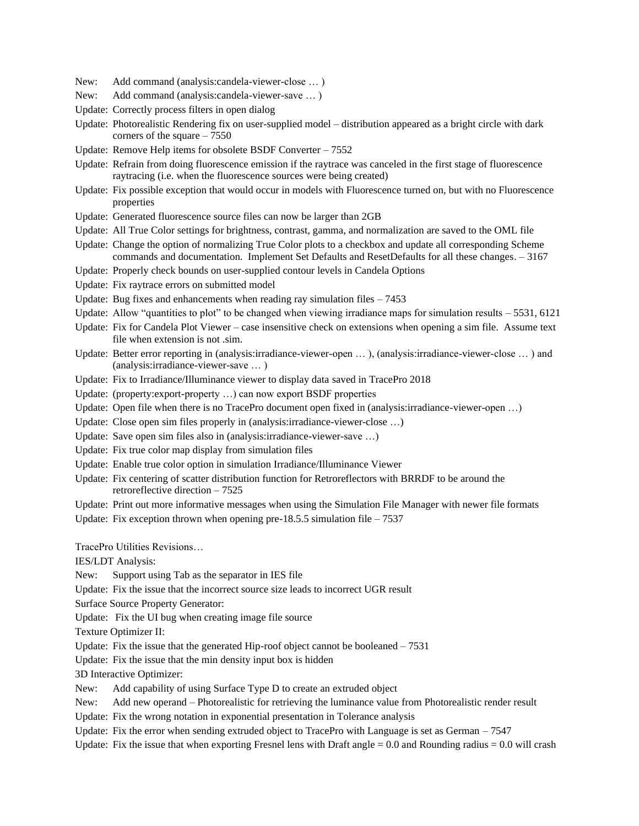- New: Add command (analysis:candela-viewer-close … )
- New: Add command (analysis:candela-viewer-save … )
- Update: Correctly process filters in open dialog
- Update: Photorealistic Rendering fix on user-supplied model distribution appeared as a bright circle with dark corners of the square – 7550
- Update: Remove Help items for obsolete BSDF Converter 7552
- Update: Refrain from doing fluorescence emission if the raytrace was canceled in the first stage of fluorescence raytracing (i.e. when the fluorescence sources were being created)
- Update: Fix possible exception that would occur in models with Fluorescence turned on, but with no Fluorescence properties
- Update: Generated fluorescence source files can now be larger than 2GB
- Update: All True Color settings for brightness, contrast, gamma, and normalization are saved to the OML file
- Update: Change the option of normalizing True Color plots to a checkbox and update all corresponding Scheme commands and documentation. Implement Set Defaults and ResetDefaults for all these changes. – 3167
- Update: Properly check bounds on user-supplied contour levels in Candela Options
- Update: Fix raytrace errors on submitted model
- Update: Bug fixes and enhancements when reading ray simulation files  $-7453$
- Update: Allow "quantities to plot" to be changed when viewing irradiance maps for simulation results 5531, 6121
- Update: Fix for Candela Plot Viewer case insensitive check on extensions when opening a sim file. Assume text file when extension is not .sim.
- Update: Better error reporting in (analysis:irradiance-viewer-open … ), (analysis:irradiance-viewer-close … ) and (analysis:irradiance-viewer-save … )
- Update: Fix to Irradiance/Illuminance viewer to display data saved in TracePro 2018
- Update: (property:export-property …) can now export BSDF properties
- Update: Open file when there is no TracePro document open fixed in (analysis: irradiance-viewer-open ...)
- Update: Close open sim files properly in (analysis:irradiance-viewer-close …)
- Update: Save open sim files also in (analysis:irradiance-viewer-save …)
- Update: Fix true color map display from simulation files
- Update: Enable true color option in simulation Irradiance/Illuminance Viewer
- Update: Fix centering of scatter distribution function for Retroreflectors with BRRDF to be around the retroreflective direction – 7525
- Update: Print out more informative messages when using the Simulation File Manager with newer file formats
- Update: Fix exception thrown when opening pre-18.5.5 simulation file  $-7537$

TracePro Utilities Revisions…

IES/LDT Analysis:

- New: Support using Tab as the separator in IES file
- Update: Fix the issue that the incorrect source size leads to incorrect UGR result
- Surface Source Property Generator:
- Update: Fix the UI bug when creating image file source

Texture Optimizer II:

Update: Fix the issue that the generated Hip-roof object cannot be booleaned – 7531

Update: Fix the issue that the min density input box is hidden

3D Interactive Optimizer:

New: Add capability of using Surface Type D to create an extruded object

New: Add new operand – Photorealistic for retrieving the luminance value from Photorealistic render result

Update: Fix the wrong notation in exponential presentation in Tolerance analysis

- Update: Fix the error when sending extruded object to TracePro with Language is set as German 7547
- Update: Fix the issue that when exporting Fresnel lens with Draft angle  $= 0.0$  and Rounding radius  $= 0.0$  will crash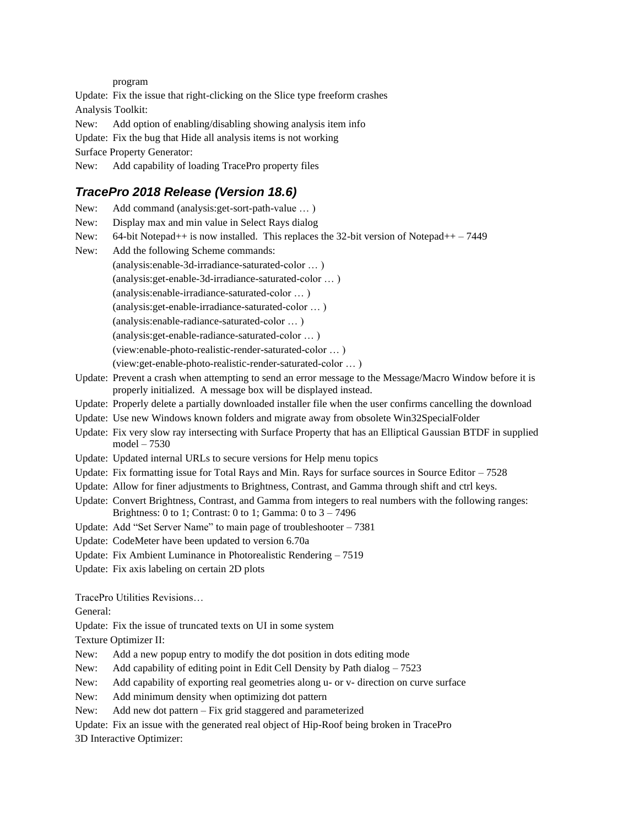program

Update: Fix the issue that right-clicking on the Slice type freeform crashes Analysis Toolkit: New: Add option of enabling/disabling showing analysis item info Update: Fix the bug that Hide all analysis items is not working Surface Property Generator: New: Add capability of loading TracePro property files

# *TracePro 2018 Release (Version 18.6)*

| New:     | Add command (analysis: get-sort-path-value )                                                                                                                                |
|----------|-----------------------------------------------------------------------------------------------------------------------------------------------------------------------------|
| New:     | Display max and min value in Select Rays dialog                                                                                                                             |
| New:     | 64-bit Notepad++ is now installed. This replaces the 32-bit version of Notepad++ $-7449$                                                                                    |
| New:     | Add the following Scheme commands:                                                                                                                                          |
|          | (analysis:enable-3d-irradiance-saturated-color )                                                                                                                            |
|          | (analysis: get-enable-3d-irradiance-saturated-color )                                                                                                                       |
|          | (analysis:enable-irradiance-saturated-color )                                                                                                                               |
|          | (analysis: get-enable-irradiance-saturated-color )                                                                                                                          |
|          | (analysis:enable-radiance-saturated-color )                                                                                                                                 |
|          | (analysis: get-enable-radiance-saturated-color )                                                                                                                            |
|          | (view:enable-photo-realistic-render-saturated-color )                                                                                                                       |
|          | (view:get-enable-photo-realistic-render-saturated-color )                                                                                                                   |
|          | Update: Prevent a crash when attempting to send an error message to the Message/Macro Window before it is<br>properly initialized. A message box will be displayed instead. |
|          | Update: Properly delete a partially downloaded installer file when the user confirms cancelling the download                                                                |
|          | Update: Use new Windows known folders and migrate away from obsolete Win32SpecialFolder                                                                                     |
|          | Update: Fix very slow ray intersecting with Surface Property that has an Elliptical Gaussian BTDF in supplied<br>$model - 7530$                                             |
|          | Update: Updated internal URLs to secure versions for Help menu topics                                                                                                       |
|          | Update: Fix formatting issue for Total Rays and Min. Rays for surface sources in Source Editor $-7528$                                                                      |
|          | Update: Allow for finer adjustments to Brightness, Contrast, and Gamma through shift and ctrl keys.                                                                         |
|          | Update: Convert Brightness, Contrast, and Gamma from integers to real numbers with the following ranges:<br>Brightness: 0 to 1; Contrast: 0 to 1; Gamma: 0 to $3 - 7496$    |
|          | Update: Add "Set Server Name" to main page of troubleshooter - 7381                                                                                                         |
|          | Update: CodeMeter have been updated to version 6.70a                                                                                                                        |
|          | Update: Fix Ambient Luminance in Photorealistic Rendering - 7519                                                                                                            |
|          | Update: Fix axis labeling on certain 2D plots                                                                                                                               |
|          | TracePro Utilities Revisions                                                                                                                                                |
| General: |                                                                                                                                                                             |
|          | Update: Fix the issue of truncated texts on UI in some system                                                                                                               |

Texture Optimizer II:

- New: Add a new popup entry to modify the dot position in dots editing mode
- New: Add capability of editing point in Edit Cell Density by Path dialog 7523
- New: Add capability of exporting real geometries along u- or v- direction on curve surface
- New: Add minimum density when optimizing dot pattern
- New: Add new dot pattern Fix grid staggered and parameterized
- Update: Fix an issue with the generated real object of Hip-Roof being broken in TracePro

3D Interactive Optimizer: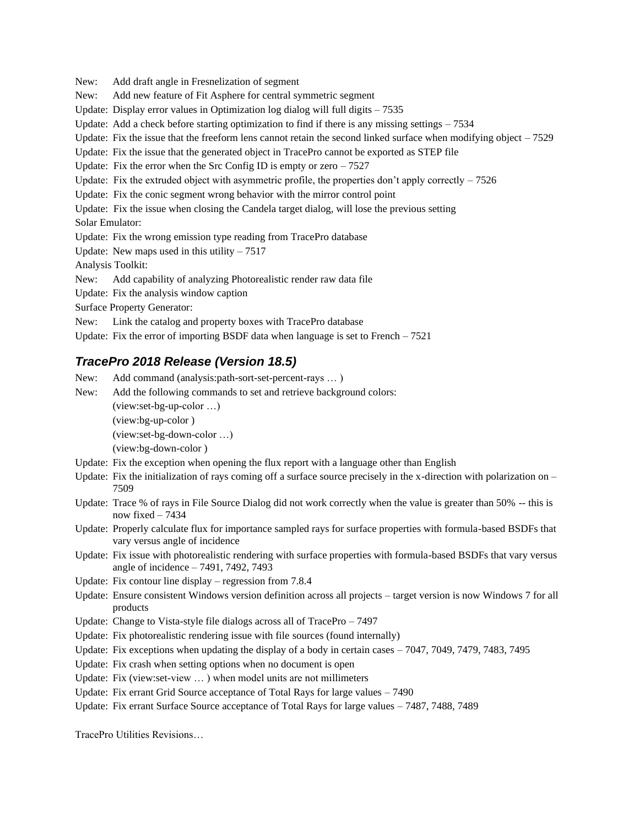New: Add draft angle in Fresnelization of segment New: Add new feature of Fit Asphere for central symmetric segment Update: Display error values in Optimization log dialog will full digits – 7535 Update: Add a check before starting optimization to find if there is any missing settings  $-7534$ Update: Fix the issue that the freeform lens cannot retain the second linked surface when modifying object  $-7529$ Update: Fix the issue that the generated object in TracePro cannot be exported as STEP file Update: Fix the error when the Src Config ID is empty or  $zero - 7527$ Update: Fix the extruded object with asymmetric profile, the properties don't apply correctly  $-7526$ Update: Fix the conic segment wrong behavior with the mirror control point Update: Fix the issue when closing the Candela target dialog, will lose the previous setting Solar Emulator: Update: Fix the wrong emission type reading from TracePro database Update: New maps used in this utility  $-7517$ Analysis Toolkit: New: Add capability of analyzing Photorealistic render raw data file Update: Fix the analysis window caption Surface Property Generator: New: Link the catalog and property boxes with TracePro database Update: Fix the error of importing BSDF data when language is set to French – 7521

# *TracePro 2018 Release (Version 18.5)*

New: Add command (analysis:path-sort-set-percent-rays … )

New: Add the following commands to set and retrieve background colors:

(view:set-bg-up-color …)

(view:bg-up-color )

(view:set-bg-down-color …)

(view:bg-down-color )

- Update: Fix the exception when opening the flux report with a language other than English
- Update: Fix the initialization of rays coming off a surface source precisely in the x-direction with polarization on  $-$ 7509
- Update: Trace % of rays in File Source Dialog did not work correctly when the value is greater than 50% -- this is now fixed – 7434
- Update: Properly calculate flux for importance sampled rays for surface properties with formula-based BSDFs that vary versus angle of incidence
- Update: Fix issue with photorealistic rendering with surface properties with formula-based BSDFs that vary versus angle of incidence – 7491, 7492, 7493
- Update: Fix contour line display regression from 7.8.4
- Update: Ensure consistent Windows version definition across all projects target version is now Windows 7 for all products
- Update: Change to Vista-style file dialogs across all of TracePro 7497
- Update: Fix photorealistic rendering issue with file sources (found internally)
- Update: Fix exceptions when updating the display of a body in certain cases 7047, 7049, 7479, 7483, 7495
- Update: Fix crash when setting options when no document is open
- Update: Fix (view:set-view … ) when model units are not millimeters
- Update: Fix errant Grid Source acceptance of Total Rays for large values 7490
- Update: Fix errant Surface Source acceptance of Total Rays for large values 7487, 7488, 7489

TracePro Utilities Revisions…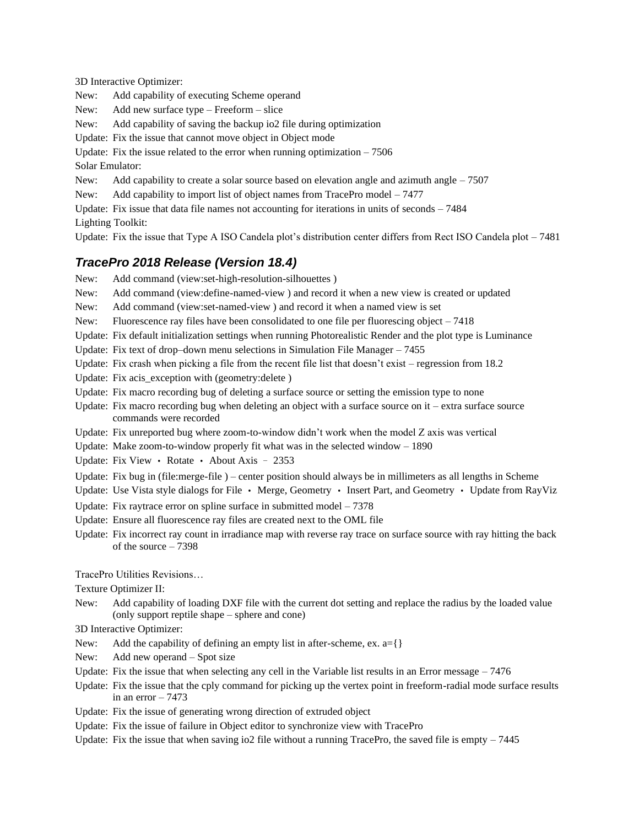3D Interactive Optimizer:

New: Add capability of executing Scheme operand

New: Add new surface type – Freeform – slice

New: Add capability of saving the backup io2 file during optimization

Update: Fix the issue that cannot move object in Object mode

Update: Fix the issue related to the error when running optimization  $-7506$ 

Solar Emulator:

New: Add capability to create a solar source based on elevation angle and azimuth angle  $-7507$ 

New: Add capability to import list of object names from TracePro model – 7477

Update: Fix issue that data file names not accounting for iterations in units of seconds – 7484

Lighting Toolkit:

Update: Fix the issue that Type A ISO Candela plot's distribution center differs from Rect ISO Candela plot – 7481

# *TracePro 2018 Release (Version 18.4)*

New: Add command (view:set-high-resolution-silhouettes )

- New: Add command (view:define-named-view ) and record it when a new view is created or updated
- New: Add command (view:set-named-view ) and record it when a named view is set
- New: Fluorescence ray files have been consolidated to one file per fluorescing object  $-7418$
- Update: Fix default initialization settings when running Photorealistic Render and the plot type is Luminance
- Update: Fix text of drop–down menu selections in Simulation File Manager 7455
- Update: Fix crash when picking a file from the recent file list that doesn't exist regression from 18.2
- Update: Fix acis\_exception with (geometry:delete )
- Update: Fix macro recording bug of deleting a surface source or setting the emission type to none
- Update: Fix macro recording bug when deleting an object with a surface source on it extra surface source commands were recorded
- Update: Fix unreported bug where zoom-to-window didn't work when the model Z axis was vertical
- Update: Make zoom-to-window properly fit what was in the selected window 1890

Update: Fix View • Rotate • About Axis – 2353

- Update: Fix bug in (file:merge-file ) center position should always be in millimeters as all lengths in Scheme
- Update: Use Vista style dialogs for File Merge, Geometry Insert Part, and Geometry Update from RayViz
- Update: Fix raytrace error on spline surface in submitted model 7378
- Update: Ensure all fluorescence ray files are created next to the OML file
- Update: Fix incorrect ray count in irradiance map with reverse ray trace on surface source with ray hitting the back of the source – 7398

TracePro Utilities Revisions…

Texture Optimizer II:

New: Add capability of loading DXF file with the current dot setting and replace the radius by the loaded value (only support reptile shape – sphere and cone)

3D Interactive Optimizer:

- New: Add the capability of defining an empty list in after-scheme, ex.  $a = \{\}$
- New: Add new operand Spot size
- Update: Fix the issue that when selecting any cell in the Variable list results in an Error message  $-7476$
- Update: Fix the issue that the cply command for picking up the vertex point in freeform-radial mode surface results in an error  $-7473$
- Update: Fix the issue of generating wrong direction of extruded object
- Update: Fix the issue of failure in Object editor to synchronize view with TracePro
- Update: Fix the issue that when saving io2 file without a running TracePro, the saved file is empty  $-7445$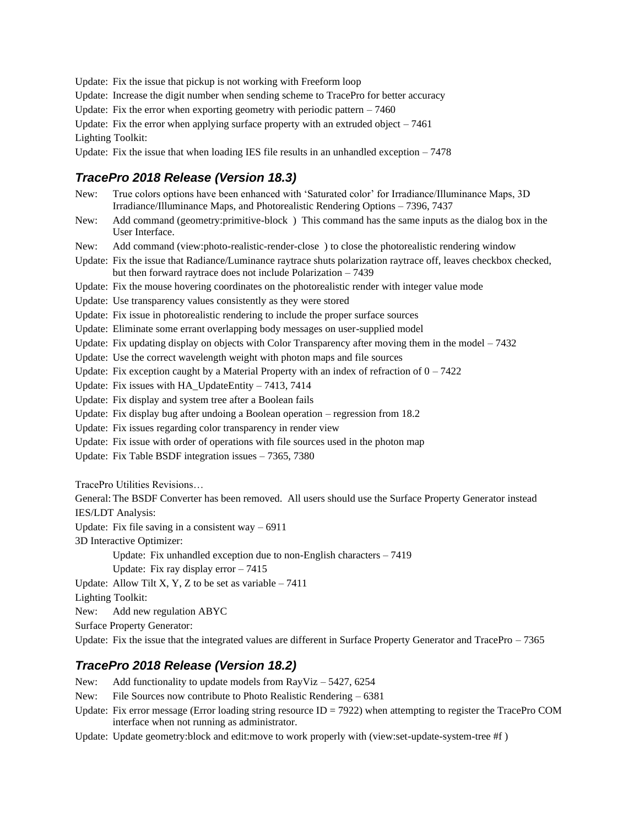Update: Fix the issue that pickup is not working with Freeform loop

Update: Increase the digit number when sending scheme to TracePro for better accuracy

Update: Fix the error when exporting geometry with periodic pattern  $-7460$ 

Update: Fix the error when applying surface property with an extruded object  $-7461$ 

Lighting Toolkit:

Update: Fix the issue that when loading IES file results in an unhandled exception  $-7478$ 

# *TracePro 2018 Release (Version 18.3)*

New: True colors options have been enhanced with 'Saturated color' for Irradiance/Illuminance Maps, 3D Irradiance/Illuminance Maps, and Photorealistic Rendering Options – 7396, 7437

New: Add command (geometry:primitive-block ) This command has the same inputs as the dialog box in the User Interface.

New: Add command (view:photo-realistic-render-close ) to close the photorealistic rendering window

Update: Fix the issue that Radiance/Luminance raytrace shuts polarization raytrace off, leaves checkbox checked, but then forward raytrace does not include Polarization – 7439

Update: Fix the mouse hovering coordinates on the photorealistic render with integer value mode

Update: Use transparency values consistently as they were stored

Update: Fix issue in photorealistic rendering to include the proper surface sources

Update: Eliminate some errant overlapping body messages on user-supplied model

Update: Fix updating display on objects with Color Transparency after moving them in the model  $-7432$ 

Update: Use the correct wavelength weight with photon maps and file sources

Update: Fix exception caught by a Material Property with an index of refraction of  $0 - 7422$ 

Update: Fix issues with HA\_UpdateEntity – 7413, 7414

Update: Fix display and system tree after a Boolean fails

Update: Fix display bug after undoing a Boolean operation – regression from 18.2

Update: Fix issues regarding color transparency in render view

Update: Fix issue with order of operations with file sources used in the photon map

Update: Fix Table BSDF integration issues – 7365, 7380

TracePro Utilities Revisions…

General: The BSDF Converter has been removed. All users should use the Surface Property Generator instead IES/LDT Analysis:

Update: Fix file saving in a consistent way  $-6911$ 

3D Interactive Optimizer:

Update: Fix unhandled exception due to non-English characters – 7419

Update: Fix ray display error  $-7415$ 

Update: Allow Tilt X, Y, Z to be set as variable  $-7411$ 

Lighting Toolkit:

New: Add new regulation ABYC

Surface Property Generator:

Update: Fix the issue that the integrated values are different in Surface Property Generator and TracePro – 7365

# *TracePro 2018 Release (Version 18.2)*

New: Add functionality to update models from RayViz – 5427, 6254

New: File Sources now contribute to Photo Realistic Rendering – 6381

Update: Fix error message (Error loading string resource  $ID = 7922$ ) when attempting to register the TracePro COM interface when not running as administrator.

Update: Update geometry:block and edit:move to work properly with (view:set-update-system-tree #f )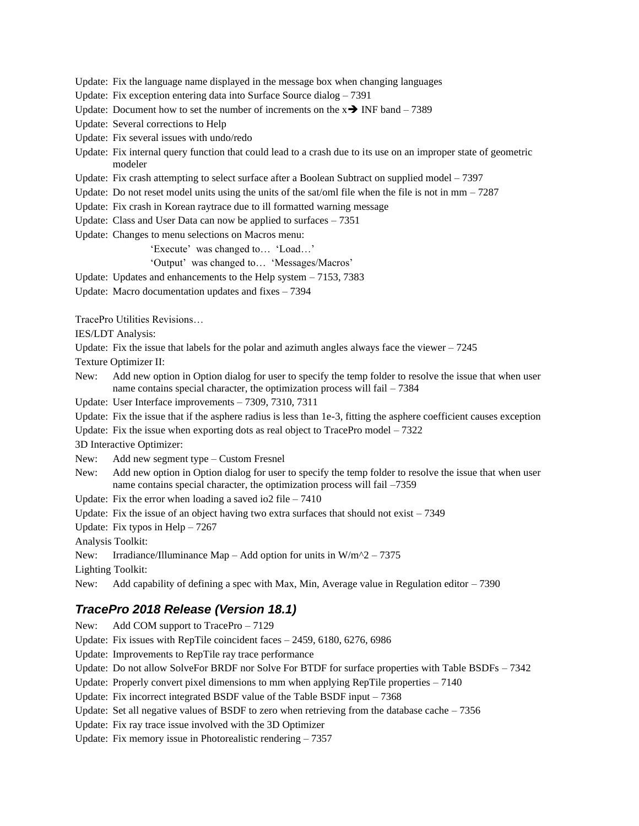Update: Fix the language name displayed in the message box when changing languages

Update: Fix exception entering data into Surface Source dialog – 7391

- Update: Document how to set the number of increments on the  $x \rightarrow \text{INF}$  band 7389
- Update: Several corrections to Help
- Update: Fix several issues with undo/redo
- Update: Fix internal query function that could lead to a crash due to its use on an improper state of geometric modeler
- Update: Fix crash attempting to select surface after a Boolean Subtract on supplied model 7397
- Update: Do not reset model units using the units of the sat/oml file when the file is not in  $mm 7287$
- Update: Fix crash in Korean raytrace due to ill formatted warning message
- Update: Class and User Data can now be applied to surfaces 7351
- Update: Changes to menu selections on Macros menu:

'Execute' was changed to… 'Load…'

'Output' was changed to… 'Messages/Macros'

- Update: Updates and enhancements to the Help system 7153, 7383
- Update: Macro documentation updates and fixes 7394

TracePro Utilities Revisions…

IES/LDT Analysis:

Update: Fix the issue that labels for the polar and azimuth angles always face the viewer  $-7245$ 

Texture Optimizer II:

- New: Add new option in Option dialog for user to specify the temp folder to resolve the issue that when user name contains special character, the optimization process will fail  $-7384$
- Update: User Interface improvements 7309, 7310, 7311

Update: Fix the issue that if the asphere radius is less than 1e-3, fitting the asphere coefficient causes exception

Update: Fix the issue when exporting dots as real object to TracePro model – 7322

3D Interactive Optimizer:

- New: Add new segment type Custom Fresnel
- New: Add new option in Option dialog for user to specify the temp folder to resolve the issue that when user name contains special character, the optimization process will fail –7359

Update: Fix the error when loading a saved io2 file  $-7410$ 

Update: Fix the issue of an object having two extra surfaces that should not exist  $-7349$ 

Update: Fix typos in  $Help - 7267$ 

Analysis Toolkit:

New: Irradiance/Illuminance Map – Add option for units in  $W/m^2$  – 7375

Lighting Toolkit:

New: Add capability of defining a spec with Max, Min, Average value in Regulation editor  $-7390$ 

# *TracePro 2018 Release (Version 18.1)*

New: Add COM support to TracePro – 7129 Update: Fix issues with RepTile coincident faces – 2459, 6180, 6276, 6986 Update: Improvements to RepTile ray trace performance Update: Do not allow SolveFor BRDF nor Solve For BTDF for surface properties with Table BSDFs – 7342 Update: Properly convert pixel dimensions to mm when applying RepTile properties – 7140 Update: Fix incorrect integrated BSDF value of the Table BSDF input – 7368 Update: Set all negative values of BSDF to zero when retrieving from the database cache  $-7356$ Update: Fix ray trace issue involved with the 3D Optimizer Update: Fix memory issue in Photorealistic rendering – 7357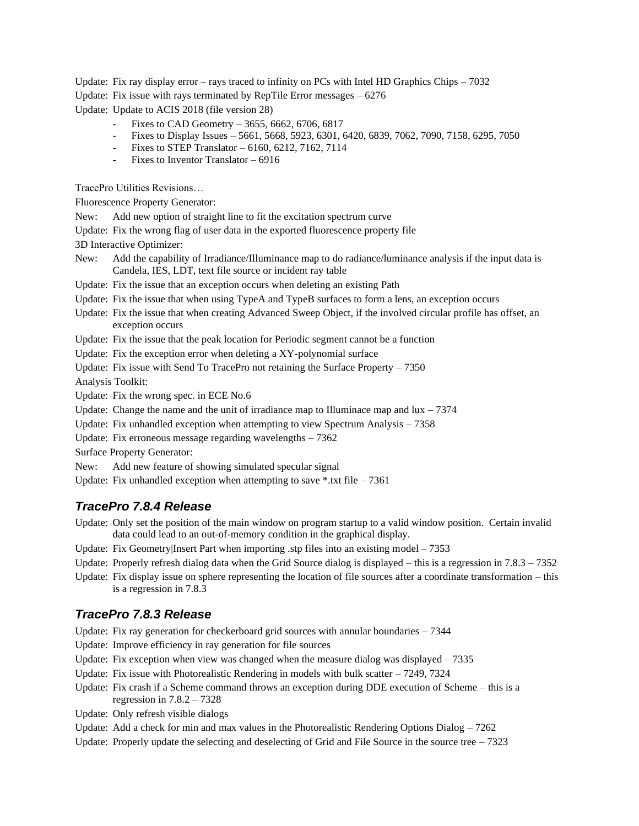Update: Fix ray display error – rays traced to infinity on PCs with Intel HD Graphics Chips – 7032

Update: Fix issue with rays terminated by RepTile Error messages – 6276

Update: Update to ACIS 2018 (file version 28)

- Fixes to CAD Geometry  $3655, 6662, 6706, 6817$
- Fixes to Display Issues 5661, 5668, 5923, 6301, 6420, 6839, 7062, 7090, 7158, 6295, 7050
- Fixes to STEP Translator 6160, 6212, 7162, 7114
- Fixes to Inventor Translator 6916

TracePro Utilities Revisions…

Fluorescence Property Generator:

New: Add new option of straight line to fit the excitation spectrum curve

Update: Fix the wrong flag of user data in the exported fluorescence property file

3D Interactive Optimizer:

New: Add the capability of Irradiance/Illuminance map to do radiance/luminance analysis if the input data is Candela, IES, LDT, text file source or incident ray table

Update: Fix the issue that an exception occurs when deleting an existing Path

Update: Fix the issue that when using TypeA and TypeB surfaces to form a lens, an exception occurs

Update: Fix the issue that when creating Advanced Sweep Object, if the involved circular profile has offset, an exception occurs

Update: Fix the issue that the peak location for Periodic segment cannot be a function

Update: Fix the exception error when deleting a XY-polynomial surface

Update: Fix issue with Send To TracePro not retaining the Surface Property – 7350

Analysis Toolkit:

Update: Fix the wrong spec. in ECE No.6

Update: Change the name and the unit of irradiance map to Illuminace map and  $\ln x - 7374$ 

Update: Fix unhandled exception when attempting to view Spectrum Analysis – 7358

Update: Fix erroneous message regarding wavelengths – 7362

Surface Property Generator:

New: Add new feature of showing simulated specular signal

Update: Fix unhandled exception when attempting to save  $*$ .txt file – 7361

# *TracePro 7.8.4 Release*

Update: Only set the position of the main window on program startup to a valid window position. Certain invalid data could lead to an out-of-memory condition in the graphical display.

Update: Fix Geometry Insert Part when importing .stp files into an existing model  $-7353$ 

Update: Properly refresh dialog data when the Grid Source dialog is displayed – this is a regression in  $7.8.3 - 7352$ 

Update: Fix display issue on sphere representing the location of file sources after a coordinate transformation – this is a regression in 7.8.3

#### *TracePro 7.8.3 Release*

Update: Fix ray generation for checkerboard grid sources with annular boundaries – 7344

Update: Improve efficiency in ray generation for file sources

Update: Fix exception when view was changed when the measure dialog was displayed  $-7335$ 

Update: Fix issue with Photorealistic Rendering in models with bulk scatter – 7249, 7324

Update: Fix crash if a Scheme command throws an exception during DDE execution of Scheme – this is a regression in 7.8.2 – 7328

Update: Only refresh visible dialogs

Update: Add a check for min and max values in the Photorealistic Rendering Options Dialog  $-7262$ 

Update: Properly update the selecting and deselecting of Grid and File Source in the source tree  $-7323$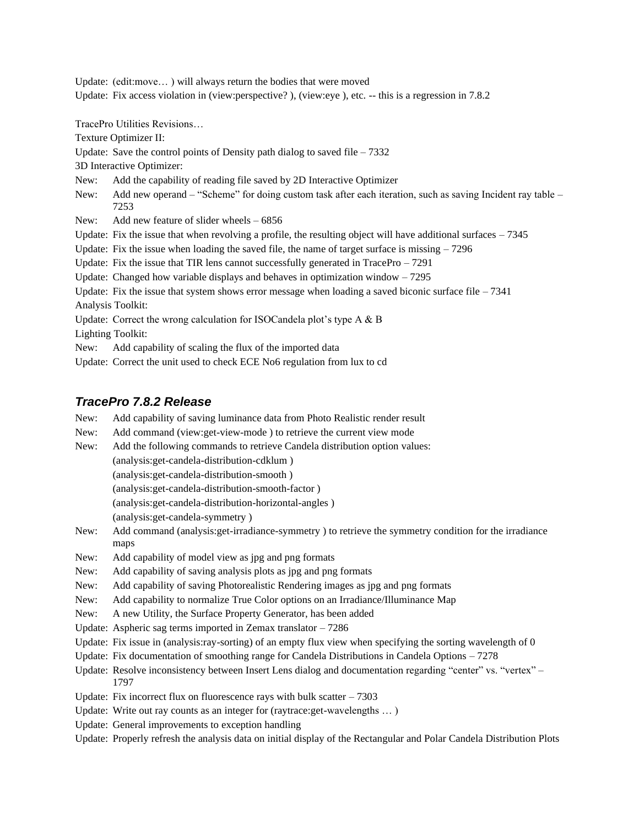Update: (edit:move… ) will always return the bodies that were moved

Update: Fix access violation in (view: perspective?), (view: eye), etc. -- this is a regression in 7.8.2

TracePro Utilities Revisions…

Texture Optimizer II:

Update: Save the control points of Density path dialog to saved file  $-7332$ 

3D Interactive Optimizer:

New: Add the capability of reading file saved by 2D Interactive Optimizer

New: Add new operand – "Scheme" for doing custom task after each iteration, such as saving Incident ray table – 7253

New: Add new feature of slider wheels – 6856

Update: Fix the issue that when revolving a profile, the resulting object will have additional surfaces – 7345

Update: Fix the issue when loading the saved file, the name of target surface is missing  $-7296$ 

Update: Fix the issue that TIR lens cannot successfully generated in TracePro - 7291

Update: Changed how variable displays and behaves in optimization window – 7295

Update: Fix the issue that system shows error message when loading a saved biconic surface file  $-7341$ Analysis Toolkit:

Update: Correct the wrong calculation for ISOCandela plot's type A & B

Lighting Toolkit:

New: Add capability of scaling the flux of the imported data

Update: Correct the unit used to check ECE No6 regulation from lux to cd

# *TracePro 7.8.2 Release*

New: Add capability of saving luminance data from Photo Realistic render result

New: Add command (view:get-view-mode ) to retrieve the current view mode

- New: Add the following commands to retrieve Candela distribution option values:
	- (analysis:get-candela-distribution-cdklum )
	- (analysis:get-candela-distribution-smooth )

(analysis:get-candela-distribution-smooth-factor )

(analysis:get-candela-distribution-horizontal-angles )

(analysis:get-candela-symmetry )

New: Add command (analysis:get-irradiance-symmetry ) to retrieve the symmetry condition for the irradiance maps

- New: Add capability of model view as jpg and png formats
- New: Add capability of saving analysis plots as jpg and png formats
- New: Add capability of saving Photorealistic Rendering images as jpg and png formats
- New: Add capability to normalize True Color options on an Irradiance/Illuminance Map
- New: A new Utility, the Surface Property Generator, has been added
- Update: Aspheric sag terms imported in Zemax translator 7286

Update: Fix issue in (analysis:ray-sorting) of an empty flux view when specifying the sorting wavelength of 0

Update: Fix documentation of smoothing range for Candela Distributions in Candela Options – 7278

Update: Resolve inconsistency between Insert Lens dialog and documentation regarding "center" vs. "vertex" – 1797

- Update: Fix incorrect flux on fluorescence rays with bulk scatter  $-7303$
- Update: Write out ray counts as an integer for (raytrace:get-wavelengths … )
- Update: General improvements to exception handling
- Update: Properly refresh the analysis data on initial display of the Rectangular and Polar Candela Distribution Plots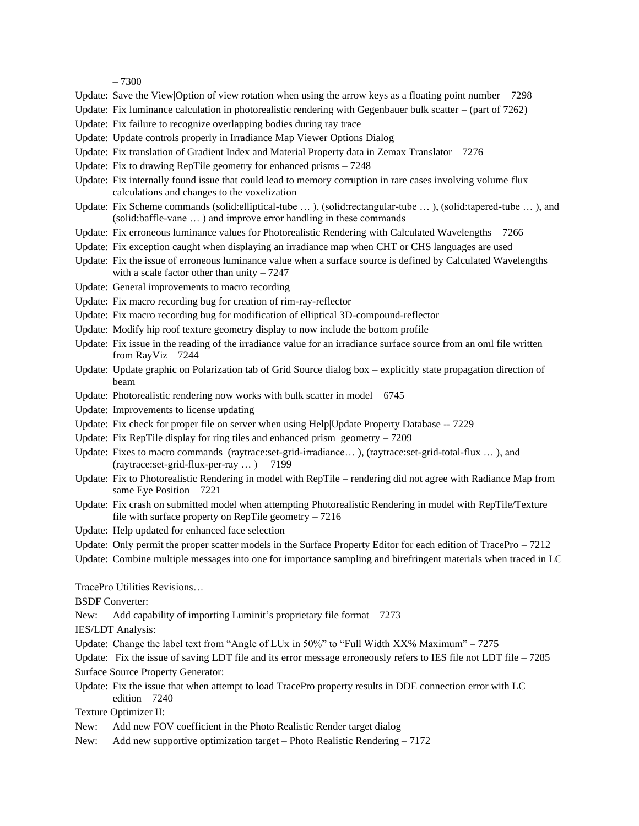– 7300

- Update: Save the View|Option of view rotation when using the arrow keys as a floating point number  $-7298$
- Update: Fix luminance calculation in photorealistic rendering with Gegenbauer bulk scatter (part of 7262)
- Update: Fix failure to recognize overlapping bodies during ray trace
- Update: Update controls properly in Irradiance Map Viewer Options Dialog
- Update: Fix translation of Gradient Index and Material Property data in Zemax Translator 7276
- Update: Fix to drawing RepTile geometry for enhanced prisms 7248
- Update: Fix internally found issue that could lead to memory corruption in rare cases involving volume flux calculations and changes to the voxelization
- Update: Fix Scheme commands (solid:elliptical-tube … ), (solid:rectangular-tube … ), (solid:tapered-tube … ), and (solid:baffle-vane … ) and improve error handling in these commands
- Update: Fix erroneous luminance values for Photorealistic Rendering with Calculated Wavelengths 7266
- Update: Fix exception caught when displaying an irradiance map when CHT or CHS languages are used
- Update: Fix the issue of erroneous luminance value when a surface source is defined by Calculated Wavelengths with a scale factor other than unity  $-7247$
- Update: General improvements to macro recording
- Update: Fix macro recording bug for creation of rim-ray-reflector
- Update: Fix macro recording bug for modification of elliptical 3D-compound-reflector
- Update: Modify hip roof texture geometry display to now include the bottom profile
- Update: Fix issue in the reading of the irradiance value for an irradiance surface source from an oml file written from RayViz – 7244
- Update: Update graphic on Polarization tab of Grid Source dialog box explicitly state propagation direction of beam
- Update: Photorealistic rendering now works with bulk scatter in model 6745
- Update: Improvements to license updating
- Update: Fix check for proper file on server when using Help|Update Property Database -- 7229
- Update: Fix RepTile display for ring tiles and enhanced prism geometry 7209
- Update: Fixes to macro commands (raytrace:set-grid-irradiance… ), (raytrace:set-grid-total-flux … ), and (raytrace:set-grid-flux-per-ray … ) – 7199
- Update: Fix to Photorealistic Rendering in model with RepTile rendering did not agree with Radiance Map from same Eye Position – 7221
- Update: Fix crash on submitted model when attempting Photorealistic Rendering in model with RepTile/Texture file with surface property on RepTile geometry – 7216
- Update: Help updated for enhanced face selection
- Update: Only permit the proper scatter models in the Surface Property Editor for each edition of TracePro  $-7212$
- Update: Combine multiple messages into one for importance sampling and birefringent materials when traced in LC

TracePro Utilities Revisions…

BSDF Converter:

New: Add capability of importing Luminit's proprietary file format – 7273

IES/LDT Analysis:

Update: Change the label text from "Angle of LUx in  $50\%$ " to "Full Width XX% Maximum" – 7275

Update: Fix the issue of saving LDT file and its error message erroneously refers to IES file not LDT file  $-7285$ Surface Source Property Generator:

Update: Fix the issue that when attempt to load TracePro property results in DDE connection error with LC edition – 7240

Texture Optimizer II:

- New: Add new FOV coefficient in the Photo Realistic Render target dialog
- New: Add new supportive optimization target Photo Realistic Rendering 7172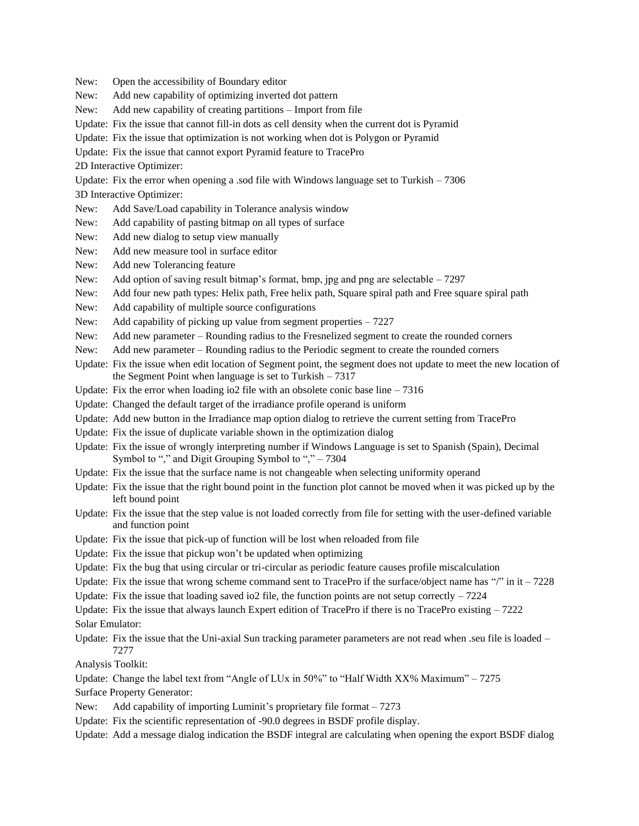New: Open the accessibility of Boundary editor

New: Add new capability of optimizing inverted dot pattern

- New: Add new capability of creating partitions Import from file
- Update: Fix the issue that cannot fill-in dots as cell density when the current dot is Pyramid
- Update: Fix the issue that optimization is not working when dot is Polygon or Pyramid

Update: Fix the issue that cannot export Pyramid feature to TracePro

2D Interactive Optimizer:

Update: Fix the error when opening a .sod file with Windows language set to Turkish – 7306

3D Interactive Optimizer:

- New: Add Save/Load capability in Tolerance analysis window
- New: Add capability of pasting bitmap on all types of surface
- New: Add new dialog to setup view manually
- New: Add new measure tool in surface editor
- New: Add new Tolerancing feature
- New: Add option of saving result bitmap's format, bmp, jpg and png are selectable  $-7297$
- New: Add four new path types: Helix path, Free helix path, Square spiral path and Free square spiral path
- New: Add capability of multiple source configurations
- New: Add capability of picking up value from segment properties 7227
- New: Add new parameter Rounding radius to the Fresnelized segment to create the rounded corners
- New: Add new parameter Rounding radius to the Periodic segment to create the rounded corners
- Update: Fix the issue when edit location of Segment point, the segment does not update to meet the new location of the Segment Point when language is set to Turkish – 7317
- Update: Fix the error when loading io2 file with an obsolete conic base line  $-7316$
- Update: Changed the default target of the irradiance profile operand is uniform
- Update: Add new button in the Irradiance map option dialog to retrieve the current setting from TracePro
- Update: Fix the issue of duplicate variable shown in the optimization dialog
- Update: Fix the issue of wrongly interpreting number if Windows Language is set to Spanish (Spain), Decimal Symbol to "," and Digit Grouping Symbol to "," – 7304
- Update: Fix the issue that the surface name is not changeable when selecting uniformity operand
- Update: Fix the issue that the right bound point in the function plot cannot be moved when it was picked up by the left bound point
- Update: Fix the issue that the step value is not loaded correctly from file for setting with the user-defined variable and function point
- Update: Fix the issue that pick-up of function will be lost when reloaded from file
- Update: Fix the issue that pickup won't be updated when optimizing
- Update: Fix the bug that using circular or tri-circular as periodic feature causes profile miscalculation
- Update: Fix the issue that wrong scheme command sent to TracePro if the surface/object name has "/" in it  $-7228$
- Update: Fix the issue that loading saved io2 file, the function points are not setup correctly  $-7224$
- Update: Fix the issue that always launch Expert edition of TracePro if there is no TracePro existing  $-7222$ Solar Emulator:
- Update: Fix the issue that the Uni-axial Sun tracking parameter parameters are not read when .seu file is loaded 7277

Analysis Toolkit:

Update: Change the label text from "Angle of LUx in 50%" to "Half Width XX% Maximum" – 7275

Surface Property Generator:

- New: Add capability of importing Luminit's proprietary file format 7273
- Update: Fix the scientific representation of -90.0 degrees in BSDF profile display.

Update: Add a message dialog indication the BSDF integral are calculating when opening the export BSDF dialog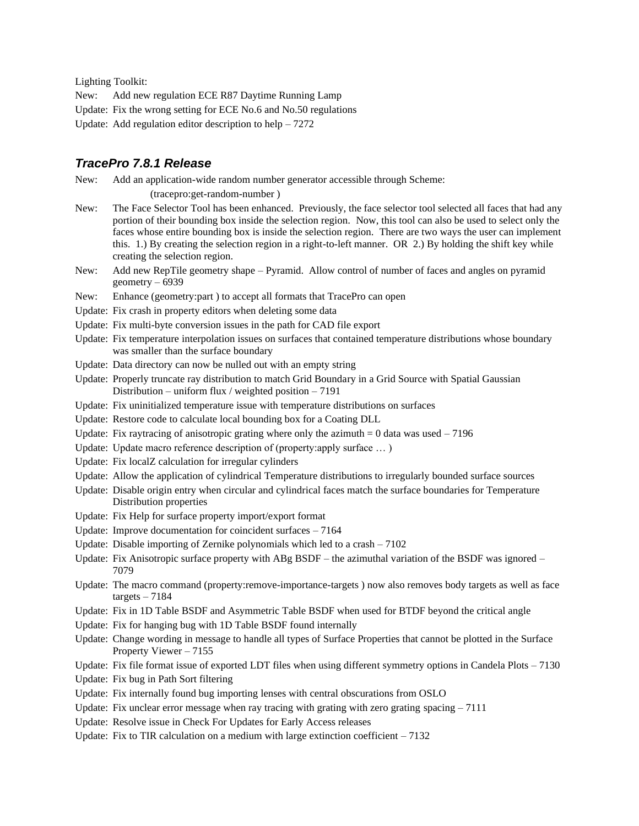Lighting Toolkit:

New: Add new regulation ECE R87 Daytime Running Lamp

- Update: Fix the wrong setting for ECE No.6 and No.50 regulations
- Update: Add regulation editor description to help 7272

### *TracePro 7.8.1 Release*

New: Add an application-wide random number generator accessible through Scheme:

(tracepro:get-random-number )

- New: The Face Selector Tool has been enhanced. Previously, the face selector tool selected all faces that had any portion of their bounding box inside the selection region. Now, this tool can also be used to select only the faces whose entire bounding box is inside the selection region. There are two ways the user can implement this. 1.) By creating the selection region in a right-to-left manner. OR 2.) By holding the shift key while creating the selection region.
- New: Add new RepTile geometry shape Pyramid. Allow control of number of faces and angles on pyramid geometry – 6939
- New: Enhance (geometry:part) to accept all formats that TracePro can open
- Update: Fix crash in property editors when deleting some data
- Update: Fix multi-byte conversion issues in the path for CAD file export
- Update: Fix temperature interpolation issues on surfaces that contained temperature distributions whose boundary was smaller than the surface boundary
- Update: Data directory can now be nulled out with an empty string
- Update: Properly truncate ray distribution to match Grid Boundary in a Grid Source with Spatial Gaussian Distribution – uniform flux / weighted position –  $7191$
- Update: Fix uninitialized temperature issue with temperature distributions on surfaces
- Update: Restore code to calculate local bounding box for a Coating DLL
- Update: Fix raytracing of anisotropic grating where only the azimuth  $= 0$  data was used  $-7196$
- Update: Update macro reference description of (property:apply surface … )
- Update: Fix localZ calculation for irregular cylinders
- Update: Allow the application of cylindrical Temperature distributions to irregularly bounded surface sources
- Update: Disable origin entry when circular and cylindrical faces match the surface boundaries for Temperature Distribution properties
- Update: Fix Help for surface property import/export format
- Update: Improve documentation for coincident surfaces 7164
- Update: Disable importing of Zernike polynomials which led to a crash 7102
- Update: Fix Anisotropic surface property with  $ABg$   $BSDF$  the azimuthal variation of the BSDF was ignored 7079
- Update: The macro command (property:remove-importance-targets ) now also removes body targets as well as face  $targets - 7184$
- Update: Fix in 1D Table BSDF and Asymmetric Table BSDF when used for BTDF beyond the critical angle
- Update: Fix for hanging bug with 1D Table BSDF found internally
- Update: Change wording in message to handle all types of Surface Properties that cannot be plotted in the Surface Property Viewer – 7155

Update: Fix file format issue of exported LDT files when using different symmetry options in Candela Plots – 7130

Update: Fix bug in Path Sort filtering

- Update: Fix internally found bug importing lenses with central obscurations from OSLO
- Update: Fix unclear error message when ray tracing with grating with zero grating spacing  $-7111$
- Update: Resolve issue in Check For Updates for Early Access releases
- Update: Fix to TIR calculation on a medium with large extinction coefficient  $-7132$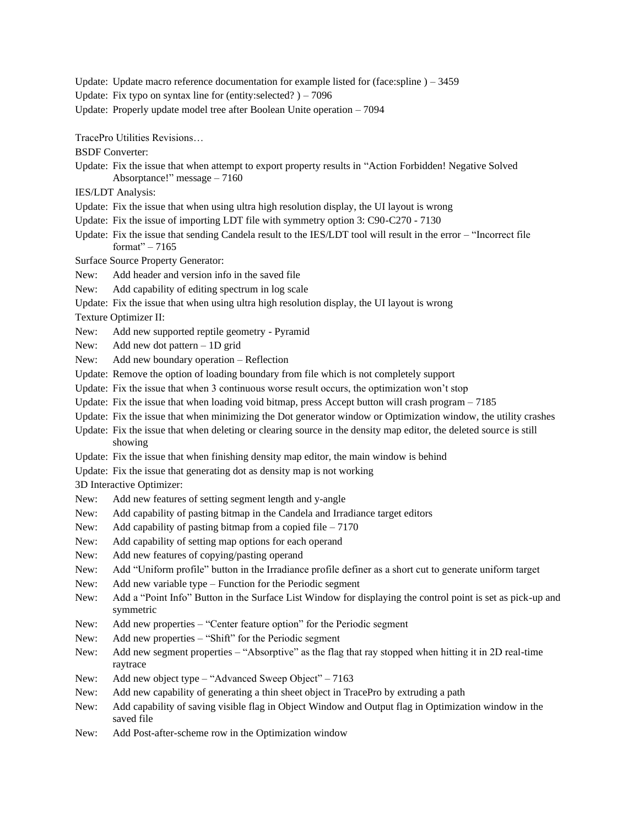Update: Update macro reference documentation for example listed for (face:spline  $) - 3459$ 

Update: Fix typo on syntax line for (entity: selected?)  $-7096$ 

Update: Properly update model tree after Boolean Unite operation – 7094

TracePro Utilities Revisions…

BSDF Converter:

- Update: Fix the issue that when attempt to export property results in "Action Forbidden! Negative Solved Absorptance!" message – 7160
- IES/LDT Analysis:
- Update: Fix the issue that when using ultra high resolution display, the UI layout is wrong
- Update: Fix the issue of importing LDT file with symmetry option 3: C90-C270 7130
- Update: Fix the issue that sending Candela result to the IES/LDT tool will result in the error "Incorrect file format" – 7165

Surface Source Property Generator:

New: Add header and version info in the saved file

New: Add capability of editing spectrum in log scale

Update: Fix the issue that when using ultra high resolution display, the UI layout is wrong

Texture Optimizer II:

New: Add new supported reptile geometry - Pyramid

New: Add new dot pattern – 1D grid

New: Add new boundary operation – Reflection

Update: Remove the option of loading boundary from file which is not completely support

Update: Fix the issue that when 3 continuous worse result occurs, the optimization won't stop

- Update: Fix the issue that when loading void bitmap, press Accept button will crash program 7185
- Update: Fix the issue that when minimizing the Dot generator window or Optimization window, the utility crashes
- Update: Fix the issue that when deleting or clearing source in the density map editor, the deleted source is still showing

Update: Fix the issue that when finishing density map editor, the main window is behind

Update: Fix the issue that generating dot as density map is not working

3D Interactive Optimizer:

New: Add new features of setting segment length and y-angle

New: Add capability of pasting bitmap in the Candela and Irradiance target editors

New: Add capability of pasting bitmap from a copied file  $-7170$ 

- New: Add capability of setting map options for each operand
- New: Add new features of copying/pasting operand

New: Add "Uniform profile" button in the Irradiance profile definer as a short cut to generate uniform target

New: Add new variable type – Function for the Periodic segment

New: Add a "Point Info" Button in the Surface List Window for displaying the control point is set as pick-up and symmetric

New: Add new properties – "Center feature option" for the Periodic segment

New: Add new properties – "Shift" for the Periodic segment

New: Add new segment properties – "Absorptive" as the flag that ray stopped when hitting it in 2D real-time raytrace

New: Add new object type – "Advanced Sweep Object" – 7163

New: Add new capability of generating a thin sheet object in TracePro by extruding a path

New: Add capability of saving visible flag in Object Window and Output flag in Optimization window in the saved file

New: Add Post-after-scheme row in the Optimization window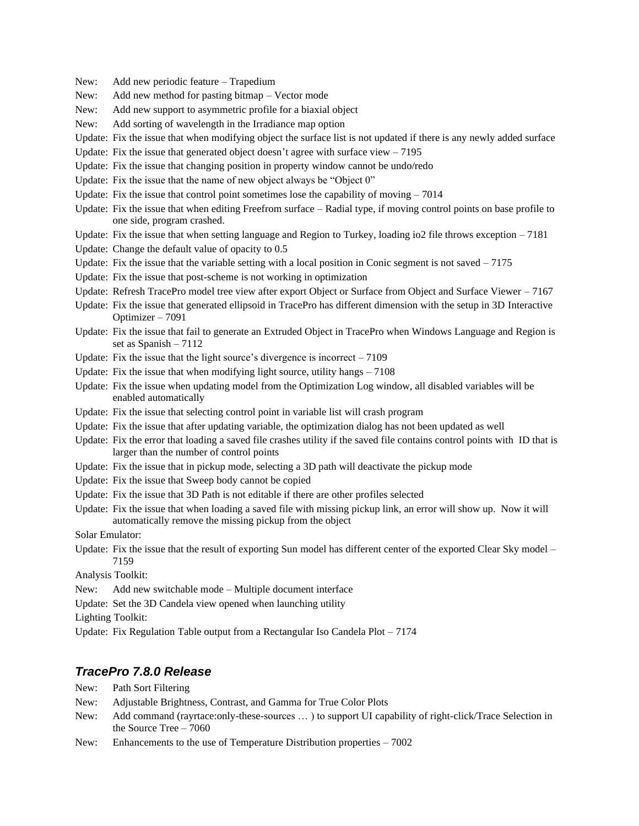- New: Add new periodic feature Trapedium
- New: Add new method for pasting bitmap Vector mode
- New: Add new support to asymmetric profile for a biaxial object
- New: Add sorting of wavelength in the Irradiance map option
- Update: Fix the issue that when modifying object the surface list is not updated if there is any newly added surface
- Update: Fix the issue that generated object doesn't agree with surface view  $-7195$
- Update: Fix the issue that changing position in property window cannot be undo/redo
- Update: Fix the issue that the name of new object always be "Object 0"
- Update: Fix the issue that control point sometimes lose the capability of moving 7014
- Update: Fix the issue that when editing Freefrom surface Radial type, if moving control points on base profile to one side, program crashed.
- Update: Fix the issue that when setting language and Region to Turkey, loading io2 file throws exception 7181
- Update: Change the default value of opacity to 0.5
- Update: Fix the issue that the variable setting with a local position in Conic segment is not saved  $-7175$
- Update: Fix the issue that post-scheme is not working in optimization
- Update: Refresh TracePro model tree view after export Object or Surface from Object and Surface Viewer 7167
- Update: Fix the issue that generated ellipsoid in TracePro has different dimension with the setup in 3D Interactive Optimizer – 7091
- Update: Fix the issue that fail to generate an Extruded Object in TracePro when Windows Language and Region is set as Spanish – 7112
- Update: Fix the issue that the light source's divergence is incorrect 7109
- Update: Fix the issue that when modifying light source, utility hangs 7108
- Update: Fix the issue when updating model from the Optimization Log window, all disabled variables will be enabled automatically
- Update: Fix the issue that selecting control point in variable list will crash program
- Update: Fix the issue that after updating variable, the optimization dialog has not been updated as well
- Update: Fix the error that loading a saved file crashes utility if the saved file contains control points with ID that is larger than the number of control points
- Update: Fix the issue that in pickup mode, selecting a 3D path will deactivate the pickup mode
- Update: Fix the issue that Sweep body cannot be copied
- Update: Fix the issue that 3D Path is not editable if there are other profiles selected
- Update: Fix the issue that when loading a saved file with missing pickup link, an error will show up. Now it will automatically remove the missing pickup from the object

Solar Emulator:

Update: Fix the issue that the result of exporting Sun model has different center of the exported Clear Sky model – 7159

Analysis Toolkit:

New: Add new switchable mode – Multiple document interface

Update: Set the 3D Candela view opened when launching utility

Lighting Toolkit:

Update: Fix Regulation Table output from a Rectangular Iso Candela Plot – 7174

# *TracePro 7.8.0 Release*

- New: Path Sort Filtering
- New: Adjustable Brightness, Contrast, and Gamma for True Color Plots
- New: Add command (rayrtace:only-these-sources … ) to support UI capability of right-click/Trace Selection in the Source Tree – 7060
- New: Enhancements to the use of Temperature Distribution properties 7002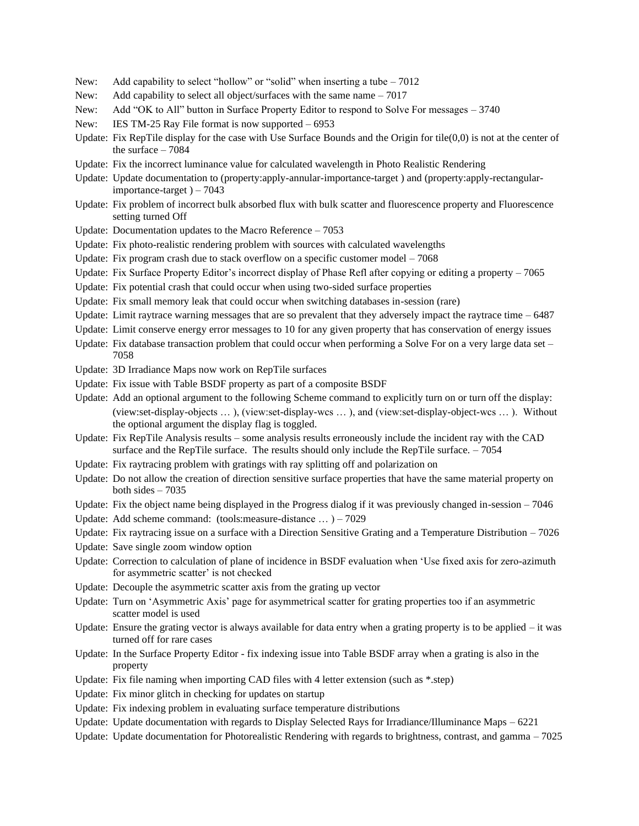- New: Add capability to select "hollow" or "solid" when inserting a tube 7012
- New: Add capability to select all object/surfaces with the same name 7017
- New: Add "OK to All" button in Surface Property Editor to respond to Solve For messages 3740
- New: IES TM-25 Ray File format is now supported 6953
- Update: Fix RepTile display for the case with Use Surface Bounds and the Origin for tile(0,0) is not at the center of the surface  $-7084$
- Update: Fix the incorrect luminance value for calculated wavelength in Photo Realistic Rendering
- Update: Update documentation to (property:apply-annular-importance-target ) and (property:apply-rectangularimportance-target  $)-7043$
- Update: Fix problem of incorrect bulk absorbed flux with bulk scatter and fluorescence property and Fluorescence setting turned Off
- Update: Documentation updates to the Macro Reference 7053
- Update: Fix photo-realistic rendering problem with sources with calculated wavelengths
- Update: Fix program crash due to stack overflow on a specific customer model  $-7068$
- Update: Fix Surface Property Editor's incorrect display of Phase Refl after copying or editing a property 7065
- Update: Fix potential crash that could occur when using two-sided surface properties
- Update: Fix small memory leak that could occur when switching databases in-session (rare)
- Update: Limit raytrace warning messages that are so prevalent that they adversely impact the raytrace time  $-6487$
- Update: Limit conserve energy error messages to 10 for any given property that has conservation of energy issues
- Update: Fix database transaction problem that could occur when performing a Solve For on a very large data set 7058
- Update: 3D Irradiance Maps now work on RepTile surfaces
- Update: Fix issue with Table BSDF property as part of a composite BSDF
- Update: Add an optional argument to the following Scheme command to explicitly turn on or turn off the display: (view:set-display-objects … ), (view:set-display-wcs … ), and (view:set-display-object-wcs … ). Without the optional argument the display flag is toggled.
- Update: Fix RepTile Analysis results some analysis results erroneously include the incident ray with the CAD surface and the RepTile surface. The results should only include the RepTile surface. - 7054
- Update: Fix raytracing problem with gratings with ray splitting off and polarization on
- Update: Do not allow the creation of direction sensitive surface properties that have the same material property on both sides  $-7035$
- Update: Fix the object name being displayed in the Progress dialog if it was previously changed in-session 7046
- Update: Add scheme command: (tools:measure-distance … ) 7029
- Update: Fix raytracing issue on a surface with a Direction Sensitive Grating and a Temperature Distribution 7026
- Update: Save single zoom window option
- Update: Correction to calculation of plane of incidence in BSDF evaluation when 'Use fixed axis for zero-azimuth for asymmetric scatter' is not checked
- Update: Decouple the asymmetric scatter axis from the grating up vector
- Update: Turn on 'Asymmetric Axis' page for asymmetrical scatter for grating properties too if an asymmetric scatter model is used
- Update: Ensure the grating vector is always available for data entry when a grating property is to be applied  $-i$  twas turned off for rare cases
- Update: In the Surface Property Editor fix indexing issue into Table BSDF array when a grating is also in the property
- Update: Fix file naming when importing CAD files with 4 letter extension (such as \*.step)
- Update: Fix minor glitch in checking for updates on startup
- Update: Fix indexing problem in evaluating surface temperature distributions
- Update: Update documentation with regards to Display Selected Rays for Irradiance/Illuminance Maps 6221
- Update: Update documentation for Photorealistic Rendering with regards to brightness, contrast, and gamma  $-7025$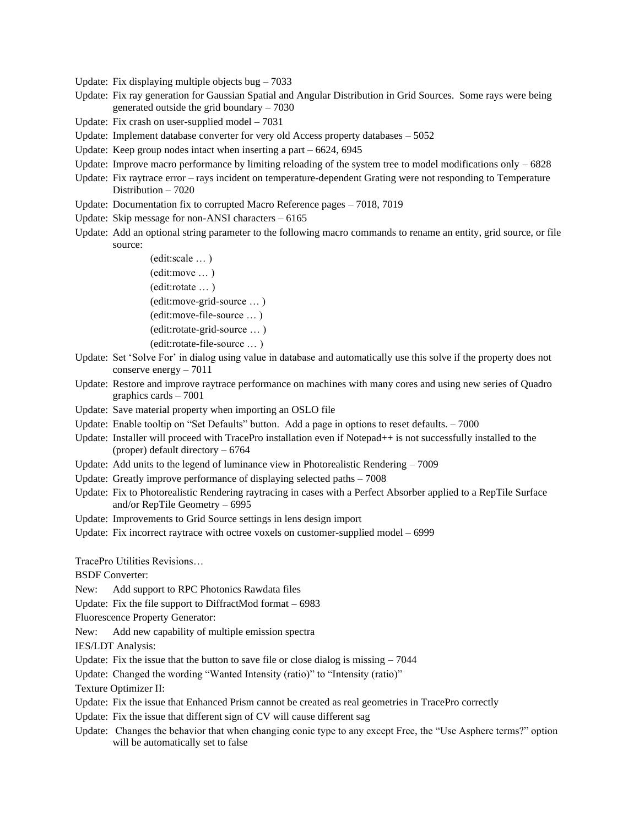- Update: Fix displaying multiple objects bug  $-7033$
- Update: Fix ray generation for Gaussian Spatial and Angular Distribution in Grid Sources. Some rays were being generated outside the grid boundary – 7030
- Update: Fix crash on user-supplied model 7031
- Update: Implement database converter for very old Access property databases 5052
- Update: Keep group nodes intact when inserting a part 6624, 6945
- Update: Improve macro performance by limiting reloading of the system tree to model modifications only 6828
- Update: Fix raytrace error rays incident on temperature-dependent Grating were not responding to Temperature Distribution – 7020
- Update: Documentation fix to corrupted Macro Reference pages 7018, 7019
- Update: Skip message for non-ANSI characters 6165
- Update: Add an optional string parameter to the following macro commands to rename an entity, grid source, or file source:
	- (edit:scale … ) (edit:move … ) (edit:rotate … ) (edit:move-grid-source … ) (edit:move-file-source … ) (edit:rotate-grid-source … ) (edit:rotate-file-source … )
- Update: Set 'Solve For' in dialog using value in database and automatically use this solve if the property does not conserve energy – 7011
- Update: Restore and improve raytrace performance on machines with many cores and using new series of Quadro graphics cards – 7001
- Update: Save material property when importing an OSLO file
- Update: Enable tooltip on "Set Defaults" button. Add a page in options to reset defaults. 7000
- Update: Installer will proceed with TracePro installation even if Notepad++ is not successfully installed to the (proper) default directory – 6764
- Update: Add units to the legend of luminance view in Photorealistic Rendering 7009
- Update: Greatly improve performance of displaying selected paths 7008
- Update: Fix to Photorealistic Rendering raytracing in cases with a Perfect Absorber applied to a RepTile Surface and/or RepTile Geometry – 6995
- Update: Improvements to Grid Source settings in lens design import
- Update: Fix incorrect raytrace with octree voxels on customer-supplied model 6999

TracePro Utilities Revisions…

BSDF Converter:

New: Add support to RPC Photonics Rawdata files

Update: Fix the file support to DiffractMod format – 6983

Fluorescence Property Generator:

New: Add new capability of multiple emission spectra

IES/LDT Analysis:

Update: Fix the issue that the button to save file or close dialog is missing – 7044

Update: Changed the wording "Wanted Intensity (ratio)" to "Intensity (ratio)"

Texture Optimizer II:

- Update: Fix the issue that Enhanced Prism cannot be created as real geometries in TracePro correctly
- Update: Fix the issue that different sign of CV will cause different sag
- Update: Changes the behavior that when changing conic type to any except Free, the "Use Asphere terms?" option will be automatically set to false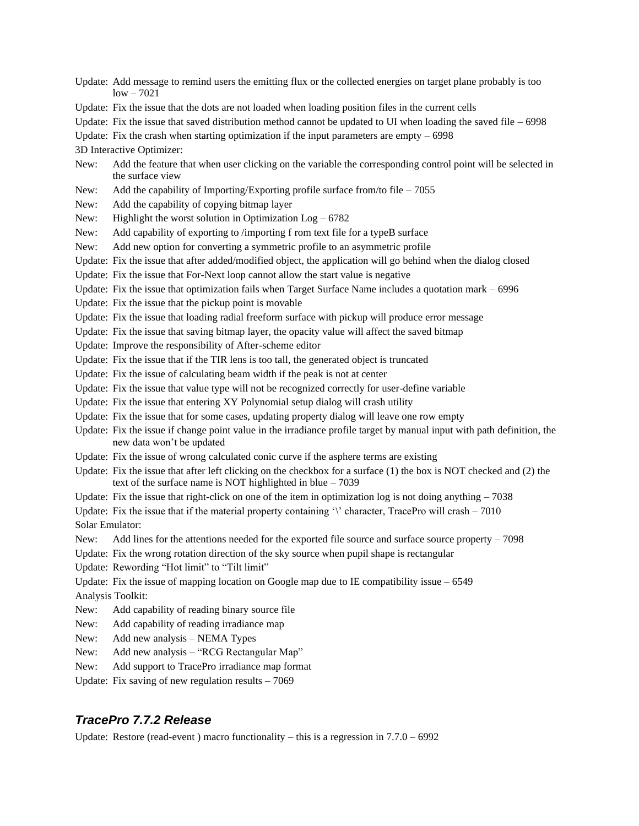Update: Add message to remind users the emitting flux or the collected energies on target plane probably is too  $low - 7021$ 

Update: Fix the issue that the dots are not loaded when loading position files in the current cells

Update: Fix the issue that saved distribution method cannot be updated to UI when loading the saved file  $-6998$ 

Update: Fix the crash when starting optimization if the input parameters are empty  $-6998$ 

3D Interactive Optimizer:

- New: Add the feature that when user clicking on the variable the corresponding control point will be selected in the surface view
- New: Add the capability of Importing/Exporting profile surface from/to file 7055
- New: Add the capability of copying bitmap layer
- New: Highlight the worst solution in Optimization Log 6782
- New: Add capability of exporting to /importing f rom text file for a typeB surface
- New: Add new option for converting a symmetric profile to an asymmetric profile
- Update: Fix the issue that after added/modified object, the application will go behind when the dialog closed
- Update: Fix the issue that For-Next loop cannot allow the start value is negative
- Update: Fix the issue that optimization fails when Target Surface Name includes a quotation mark 6996
- Update: Fix the issue that the pickup point is movable

Update: Fix the issue that loading radial freeform surface with pickup will produce error message

- Update: Fix the issue that saving bitmap layer, the opacity value will affect the saved bitmap
- Update: Improve the responsibility of After-scheme editor
- Update: Fix the issue that if the TIR lens is too tall, the generated object is truncated
- Update: Fix the issue of calculating beam width if the peak is not at center
- Update: Fix the issue that value type will not be recognized correctly for user-define variable
- Update: Fix the issue that entering XY Polynomial setup dialog will crash utility
- Update: Fix the issue that for some cases, updating property dialog will leave one row empty
- Update: Fix the issue if change point value in the irradiance profile target by manual input with path definition, the new data won't be updated
- Update: Fix the issue of wrong calculated conic curve if the asphere terms are existing
- Update: Fix the issue that after left clicking on the checkbox for a surface (1) the box is NOT checked and (2) the text of the surface name is NOT highlighted in blue – 7039
- Update: Fix the issue that right-click on one of the item in optimization log is not doing anything  $-7038$
- Update: Fix the issue that if the material property containing '\' character, TracePro will crash  $-7010$ Solar Emulator:
- New: Add lines for the attentions needed for the exported file source and surface source property 7098
- Update: Fix the wrong rotation direction of the sky source when pupil shape is rectangular
- Update: Rewording "Hot limit" to "Tilt limit"
- Update: Fix the issue of mapping location on Google map due to IE compatibility issue  $-6549$
- Analysis Toolkit:
- New: Add capability of reading binary source file
- New: Add capability of reading irradiance map
- New: Add new analysis NEMA Types
- New: Add new analysis "RCG Rectangular Map"
- New: Add support to TracePro irradiance map format
- Update: Fix saving of new regulation results  $-7069$

### *TracePro 7.7.2 Release*

Update: Restore (read-event) macro functionality – this is a regression in  $7.7.0 - 6992$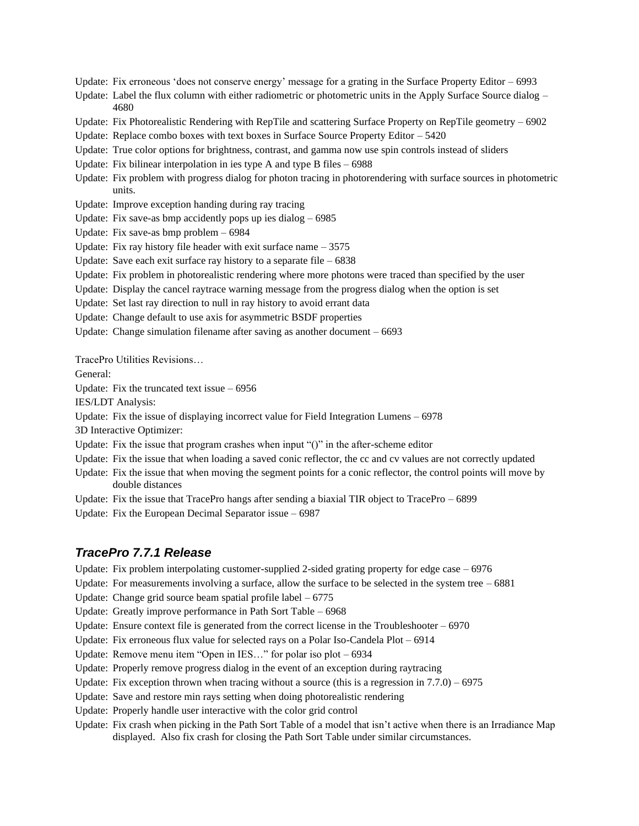Update: Fix erroneous 'does not conserve energy' message for a grating in the Surface Property Editor – 6993

Update: Label the flux column with either radiometric or photometric units in the Apply Surface Source dialog – 4680

Update: Fix Photorealistic Rendering with RepTile and scattering Surface Property on RepTile geometry – 6902

Update: Replace combo boxes with text boxes in Surface Source Property Editor – 5420

Update: True color options for brightness, contrast, and gamma now use spin controls instead of sliders

Update: Fix bilinear interpolation in ies type A and type B files – 6988

Update: Fix problem with progress dialog for photon tracing in photorendering with surface sources in photometric units.

Update: Improve exception handing during ray tracing

Update: Fix save-as bmp accidently pops up ies dialog – 6985

Update: Fix save-as bmp problem – 6984

Update: Fix ray history file header with exit surface name – 3575

Update: Save each exit surface ray history to a separate file  $-6838$ 

Update: Fix problem in photorealistic rendering where more photons were traced than specified by the user

Update: Display the cancel raytrace warning message from the progress dialog when the option is set

Update: Set last ray direction to null in ray history to avoid errant data

Update: Change default to use axis for asymmetric BSDF properties

Update: Change simulation filename after saving as another document – 6693

TracePro Utilities Revisions…

General:

Update: Fix the truncated text issue  $-6956$ 

IES/LDT Analysis:

Update: Fix the issue of displaying incorrect value for Field Integration Lumens  $-6978$ 

3D Interactive Optimizer:

Update: Fix the issue that program crashes when input " $()$ " in the after-scheme editor

Update: Fix the issue that when loading a saved conic reflector, the cc and cv values are not correctly updated

Update: Fix the issue that when moving the segment points for a conic reflector, the control points will move by double distances

Update: Fix the issue that TracePro hangs after sending a biaxial TIR object to TracePro – 6899

Update: Fix the European Decimal Separator issue – 6987

### *TracePro 7.7.1 Release*

Update: Fix problem interpolating customer-supplied 2-sided grating property for edge case  $-6976$ 

Update: For measurements involving a surface, allow the surface to be selected in the system tree  $-6881$ 

Update: Change grid source beam spatial profile label – 6775

Update: Greatly improve performance in Path Sort Table – 6968

Update: Ensure context file is generated from the correct license in the Troubleshooter  $-6970$ 

Update: Fix erroneous flux value for selected rays on a Polar Iso-Candela Plot – 6914

Update: Remove menu item "Open in IES…" for polar iso plot – 6934

Update: Properly remove progress dialog in the event of an exception during raytracing

Update: Fix exception thrown when tracing without a source (this is a regression in  $7.7.0$ ) – 6975

Update: Save and restore min rays setting when doing photorealistic rendering

Update: Properly handle user interactive with the color grid control

Update: Fix crash when picking in the Path Sort Table of a model that isn't active when there is an Irradiance Map displayed. Also fix crash for closing the Path Sort Table under similar circumstances.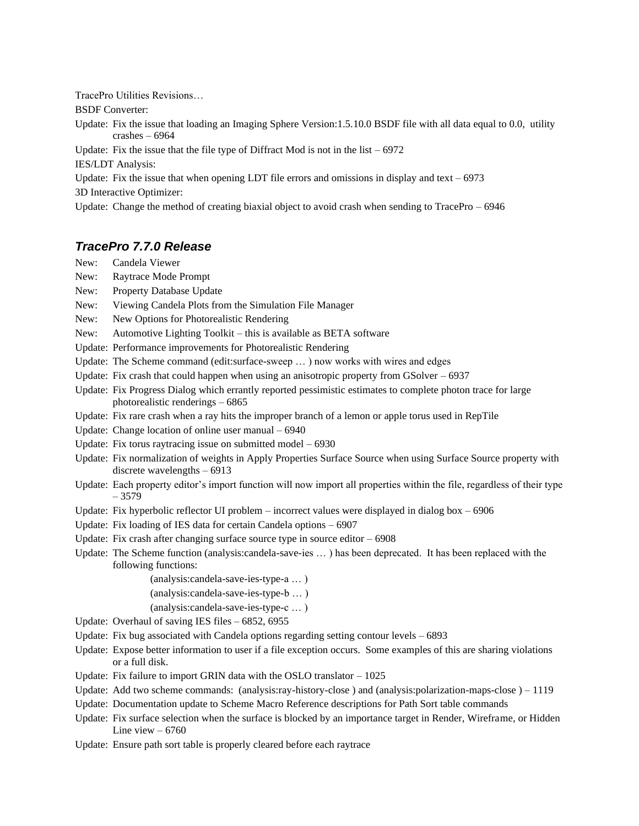TracePro Utilities Revisions…

BSDF Converter:

Update: Fix the issue that loading an Imaging Sphere Version:1.5.10.0 BSDF file with all data equal to 0.0, utility crashes – 6964

Update: Fix the issue that the file type of Diffract Mod is not in the list  $-6972$ 

IES/LDT Analysis:

Update: Fix the issue that when opening LDT file errors and omissions in display and text  $-6973$ 

3D Interactive Optimizer:

Update: Change the method of creating biaxial object to avoid crash when sending to TracePro  $-6946$ 

# *TracePro 7.7.0 Release*

- New: Candela Viewer
- New: Raytrace Mode Prompt
- New: Property Database Update
- New: Viewing Candela Plots from the Simulation File Manager
- New: New Options for Photorealistic Rendering
- New: Automotive Lighting Toolkit this is available as BETA software
- Update: Performance improvements for Photorealistic Rendering
- Update: The Scheme command (edit:surface-sweep … ) now works with wires and edges
- Update: Fix crash that could happen when using an anisotropic property from GSolver 6937
- Update: Fix Progress Dialog which errantly reported pessimistic estimates to complete photon trace for large photorealistic renderings – 6865
- Update: Fix rare crash when a ray hits the improper branch of a lemon or apple torus used in RepTile
- Update: Change location of online user manual 6940
- Update: Fix torus raytracing issue on submitted model 6930
- Update: Fix normalization of weights in Apply Properties Surface Source when using Surface Source property with discrete wavelengths – 6913
- Update: Each property editor's import function will now import all properties within the file, regardless of their type – 3579
- Update: Fix hyperbolic reflector UI problem incorrect values were displayed in dialog box 6906
- Update: Fix loading of IES data for certain Candela options 6907
- Update: Fix crash after changing surface source type in source editor  $-6908$
- Update: The Scheme function (analysis:candela-save-ies … ) has been deprecated. It has been replaced with the following functions:

(analysis:candela-save-ies-type-a … )

- (analysis:candela-save-ies-type-b … )
- (analysis:candela-save-ies-type-c … )
- Update: Overhaul of saving IES files 6852, 6955
- Update: Fix bug associated with Candela options regarding setting contour levels  $-6893$
- Update: Expose better information to user if a file exception occurs. Some examples of this are sharing violations or a full disk.
- Update: Fix failure to import GRIN data with the OSLO translator 1025
- Update: Add two scheme commands: (analysis:ray-history-close ) and (analysis:polarization-maps-close ) 1119
- Update: Documentation update to Scheme Macro Reference descriptions for Path Sort table commands
- Update: Fix surface selection when the surface is blocked by an importance target in Render, Wireframe, or Hidden Line view  $-6760$
- Update: Ensure path sort table is properly cleared before each raytrace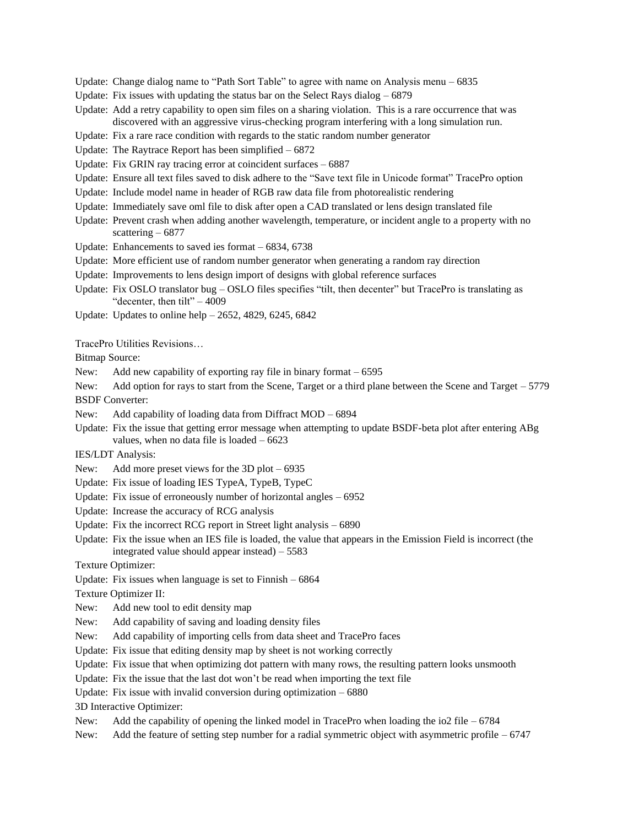- Update: Change dialog name to "Path Sort Table" to agree with name on Analysis menu 6835
- Update: Fix issues with updating the status bar on the Select Rays dialog  $-6879$
- Update: Add a retry capability to open sim files on a sharing violation. This is a rare occurrence that was discovered with an aggressive virus-checking program interfering with a long simulation run.
- Update: Fix a rare race condition with regards to the static random number generator
- Update: The Raytrace Report has been simplified 6872
- Update: Fix GRIN ray tracing error at coincident surfaces 6887
- Update: Ensure all text files saved to disk adhere to the "Save text file in Unicode format" TracePro option
- Update: Include model name in header of RGB raw data file from photorealistic rendering
- Update: Immediately save oml file to disk after open a CAD translated or lens design translated file
- Update: Prevent crash when adding another wavelength, temperature, or incident angle to a property with no scattering – 6877
- Update: Enhancements to saved ies format 6834, 6738
- Update: More efficient use of random number generator when generating a random ray direction
- Update: Improvements to lens design import of designs with global reference surfaces
- Update: Fix OSLO translator bug OSLO files specifies "tilt, then decenter" but TracePro is translating as "decenter, then tilt" $-4009$
- Update: Updates to online help 2652, 4829, 6245, 6842

TracePro Utilities Revisions…

Bitmap Source:

- New: Add new capability of exporting ray file in binary format 6595
- New: Add option for rays to start from the Scene, Target or a third plane between the Scene and Target 5779 BSDF Converter:
- New: Add capability of loading data from Diffract MOD 6894
- Update: Fix the issue that getting error message when attempting to update BSDF-beta plot after entering ABg values, when no data file is loaded  $-6623$
- IES/LDT Analysis:
- New: Add more preset views for the 3D plot 6935
- Update: Fix issue of loading IES TypeA, TypeB, TypeC
- Update: Fix issue of erroneously number of horizontal angles 6952
- Update: Increase the accuracy of RCG analysis
- Update: Fix the incorrect RCG report in Street light analysis 6890
- Update: Fix the issue when an IES file is loaded, the value that appears in the Emission Field is incorrect (the integrated value should appear instead) – 5583
- Texture Optimizer:
- Update: Fix issues when language is set to Finnish 6864

Texture Optimizer II:

- New: Add new tool to edit density map
- New: Add capability of saving and loading density files
- New: Add capability of importing cells from data sheet and TracePro faces
- Update: Fix issue that editing density map by sheet is not working correctly
- Update: Fix issue that when optimizing dot pattern with many rows, the resulting pattern looks unsmooth
- Update: Fix the issue that the last dot won't be read when importing the text file
- Update: Fix issue with invalid conversion during optimization 6880

3D Interactive Optimizer:

- New: Add the capability of opening the linked model in TracePro when loading the io2 file 6784
- New: Add the feature of setting step number for a radial symmetric object with asymmetric profile 6747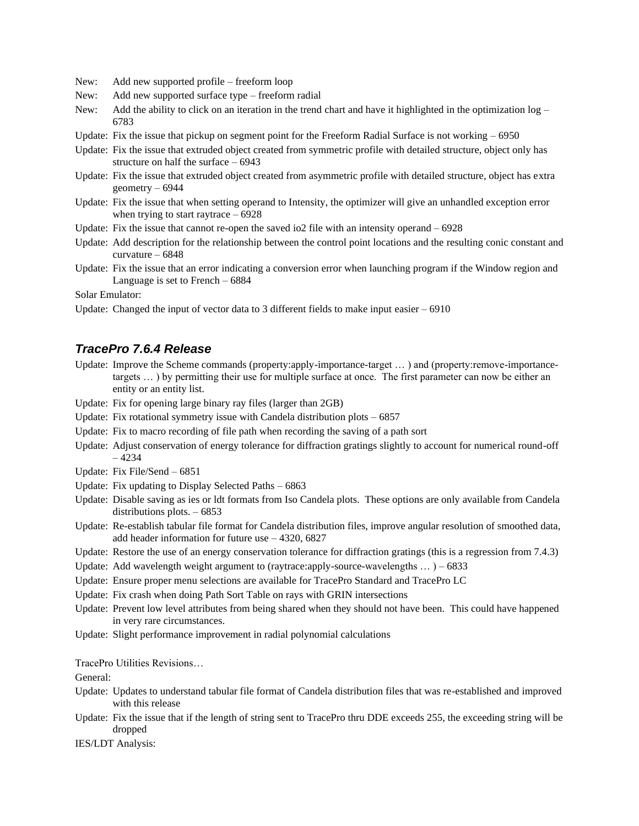New: Add new supported profile – freeform loop

- New: Add new supported surface type freeform radial
- New: Add the ability to click on an iteration in the trend chart and have it highlighted in the optimization  $log -$ 6783
- Update: Fix the issue that pickup on segment point for the Freeform Radial Surface is not working  $-6950$
- Update: Fix the issue that extruded object created from symmetric profile with detailed structure, object only has structure on half the surface – 6943
- Update: Fix the issue that extruded object created from asymmetric profile with detailed structure, object has extra geometry – 6944
- Update: Fix the issue that when setting operand to Intensity, the optimizer will give an unhandled exception error when trying to start raytrace  $-6928$
- Update: Fix the issue that cannot re-open the saved io2 file with an intensity operand  $-6928$
- Update: Add description for the relationship between the control point locations and the resulting conic constant and curvature – 6848
- Update: Fix the issue that an error indicating a conversion error when launching program if the Window region and Language is set to French – 6884

Solar Emulator:

Update: Changed the input of vector data to 3 different fields to make input easier  $-6910$ 

### *TracePro 7.6.4 Release*

- Update: Improve the Scheme commands (property:apply-importance-target … ) and (property:remove-importancetargets … ) by permitting their use for multiple surface at once. The first parameter can now be either an entity or an entity list.
- Update: Fix for opening large binary ray files (larger than 2GB)
- Update: Fix rotational symmetry issue with Candela distribution plots 6857
- Update: Fix to macro recording of file path when recording the saving of a path sort
- Update: Adjust conservation of energy tolerance for diffraction gratings slightly to account for numerical round-off – 4234
- Update: Fix File/Send 6851
- Update: Fix updating to Display Selected Paths 6863
- Update: Disable saving as ies or ldt formats from Iso Candela plots. These options are only available from Candela distributions plots. – 6853
- Update: Re-establish tabular file format for Candela distribution files, improve angular resolution of smoothed data, add header information for future use – 4320, 6827
- Update: Restore the use of an energy conservation tolerance for diffraction gratings (this is a regression from 7.4.3)
- Update: Add wavelength weight argument to (raytrace:apply-source-wavelengths  $\dots$ ) 6833
- Update: Ensure proper menu selections are available for TracePro Standard and TracePro LC
- Update: Fix crash when doing Path Sort Table on rays with GRIN intersections
- Update: Prevent low level attributes from being shared when they should not have been. This could have happened in very rare circumstances.
- Update: Slight performance improvement in radial polynomial calculations

TracePro Utilities Revisions…

General:

- Update: Updates to understand tabular file format of Candela distribution files that was re-established and improved with this release
- Update: Fix the issue that if the length of string sent to TracePro thru DDE exceeds 255, the exceeding string will be dropped
- IES/LDT Analysis: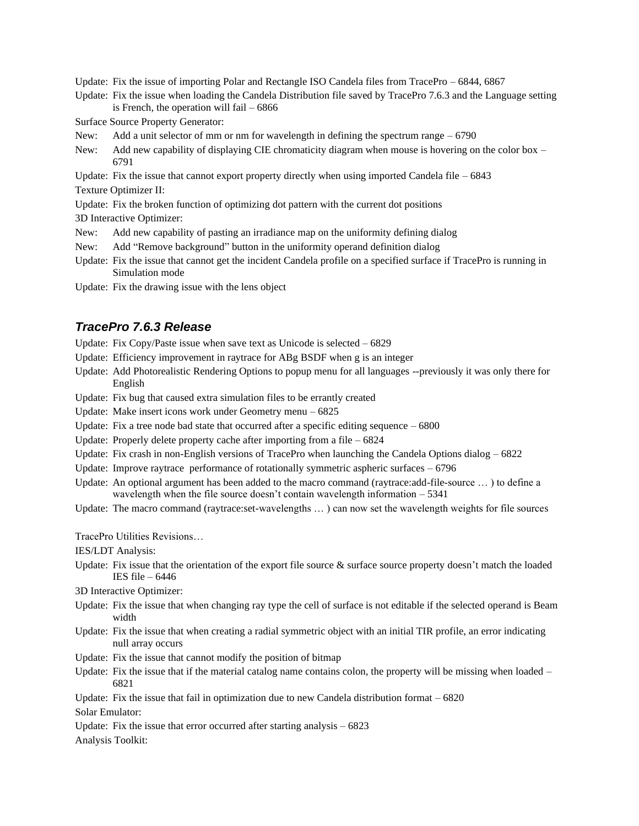Update: Fix the issue of importing Polar and Rectangle ISO Candela files from TracePro – 6844, 6867

Update: Fix the issue when loading the Candela Distribution file saved by TracePro 7.6.3 and the Language setting is French, the operation will fail  $-6866$ 

Surface Source Property Generator:

- New: Add a unit selector of mm or nm for wavelength in defining the spectrum range  $-6790$
- New: Add new capability of displaying CIE chromaticity diagram when mouse is hovering on the color box 6791
- Update: Fix the issue that cannot export property directly when using imported Candela file  $-6843$

Texture Optimizer II:

Update: Fix the broken function of optimizing dot pattern with the current dot positions

3D Interactive Optimizer:

- New: Add new capability of pasting an irradiance map on the uniformity defining dialog
- New: Add "Remove background" button in the uniformity operand definition dialog
- Update: Fix the issue that cannot get the incident Candela profile on a specified surface if TracePro is running in Simulation mode
- Update: Fix the drawing issue with the lens object

# *TracePro 7.6.3 Release*

- Update: Fix Copy/Paste issue when save text as Unicode is selected 6829
- Update: Efficiency improvement in raytrace for ABg BSDF when g is an integer
- Update: Add Photorealistic Rendering Options to popup menu for all languages --previously it was only there for English
- Update: Fix bug that caused extra simulation files to be errantly created
- Update: Make insert icons work under Geometry menu 6825
- Update: Fix a tree node bad state that occurred after a specific editing sequence  $-6800$
- Update: Properly delete property cache after importing from a file 6824
- Update: Fix crash in non-English versions of TracePro when launching the Candela Options dialog  $-6822$
- Update: Improve raytrace performance of rotationally symmetric aspheric surfaces  $-6796$
- Update: An optional argument has been added to the macro command (raytrace:add-file-source … ) to define a wavelength when the file source doesn't contain wavelength information  $-5341$
- Update: The macro command (raytrace:set-wavelengths … ) can now set the wavelength weights for file sources

TracePro Utilities Revisions…

IES/LDT Analysis:

Update: Fix issue that the orientation of the export file source  $\&$  surface source property doesn't match the loaded IES file – 6446

3D Interactive Optimizer:

- Update: Fix the issue that when changing ray type the cell of surface is not editable if the selected operand is Beam width
- Update: Fix the issue that when creating a radial symmetric object with an initial TIR profile, an error indicating null array occurs
- Update: Fix the issue that cannot modify the position of bitmap
- Update: Fix the issue that if the material catalog name contains colon, the property will be missing when loaded 6821

Update: Fix the issue that fail in optimization due to new Candela distribution format – 6820

Solar Emulator:

Update: Fix the issue that error occurred after starting analysis  $-6823$ Analysis Toolkit: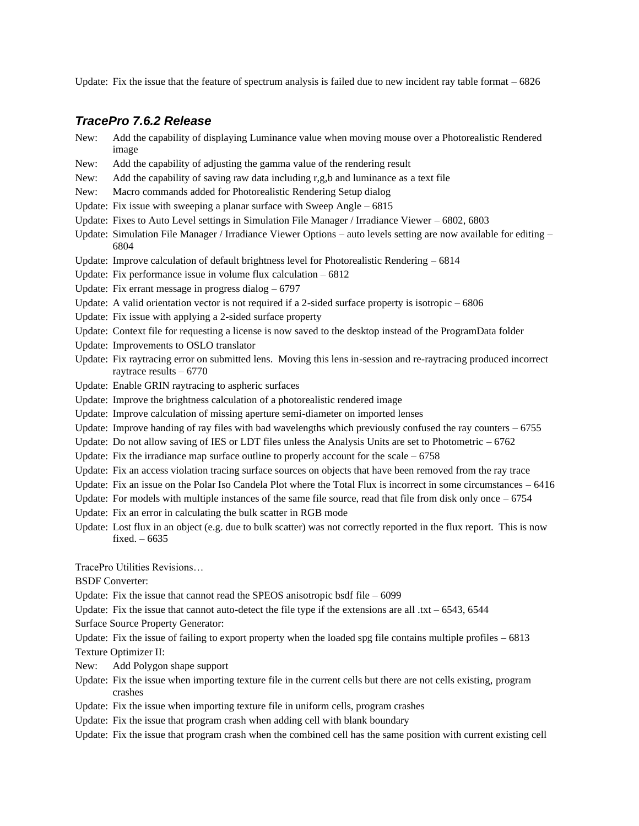Update: Fix the issue that the feature of spectrum analysis is failed due to new incident ray table format  $-6826$ 

# *TracePro 7.6.2 Release*

- New: Add the capability of displaying Luminance value when moving mouse over a Photorealistic Rendered image
- New: Add the capability of adjusting the gamma value of the rendering result
- New: Add the capability of saving raw data including r,g,b and luminance as a text file
- New: Macro commands added for Photorealistic Rendering Setup dialog
- Update: Fix issue with sweeping a planar surface with Sweep Angle 6815
- Update: Fixes to Auto Level settings in Simulation File Manager / Irradiance Viewer 6802, 6803
- Update: Simulation File Manager / Irradiance Viewer Options auto levels setting are now available for editing 6804
- Update: Improve calculation of default brightness level for Photorealistic Rendering 6814
- Update: Fix performance issue in volume flux calculation 6812
- Update: Fix errant message in progress dialog  $-6797$
- Update: A valid orientation vector is not required if a 2-sided surface property is isotropic 6806
- Update: Fix issue with applying a 2-sided surface property
- Update: Context file for requesting a license is now saved to the desktop instead of the ProgramData folder
- Update: Improvements to OSLO translator
- Update: Fix raytracing error on submitted lens. Moving this lens in-session and re-raytracing produced incorrect raytrace results – 6770
- Update: Enable GRIN raytracing to aspheric surfaces
- Update: Improve the brightness calculation of a photorealistic rendered image
- Update: Improve calculation of missing aperture semi-diameter on imported lenses
- Update: Improve handing of ray files with bad wavelengths which previously confused the ray counters  $-6755$
- Update: Do not allow saving of IES or LDT files unless the Analysis Units are set to Photometric  $-6762$
- Update: Fix the irradiance map surface outline to properly account for the scale  $-6758$
- Update: Fix an access violation tracing surface sources on objects that have been removed from the ray trace
- Update: Fix an issue on the Polar Iso Candela Plot where the Total Flux is incorrect in some circumstances  $-6416$
- Update: For models with multiple instances of the same file source, read that file from disk only once  $-6754$
- Update: Fix an error in calculating the bulk scatter in RGB mode
- Update: Lost flux in an object (e.g. due to bulk scatter) was not correctly reported in the flux report. This is now fixed. – 6635

TracePro Utilities Revisions…

BSDF Converter:

Update: Fix the issue that cannot read the SPEOS anisotropic bsdf file – 6099

- Update: Fix the issue that cannot auto-detect the file type if the extensions are all .txt 6543, 6544
- Surface Source Property Generator:

Update: Fix the issue of failing to export property when the loaded spg file contains multiple profiles – 6813 Texture Optimizer II:

- New: Add Polygon shape support
- Update: Fix the issue when importing texture file in the current cells but there are not cells existing, program crashes
- Update: Fix the issue when importing texture file in uniform cells, program crashes
- Update: Fix the issue that program crash when adding cell with blank boundary
- Update: Fix the issue that program crash when the combined cell has the same position with current existing cell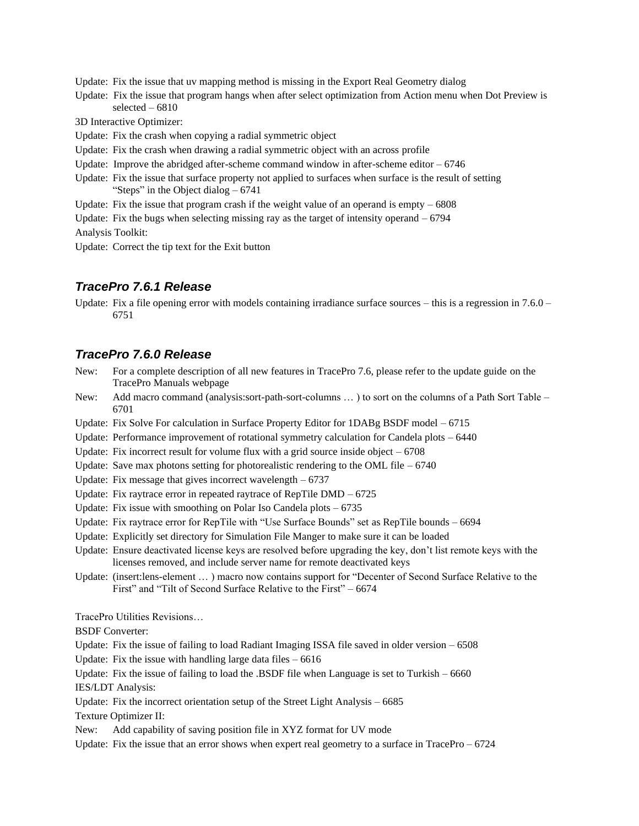Update: Fix the issue that uv mapping method is missing in the Export Real Geometry dialog

Update: Fix the issue that program hangs when after select optimization from Action menu when Dot Preview is selected – 6810

3D Interactive Optimizer:

- Update: Fix the crash when copying a radial symmetric object
- Update: Fix the crash when drawing a radial symmetric object with an across profile
- Update: Improve the abridged after-scheme command window in after-scheme editor  $-6746$
- Update: Fix the issue that surface property not applied to surfaces when surface is the result of setting "Steps" in the Object dialog – 6741
- Update: Fix the issue that program crash if the weight value of an operand is empty  $-6808$
- Update: Fix the bugs when selecting missing ray as the target of intensity operand 6794

Analysis Toolkit:

Update: Correct the tip text for the Exit button

### *TracePro 7.6.1 Release*

Update: Fix a file opening error with models containing irradiance surface sources – this is a regression in 7.6.0 – 6751

### *TracePro 7.6.0 Release*

- New: For a complete description of all new features in TracePro 7.6, please refer to the update guide on the TracePro Manuals webpage
- New: Add macro command (analysis:sort-path-sort-columns … ) to sort on the columns of a Path Sort Table 6701
- Update: Fix Solve For calculation in Surface Property Editor for 1DABg BSDF model 6715
- Update: Performance improvement of rotational symmetry calculation for Candela plots 6440

Update: Fix incorrect result for volume flux with a grid source inside object  $-6708$ 

- Update: Save max photons setting for photorealistic rendering to the OML file  $-6740$
- Update: Fix message that gives incorrect wavelength 6737
- Update: Fix raytrace error in repeated raytrace of RepTile DMD 6725
- Update: Fix issue with smoothing on Polar Iso Candela plots 6735
- Update: Fix raytrace error for RepTile with "Use Surface Bounds" set as RepTile bounds 6694
- Update: Explicitly set directory for Simulation File Manger to make sure it can be loaded
- Update: Ensure deactivated license keys are resolved before upgrading the key, don't list remote keys with the licenses removed, and include server name for remote deactivated keys
- Update: (insert:lens-element … ) macro now contains support for "Decenter of Second Surface Relative to the First" and "Tilt of Second Surface Relative to the First" – 6674

TracePro Utilities Revisions…

BSDF Converter:

Update: Fix the issue of failing to load Radiant Imaging ISSA file saved in older version – 6508

Update: Fix the issue with handling large data files  $-6616$ 

Update: Fix the issue of failing to load the .BSDF file when Language is set to Turkish  $-6660$ IES/LDT Analysis:

Update: Fix the incorrect orientation setup of the Street Light Analysis – 6685

Texture Optimizer II:

New: Add capability of saving position file in XYZ format for UV mode

Update: Fix the issue that an error shows when expert real geometry to a surface in TracePro  $-6724$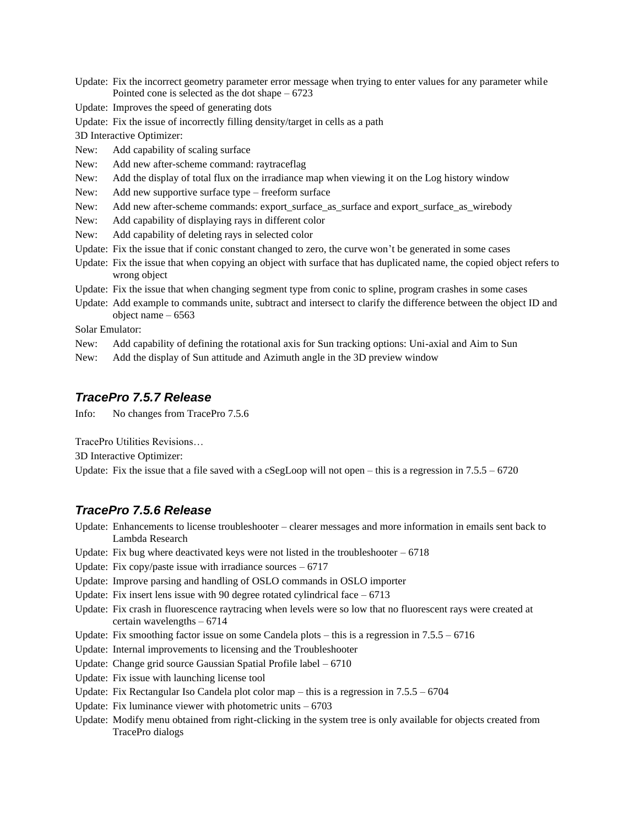Update: Fix the incorrect geometry parameter error message when trying to enter values for any parameter while Pointed cone is selected as the dot shape – 6723

Update: Improves the speed of generating dots

Update: Fix the issue of incorrectly filling density/target in cells as a path

3D Interactive Optimizer:

New: Add capability of scaling surface

New: Add new after-scheme command: raytraceflag

New: Add the display of total flux on the irradiance map when viewing it on the Log history window

New: Add new supportive surface type – freeform surface

New: Add new after-scheme commands: export\_surface\_as\_surface and export\_surface\_as\_wirebody

New: Add capability of displaying rays in different color

New: Add capability of deleting rays in selected color

Update: Fix the issue that if conic constant changed to zero, the curve won't be generated in some cases

Update: Fix the issue that when copying an object with surface that has duplicated name, the copied object refers to wrong object

Update: Fix the issue that when changing segment type from conic to spline, program crashes in some cases

Update: Add example to commands unite, subtract and intersect to clarify the difference between the object ID and object name – 6563

Solar Emulator:

New: Add capability of defining the rotational axis for Sun tracking options: Uni-axial and Aim to Sun

New: Add the display of Sun attitude and Azimuth angle in the 3D preview window

### *TracePro 7.5.7 Release*

Info: No changes from TracePro 7.5.6

TracePro Utilities Revisions…

3D Interactive Optimizer:

Update: Fix the issue that a file saved with a cSegLoop will not open – this is a regression in  $7.5 - 6720$ 

# *TracePro 7.5.6 Release*

Update: Enhancements to license troubleshooter – clearer messages and more information in emails sent back to Lambda Research

Update: Fix bug where deactivated keys were not listed in the troubleshooter  $-6718$ 

Update: Fix copy/paste issue with irradiance sources  $-6717$ 

Update: Improve parsing and handling of OSLO commands in OSLO importer

Update: Fix insert lens issue with 90 degree rotated cylindrical face  $-6713$ 

- Update: Fix crash in fluorescence raytracing when levels were so low that no fluorescent rays were created at certain wavelengths – 6714
- Update: Fix smoothing factor issue on some Candela plots this is a regression in  $7.5.5 6716$

Update: Internal improvements to licensing and the Troubleshooter

- Update: Change grid source Gaussian Spatial Profile label 6710
- Update: Fix issue with launching license tool
- Update: Fix Rectangular Iso Candela plot color map this is a regression in 7.5.5 6704
- Update: Fix luminance viewer with photometric units  $-6703$
- Update: Modify menu obtained from right-clicking in the system tree is only available for objects created from TracePro dialogs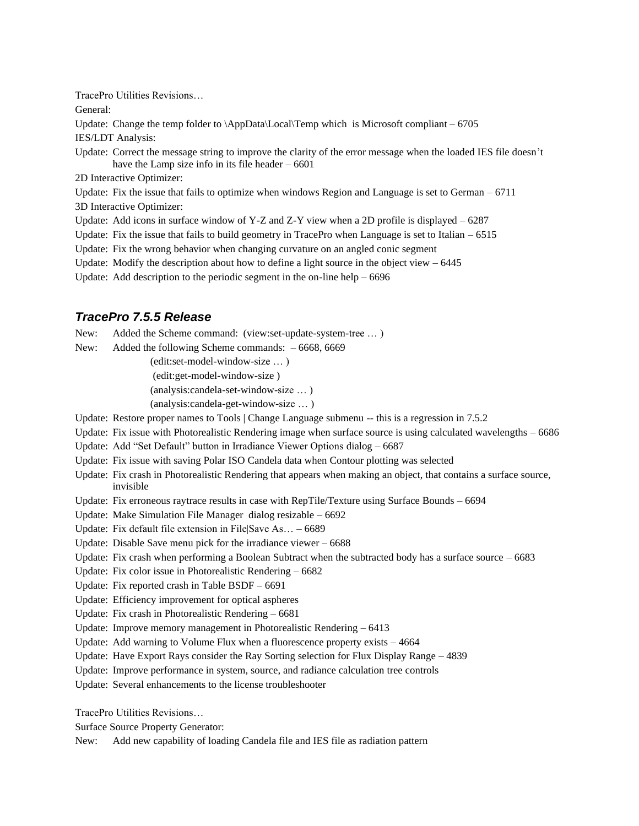TracePro Utilities Revisions… General: Update: Change the temp folder to  $\Delta$ ppData $\Delta$ Local $\Delta$ Temp which is Microsoft compliant – 6705 IES/LDT Analysis: Update: Correct the message string to improve the clarity of the error message when the loaded IES file doesn't have the Lamp size info in its file header  $-6601$ 2D Interactive Optimizer: Update: Fix the issue that fails to optimize when windows Region and Language is set to German  $-6711$ 3D Interactive Optimizer: Update: Add icons in surface window of Y-Z and Z-Y view when a 2D profile is displayed  $-6287$ Update: Fix the issue that fails to build geometry in TracePro when Language is set to Italian  $-6515$ Update: Fix the wrong behavior when changing curvature on an angled conic segment Update: Modify the description about how to define a light source in the object view  $-6445$ 

Update: Add description to the periodic segment in the on-line help  $-6696$ 

# *TracePro 7.5.5 Release*

New: Added the Scheme command: (view:set-update-system-tree … )

New: Added the following Scheme commands: – 6668, 6669

(edit:set-model-window-size … )

(edit:get-model-window-size )

(analysis:candela-set-window-size … )

(analysis:candela-get-window-size … )

Update: Restore proper names to Tools | Change Language submenu -- this is a regression in 7.5.2

Update: Fix issue with Photorealistic Rendering image when surface source is using calculated wavelengths – 6686

Update: Add "Set Default" button in Irradiance Viewer Options dialog – 6687

Update: Fix issue with saving Polar ISO Candela data when Contour plotting was selected

Update: Fix crash in Photorealistic Rendering that appears when making an object, that contains a surface source, invisible

Update: Fix erroneous raytrace results in case with RepTile/Texture using Surface Bounds – 6694

Update: Make Simulation File Manager dialog resizable – 6692

Update: Fix default file extension in File|Save As… – 6689

Update: Disable Save menu pick for the irradiance viewer – 6688

Update: Fix crash when performing a Boolean Subtract when the subtracted body has a surface source – 6683

Update: Fix color issue in Photorealistic Rendering – 6682

Update: Fix reported crash in Table BSDF – 6691

Update: Efficiency improvement for optical aspheres

Update: Fix crash in Photorealistic Rendering – 6681

Update: Improve memory management in Photorealistic Rendering – 6413

Update: Add warning to Volume Flux when a fluorescence property exists – 4664

Update: Have Export Rays consider the Ray Sorting selection for Flux Display Range – 4839

Update: Improve performance in system, source, and radiance calculation tree controls

Update: Several enhancements to the license troubleshooter

TracePro Utilities Revisions…

Surface Source Property Generator:

New: Add new capability of loading Candela file and IES file as radiation pattern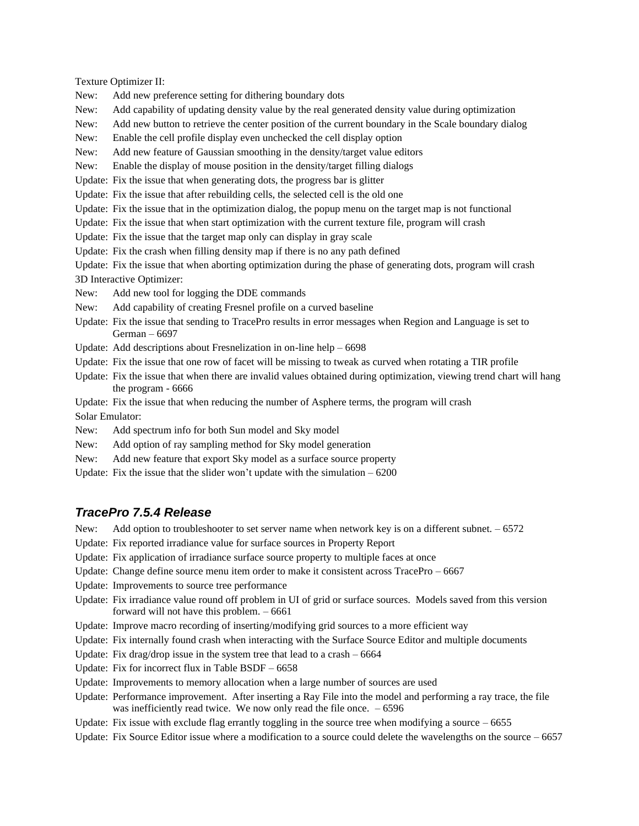Texture Optimizer II:

- New: Add new preference setting for dithering boundary dots
- New: Add capability of updating density value by the real generated density value during optimization
- New: Add new button to retrieve the center position of the current boundary in the Scale boundary dialog

New: Enable the cell profile display even unchecked the cell display option

New: Add new feature of Gaussian smoothing in the density/target value editors

New: Enable the display of mouse position in the density/target filling dialogs

Update: Fix the issue that when generating dots, the progress bar is glitter

Update: Fix the issue that after rebuilding cells, the selected cell is the old one

Update: Fix the issue that in the optimization dialog, the popup menu on the target map is not functional

Update: Fix the issue that when start optimization with the current texture file, program will crash

Update: Fix the issue that the target map only can display in gray scale

Update: Fix the crash when filling density map if there is no any path defined

Update: Fix the issue that when aborting optimization during the phase of generating dots, program will crash 3D Interactive Optimizer:

New: Add new tool for logging the DDE commands

New: Add capability of creating Fresnel profile on a curved baseline

Update: Fix the issue that sending to TracePro results in error messages when Region and Language is set to German – 6697

Update: Add descriptions about Fresnelization in on-line help – 6698

- Update: Fix the issue that one row of facet will be missing to tweak as curved when rotating a TIR profile
- Update: Fix the issue that when there are invalid values obtained during optimization, viewing trend chart will hang the program - 6666

Update: Fix the issue that when reducing the number of Asphere terms, the program will crash Solar Emulator:

- New: Add spectrum info for both Sun model and Sky model
- New: Add option of ray sampling method for Sky model generation
- New: Add new feature that export Sky model as a surface source property

Update: Fix the issue that the slider won't update with the simulation  $-6200$ 

### *TracePro 7.5.4 Release*

- New: Add option to troubleshooter to set server name when network key is on a different subnet. 6572
- Update: Fix reported irradiance value for surface sources in Property Report
- Update: Fix application of irradiance surface source property to multiple faces at once
- Update: Change define source menu item order to make it consistent across TracePro 6667
- Update: Improvements to source tree performance
- Update: Fix irradiance value round off problem in UI of grid or surface sources. Models saved from this version forward will not have this problem. – 6661
- Update: Improve macro recording of inserting/modifying grid sources to a more efficient way
- Update: Fix internally found crash when interacting with the Surface Source Editor and multiple documents
- Update: Fix drag/drop issue in the system tree that lead to a crash 6664
- Update: Fix for incorrect flux in Table BSDF 6658
- Update: Improvements to memory allocation when a large number of sources are used
- Update: Performance improvement. After inserting a Ray File into the model and performing a ray trace, the file was inefficiently read twice. We now only read the file once.  $-6596$
- Update: Fix issue with exclude flag errantly toggling in the source tree when modifying a source  $-6655$
- Update: Fix Source Editor issue where a modification to a source could delete the wavelengths on the source  $-6657$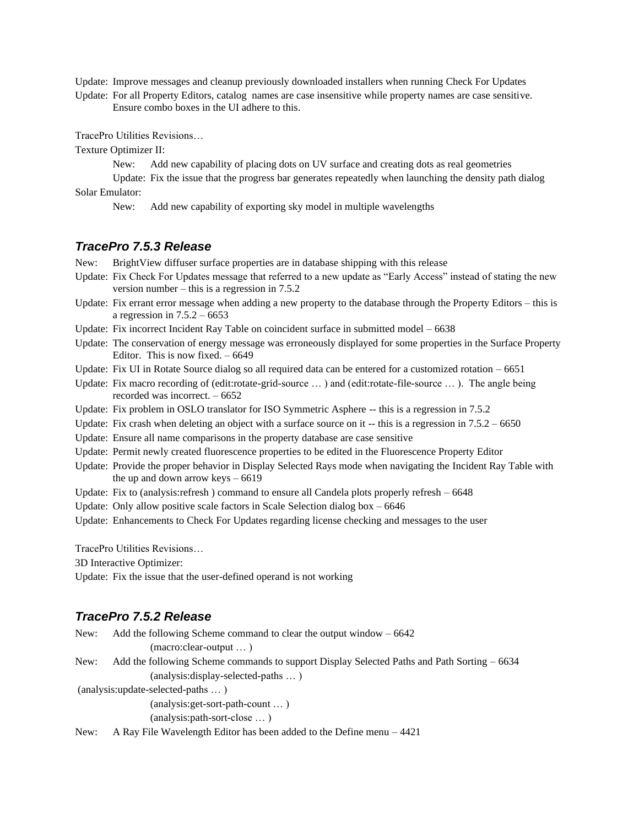Update: Improve messages and cleanup previously downloaded installers when running Check For Updates

Update: For all Property Editors, catalog names are case insensitive while property names are case sensitive. Ensure combo boxes in the UI adhere to this.

TracePro Utilities Revisions…

Texture Optimizer II:

New: Add new capability of placing dots on UV surface and creating dots as real geometries

Update: Fix the issue that the progress bar generates repeatedly when launching the density path dialog Solar Emulator:

New: Add new capability of exporting sky model in multiple wavelengths

### *TracePro 7.5.3 Release*

New: BrightView diffuser surface properties are in database shipping with this release

- Update: Fix Check For Updates message that referred to a new update as "Early Access" instead of stating the new version number – this is a regression in 7.5.2
- Update: Fix errant error message when adding a new property to the database through the Property Editors this is a regression in  $7.5.2 - 6653$
- Update: Fix incorrect Incident Ray Table on coincident surface in submitted model 6638
- Update: The conservation of energy message was erroneously displayed for some properties in the Surface Property Editor. This is now fixed.  $-6649$

Update: Fix UI in Rotate Source dialog so all required data can be entered for a customized rotation – 6651

- Update: Fix macro recording of (edit:rotate-grid-source … ) and (edit:rotate-file-source … ). The angle being recorded was incorrect. – 6652
- Update: Fix problem in OSLO translator for ISO Symmetric Asphere -- this is a regression in 7.5.2
- Update: Fix crash when deleting an object with a surface source on it  $-$  this is a regression in 7.5.2 6650
- Update: Ensure all name comparisons in the property database are case sensitive
- Update: Permit newly created fluorescence properties to be edited in the Fluorescence Property Editor
- Update: Provide the proper behavior in Display Selected Rays mode when navigating the Incident Ray Table with the up and down arrow keys – 6619
- Update: Fix to (analysis:refresh) command to ensure all Candela plots properly refresh 6648
- Update: Only allow positive scale factors in Scale Selection dialog box 6646
- Update: Enhancements to Check For Updates regarding license checking and messages to the user

TracePro Utilities Revisions…

3D Interactive Optimizer:

Update: Fix the issue that the user-defined operand is not working

### *TracePro 7.5.2 Release*

| New: | Add the following Scheme command to clear the output window $-6642$                         |
|------|---------------------------------------------------------------------------------------------|
|      | $(macc:clear-output)$                                                                       |
| New: | Add the following Scheme commands to support Display Selected Paths and Path Sorting – 6634 |
|      | (analysis: display-selected-paths )                                                         |
|      | (analysis:update-selected-paths )                                                           |
|      | $(analysis: get-sort-path-count )$                                                          |
|      | $(analysis:path-sort-close)$                                                                |
| New: | A Ray File Wavelength Editor has been added to the Define menu – 4421                       |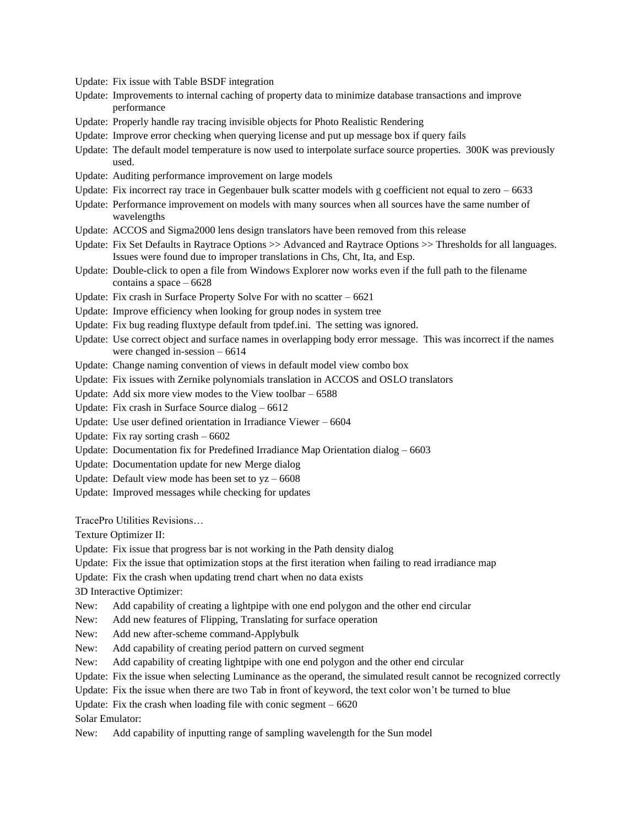Update: Fix issue with Table BSDF integration

- Update: Improvements to internal caching of property data to minimize database transactions and improve performance
- Update: Properly handle ray tracing invisible objects for Photo Realistic Rendering
- Update: Improve error checking when querying license and put up message box if query fails
- Update: The default model temperature is now used to interpolate surface source properties. 300K was previously used.
- Update: Auditing performance improvement on large models
- Update: Fix incorrect ray trace in Gegenbauer bulk scatter models with g coefficient not equal to zero  $-6633$
- Update: Performance improvement on models with many sources when all sources have the same number of wavelengths
- Update: ACCOS and Sigma2000 lens design translators have been removed from this release
- Update: Fix Set Defaults in Raytrace Options  $\gg$  Advanced and Raytrace Options  $\gg$  Thresholds for all languages. Issues were found due to improper translations in Chs, Cht, Ita, and Esp.
- Update: Double-click to open a file from Windows Explorer now works even if the full path to the filename contains a space – 6628
- Update: Fix crash in Surface Property Solve For with no scatter 6621
- Update: Improve efficiency when looking for group nodes in system tree
- Update: Fix bug reading fluxtype default from tpdef.ini. The setting was ignored.
- Update: Use correct object and surface names in overlapping body error message. This was incorrect if the names were changed in-session – 6614
- Update: Change naming convention of views in default model view combo box
- Update: Fix issues with Zernike polynomials translation in ACCOS and OSLO translators
- Update: Add six more view modes to the View toolbar 6588
- Update: Fix crash in Surface Source dialog 6612
- Update: Use user defined orientation in Irradiance Viewer 6604
- Update: Fix ray sorting crash 6602
- Update: Documentation fix for Predefined Irradiance Map Orientation dialog 6603
- Update: Documentation update for new Merge dialog
- Update: Default view mode has been set to  $yz 6608$
- Update: Improved messages while checking for updates

TracePro Utilities Revisions…

Texture Optimizer II:

Update: Fix issue that progress bar is not working in the Path density dialog

- Update: Fix the issue that optimization stops at the first iteration when failing to read irradiance map
- Update: Fix the crash when updating trend chart when no data exists

3D Interactive Optimizer:

- New: Add capability of creating a lightpipe with one end polygon and the other end circular
- New: Add new features of Flipping, Translating for surface operation
- New: Add new after-scheme command-Applybulk

New: Add capability of creating period pattern on curved segment

- New: Add capability of creating lightpipe with one end polygon and the other end circular
- Update: Fix the issue when selecting Luminance as the operand, the simulated result cannot be recognized correctly
- Update: Fix the issue when there are two Tab in front of keyword, the text color won't be turned to blue
- Update: Fix the crash when loading file with conic segment 6620

Solar Emulator:

New: Add capability of inputting range of sampling wavelength for the Sun model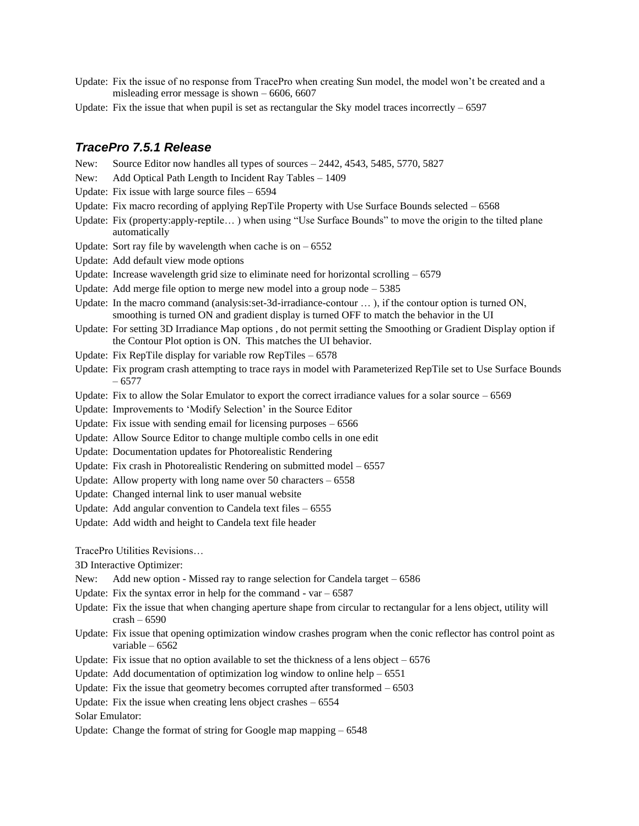- Update: Fix the issue of no response from TracePro when creating Sun model, the model won't be created and a misleading error message is shown – 6606, 6607
- Update: Fix the issue that when pupil is set as rectangular the Sky model traces incorrectly  $-6597$

#### *TracePro 7.5.1 Release*

- New: Source Editor now handles all types of sources 2442, 4543, 5485, 5770, 5827
- New: Add Optical Path Length to Incident Ray Tables 1409
- Update: Fix issue with large source files 6594
- Update: Fix macro recording of applying RepTile Property with Use Surface Bounds selected 6568
- Update: Fix (property:apply-reptile… ) when using "Use Surface Bounds" to move the origin to the tilted plane automatically
- Update: Sort ray file by wavelength when cache is on  $-6552$
- Update: Add default view mode options
- Update: Increase wavelength grid size to eliminate need for horizontal scrolling  $-6579$
- Update: Add merge file option to merge new model into a group node 5385
- Update: In the macro command (analysis: set-3d-irradiance-contour ...), if the contour option is turned ON, smoothing is turned ON and gradient display is turned OFF to match the behavior in the UI
- Update: For setting 3D Irradiance Map options , do not permit setting the Smoothing or Gradient Display option if the Contour Plot option is ON. This matches the UI behavior.
- Update: Fix RepTile display for variable row RepTiles 6578
- Update: Fix program crash attempting to trace rays in model with Parameterized RepTile set to Use Surface Bounds – 6577
- Update: Fix to allow the Solar Emulator to export the correct irradiance values for a solar source  $-6569$
- Update: Improvements to 'Modify Selection' in the Source Editor
- Update: Fix issue with sending email for licensing purposes 6566
- Update: Allow Source Editor to change multiple combo cells in one edit
- Update: Documentation updates for Photorealistic Rendering
- Update: Fix crash in Photorealistic Rendering on submitted model 6557
- Update: Allow property with long name over  $50$  characters  $-6558$
- Update: Changed internal link to user manual website
- Update: Add angular convention to Candela text files 6555
- Update: Add width and height to Candela text file header

TracePro Utilities Revisions…

3D Interactive Optimizer:

- New: Add new option Missed ray to range selection for Candela target 6586
- Update: Fix the syntax error in help for the command  $var 6587$
- Update: Fix the issue that when changing aperture shape from circular to rectangular for a lens object, utility will crash – 6590
- Update: Fix issue that opening optimization window crashes program when the conic reflector has control point as variable – 6562
- Update: Fix issue that no option available to set the thickness of a lens object  $-6576$
- Update: Add documentation of optimization log window to online help  $-6551$
- Update: Fix the issue that geometry becomes corrupted after transformed  $-6503$
- Update: Fix the issue when creating lens object crashes 6554

Solar Emulator:

Update: Change the format of string for Google map mapping – 6548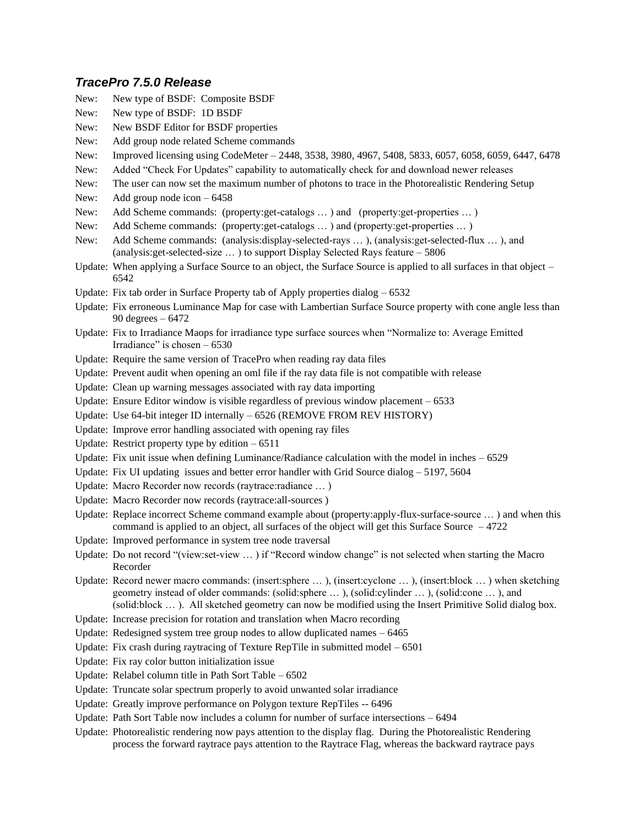### *TracePro 7.5.0 Release*

- New: New type of BSDF: Composite BSDF New: New type of BSDF: 1D BSDF New: New BSDF Editor for BSDF properties New: Add group node related Scheme commands New: Improved licensing using CodeMeter – 2448, 3538, 3980, 4967, 5408, 5833, 6057, 6058, 6059, 6447, 6478 New: Added "Check For Updates" capability to automatically check for and download newer releases New: The user can now set the maximum number of photons to trace in the Photorealistic Rendering Setup New: Add group node icon – 6458 New: Add Scheme commands: (property:get-catalogs … ) and (property:get-properties … ) New: Add Scheme commands: (property:get-catalogs … ) and (property:get-properties … ) New: Add Scheme commands: (analysis:display-selected-rays … ), (analysis:get-selected-flux … ), and (analysis:get-selected-size … ) to support Display Selected Rays feature – 5806 Update: When applying a Surface Source to an object, the Surface Source is applied to all surfaces in that object – 6542 Update: Fix tab order in Surface Property tab of Apply properties dialog – 6532 Update: Fix erroneous Luminance Map for case with Lambertian Surface Source property with cone angle less than 90 degrees – 6472 Update: Fix to Irradiance Maops for irradiance type surface sources when "Normalize to: Average Emitted Irradiance" is chosen – 6530 Update: Require the same version of TracePro when reading ray data files
- Update: Prevent audit when opening an oml file if the ray data file is not compatible with release
- Update: Clean up warning messages associated with ray data importing
- Update: Ensure Editor window is visible regardless of previous window placement 6533
- Update: Use 64-bit integer ID internally 6526 (REMOVE FROM REV HISTORY)
- Update: Improve error handling associated with opening ray files
- Update: Restrict property type by edition  $-6511$
- Update: Fix unit issue when defining Luminance/Radiance calculation with the model in inches 6529
- Update: Fix UI updating issues and better error handler with Grid Source dialog 5197, 5604
- Update: Macro Recorder now records (raytrace:radiance … )
- Update: Macro Recorder now records (raytrace:all-sources )
- Update: Replace incorrect Scheme command example about (property:apply-flux-surface-source … ) and when this command is applied to an object, all surfaces of the object will get this Surface Source  $-4722$
- Update: Improved performance in system tree node traversal
- Update: Do not record "(view:set-view … ) if "Record window change" is not selected when starting the Macro Recorder
- Update: Record newer macro commands: (insert:sphere … ), (insert:cyclone … ), (insert:block … ) when sketching geometry instead of older commands: (solid:sphere … ), (solid:cylinder … ), (solid:cone … ), and (solid:block … ). All sketched geometry can now be modified using the Insert Primitive Solid dialog box.
- Update: Increase precision for rotation and translation when Macro recording
- Update: Redesigned system tree group nodes to allow duplicated names 6465
- Update: Fix crash during raytracing of Texture RepTile in submitted model 6501
- Update: Fix ray color button initialization issue
- Update: Relabel column title in Path Sort Table 6502
- Update: Truncate solar spectrum properly to avoid unwanted solar irradiance
- Update: Greatly improve performance on Polygon texture RepTiles -- 6496
- Update: Path Sort Table now includes a column for number of surface intersections 6494
- Update: Photorealistic rendering now pays attention to the display flag. During the Photorealistic Rendering process the forward raytrace pays attention to the Raytrace Flag, whereas the backward raytrace pays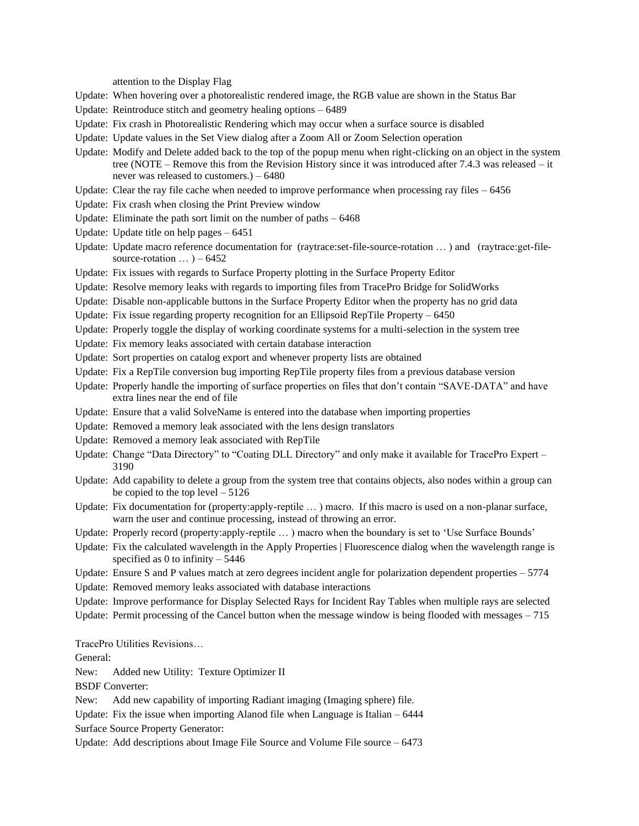attention to the Display Flag

- Update: When hovering over a photorealistic rendered image, the RGB value are shown in the Status Bar
- Update: Reintroduce stitch and geometry healing options 6489
- Update: Fix crash in Photorealistic Rendering which may occur when a surface source is disabled
- Update: Update values in the Set View dialog after a Zoom All or Zoom Selection operation
- Update: Modify and Delete added back to the top of the popup menu when right-clicking on an object in the system tree (NOTE – Remove this from the Revision History since it was introduced after 7.4.3 was released – it never was released to customers.) – 6480
- Update: Clear the ray file cache when needed to improve performance when processing ray files  $-6456$
- Update: Fix crash when closing the Print Preview window
- Update: Eliminate the path sort limit on the number of paths 6468
- Update: Update title on help pages 6451
- Update: Update macro reference documentation for (raytrace:set-file-source-rotation … ) and (raytrace:get-filesource-rotation  $\ldots$ ) – 6452
- Update: Fix issues with regards to Surface Property plotting in the Surface Property Editor
- Update: Resolve memory leaks with regards to importing files from TracePro Bridge for SolidWorks
- Update: Disable non-applicable buttons in the Surface Property Editor when the property has no grid data
- Update: Fix issue regarding property recognition for an Ellipsoid RepTile Property 6450
- Update: Properly toggle the display of working coordinate systems for a multi-selection in the system tree
- Update: Fix memory leaks associated with certain database interaction
- Update: Sort properties on catalog export and whenever property lists are obtained
- Update: Fix a RepTile conversion bug importing RepTile property files from a previous database version
- Update: Properly handle the importing of surface properties on files that don't contain "SAVE-DATA" and have extra lines near the end of file
- Update: Ensure that a valid SolveName is entered into the database when importing properties
- Update: Removed a memory leak associated with the lens design translators
- Update: Removed a memory leak associated with RepTile
- Update: Change "Data Directory" to "Coating DLL Directory" and only make it available for TracePro Expert 3190
- Update: Add capability to delete a group from the system tree that contains objects, also nodes within a group can be copied to the top level  $-5126$
- Update: Fix documentation for (property:apply-reptile ...) macro. If this macro is used on a non-planar surface, warn the user and continue processing, instead of throwing an error.
- Update: Properly record (property:apply-reptile … ) macro when the boundary is set to 'Use Surface Bounds'
- Update: Fix the calculated wavelength in the Apply Properties | Fluorescence dialog when the wavelength range is specified as 0 to infinity  $-5446$
- Update: Ensure S and P values match at zero degrees incident angle for polarization dependent properties 5774
- Update: Removed memory leaks associated with database interactions
- Update: Improve performance for Display Selected Rays for Incident Ray Tables when multiple rays are selected
- Update: Permit processing of the Cancel button when the message window is being flooded with messages 715

TracePro Utilities Revisions…

General:

New: Added new Utility: Texture Optimizer II

BSDF Converter:

New: Add new capability of importing Radiant imaging (Imaging sphere) file.

Update: Fix the issue when importing Alanod file when Language is Italian – 6444

Surface Source Property Generator:

Update: Add descriptions about Image File Source and Volume File source – 6473